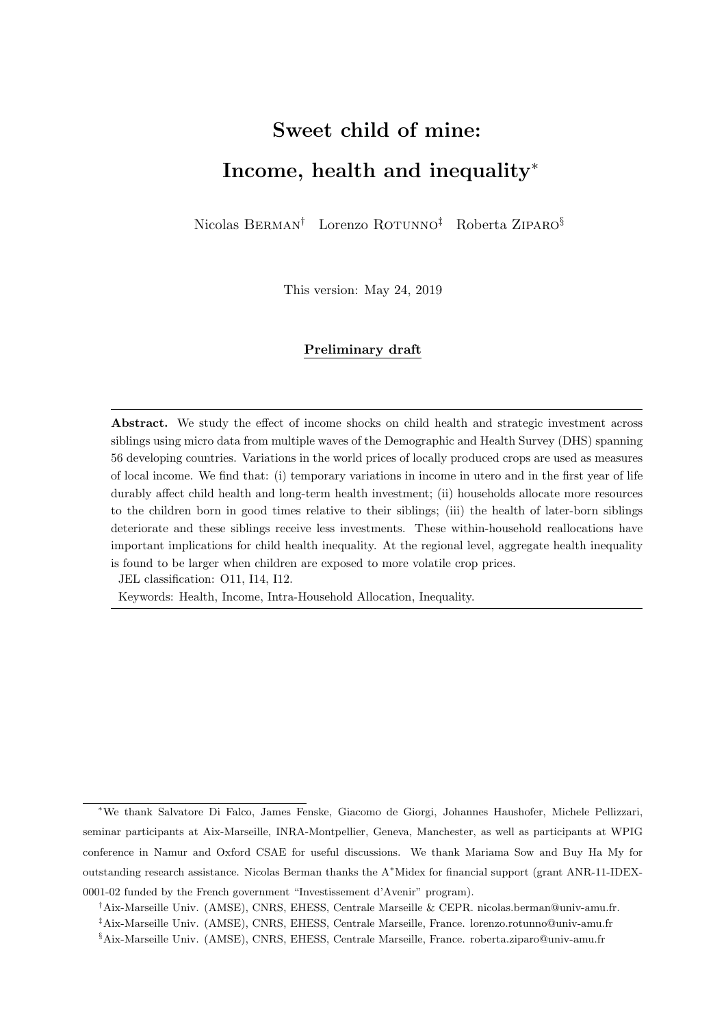# <span id="page-0-0"></span>Sweet child of mine: Income, health and inequality<sup>∗</sup>

Nicolas BERMAN<sup>†</sup> Lorenzo ROTUNNO<sup>‡</sup> Roberta ZIPARO<sup>§</sup>

This version: May 24, 2019

#### Preliminary draft

Abstract. We study the effect of income shocks on child health and strategic investment across siblings using micro data from multiple waves of the Demographic and Health Survey (DHS) spanning 56 developing countries. Variations in the world prices of locally produced crops are used as measures of local income. We find that: (i) temporary variations in income in utero and in the first year of life durably affect child health and long-term health investment; (ii) households allocate more resources to the children born in good times relative to their siblings; (iii) the health of later-born siblings deteriorate and these siblings receive less investments. These within-household reallocations have important implications for child health inequality. At the regional level, aggregate health inequality is found to be larger when children are exposed to more volatile crop prices.

JEL classification: O11, I14, I12.

Keywords: Health, Income, Intra-Household Allocation, Inequality.

<sup>∗</sup>We thank Salvatore Di Falco, James Fenske, Giacomo de Giorgi, Johannes Haushofer, Michele Pellizzari, seminar participants at Aix-Marseille, INRA-Montpellier, Geneva, Manchester, as well as participants at WPIG conference in Namur and Oxford CSAE for useful discussions. We thank Mariama Sow and Buy Ha My for outstanding research assistance. Nicolas Berman thanks the A<sup>∗</sup>Midex for financial support (grant ANR-11-IDEX-0001-02 funded by the French government "Investissement d'Avenir" program).

<sup>†</sup>Aix-Marseille Univ. (AMSE), CNRS, EHESS, Centrale Marseille & CEPR. nicolas.berman@univ-amu.fr.

<sup>‡</sup>Aix-Marseille Univ. (AMSE), CNRS, EHESS, Centrale Marseille, France. lorenzo.rotunno@univ-amu.fr

<sup>§</sup>Aix-Marseille Univ. (AMSE), CNRS, EHESS, Centrale Marseille, France. roberta.ziparo@univ-amu.fr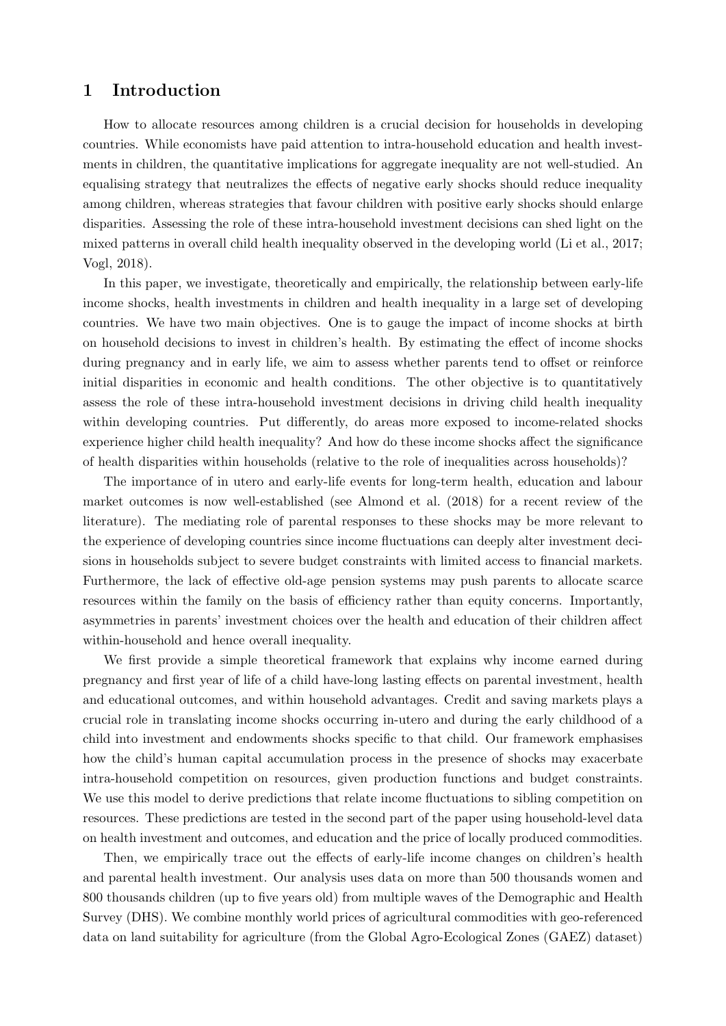## 1 Introduction

How to allocate resources among children is a crucial decision for households in developing countries. While economists have paid attention to intra-household education and health investments in children, the quantitative implications for aggregate inequality are not well-studied. An equalising strategy that neutralizes the effects of negative early shocks should reduce inequality among children, whereas strategies that favour children with positive early shocks should enlarge disparities. Assessing the role of these intra-household investment decisions can shed light on the mixed patterns in overall child health inequality observed in the developing world [\(Li et al.,](#page-29-0) [2017;](#page-29-0) [Vogl,](#page-30-0) [2018\)](#page-30-0).

In this paper, we investigate, theoretically and empirically, the relationship between early-life income shocks, health investments in children and health inequality in a large set of developing countries. We have two main objectives. One is to gauge the impact of income shocks at birth on household decisions to invest in children's health. By estimating the effect of income shocks during pregnancy and in early life, we aim to assess whether parents tend to offset or reinforce initial disparities in economic and health conditions. The other objective is to quantitatively assess the role of these intra-household investment decisions in driving child health inequality within developing countries. Put differently, do areas more exposed to income-related shocks experience higher child health inequality? And how do these income shocks affect the significance of health disparities within households (relative to the role of inequalities across households)?

The importance of in utero and early-life events for long-term health, education and labour market outcomes is now well-established (see [Almond et al.](#page-28-0) [\(2018\)](#page-28-0) for a recent review of the literature). The mediating role of parental responses to these shocks may be more relevant to the experience of developing countries since income fluctuations can deeply alter investment decisions in households subject to severe budget constraints with limited access to financial markets. Furthermore, the lack of effective old-age pension systems may push parents to allocate scarce resources within the family on the basis of efficiency rather than equity concerns. Importantly, asymmetries in parents' investment choices over the health and education of their children affect within-household and hence overall inequality.

We first provide a simple theoretical framework that explains why income earned during pregnancy and first year of life of a child have-long lasting effects on parental investment, health and educational outcomes, and within household advantages. Credit and saving markets plays a crucial role in translating income shocks occurring in-utero and during the early childhood of a child into investment and endowments shocks specific to that child. Our framework emphasises how the child's human capital accumulation process in the presence of shocks may exacerbate intra-household competition on resources, given production functions and budget constraints. We use this model to derive predictions that relate income fluctuations to sibling competition on resources. These predictions are tested in the second part of the paper using household-level data on health investment and outcomes, and education and the price of locally produced commodities.

Then, we empirically trace out the effects of early-life income changes on children's health and parental health investment. Our analysis uses data on more than 500 thousands women and 800 thousands children (up to five years old) from multiple waves of the Demographic and Health Survey (DHS). We combine monthly world prices of agricultural commodities with geo-referenced data on land suitability for agriculture (from the Global Agro-Ecological Zones (GAEZ) dataset)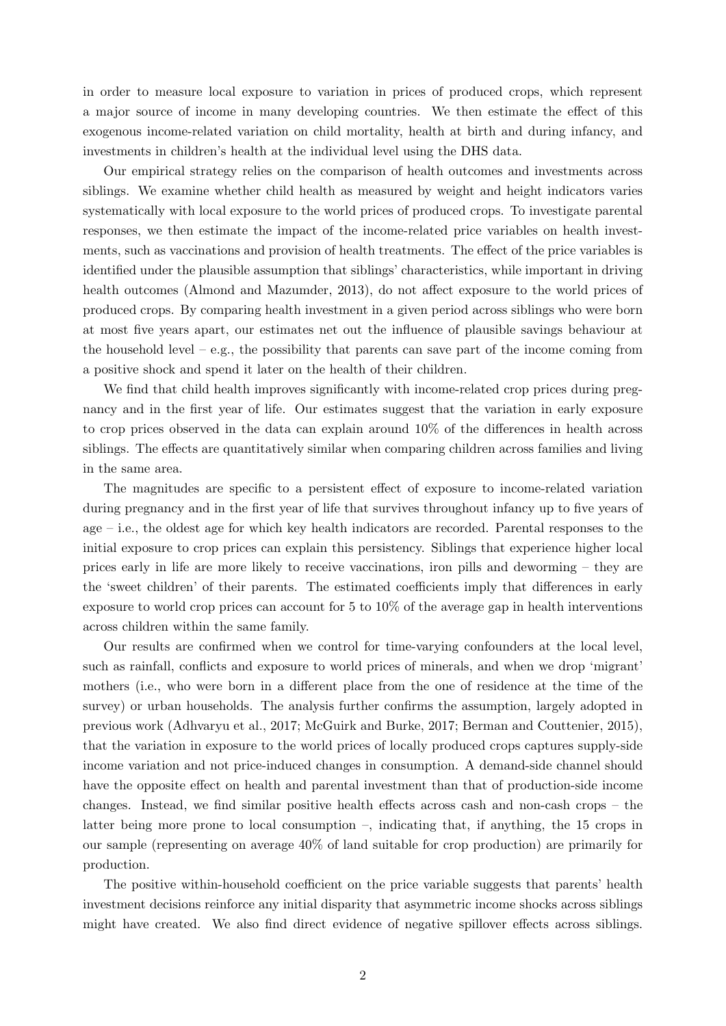in order to measure local exposure to variation in prices of produced crops, which represent a major source of income in many developing countries. We then estimate the effect of this exogenous income-related variation on child mortality, health at birth and during infancy, and investments in children's health at the individual level using the DHS data.

Our empirical strategy relies on the comparison of health outcomes and investments across siblings. We examine whether child health as measured by weight and height indicators varies systematically with local exposure to the world prices of produced crops. To investigate parental responses, we then estimate the impact of the income-related price variables on health investments, such as vaccinations and provision of health treatments. The effect of the price variables is identified under the plausible assumption that siblings' characteristics, while important in driving health outcomes [\(Almond and Mazumder,](#page-28-1) [2013\)](#page-28-1), do not affect exposure to the world prices of produced crops. By comparing health investment in a given period across siblings who were born at most five years apart, our estimates net out the influence of plausible savings behaviour at the household level – e.g., the possibility that parents can save part of the income coming from a positive shock and spend it later on the health of their children.

We find that child health improves significantly with income-related crop prices during pregnancy and in the first year of life. Our estimates suggest that the variation in early exposure to crop prices observed in the data can explain around 10% of the differences in health across siblings. The effects are quantitatively similar when comparing children across families and living in the same area.

The magnitudes are specific to a persistent effect of exposure to income-related variation during pregnancy and in the first year of life that survives throughout infancy up to five years of age – i.e., the oldest age for which key health indicators are recorded. Parental responses to the initial exposure to crop prices can explain this persistency. Siblings that experience higher local prices early in life are more likely to receive vaccinations, iron pills and deworming – they are the 'sweet children' of their parents. The estimated coefficients imply that differences in early exposure to world crop prices can account for 5 to 10% of the average gap in health interventions across children within the same family.

Our results are confirmed when we control for time-varying confounders at the local level, such as rainfall, conflicts and exposure to world prices of minerals, and when we drop 'migrant' mothers (i.e., who were born in a different place from the one of residence at the time of the survey) or urban households. The analysis further confirms the assumption, largely adopted in previous work [\(Adhvaryu et al.,](#page-28-2) [2017;](#page-28-2) [McGuirk and Burke,](#page-29-1) [2017;](#page-29-1) [Berman and Couttenier,](#page-28-3) [2015\)](#page-28-3), that the variation in exposure to the world prices of locally produced crops captures supply-side income variation and not price-induced changes in consumption. A demand-side channel should have the opposite effect on health and parental investment than that of production-side income changes. Instead, we find similar positive health effects across cash and non-cash crops – the latter being more prone to local consumption –, indicating that, if anything, the 15 crops in our sample (representing on average 40% of land suitable for crop production) are primarily for production.

The positive within-household coefficient on the price variable suggests that parents' health investment decisions reinforce any initial disparity that asymmetric income shocks across siblings might have created. We also find direct evidence of negative spillover effects across siblings.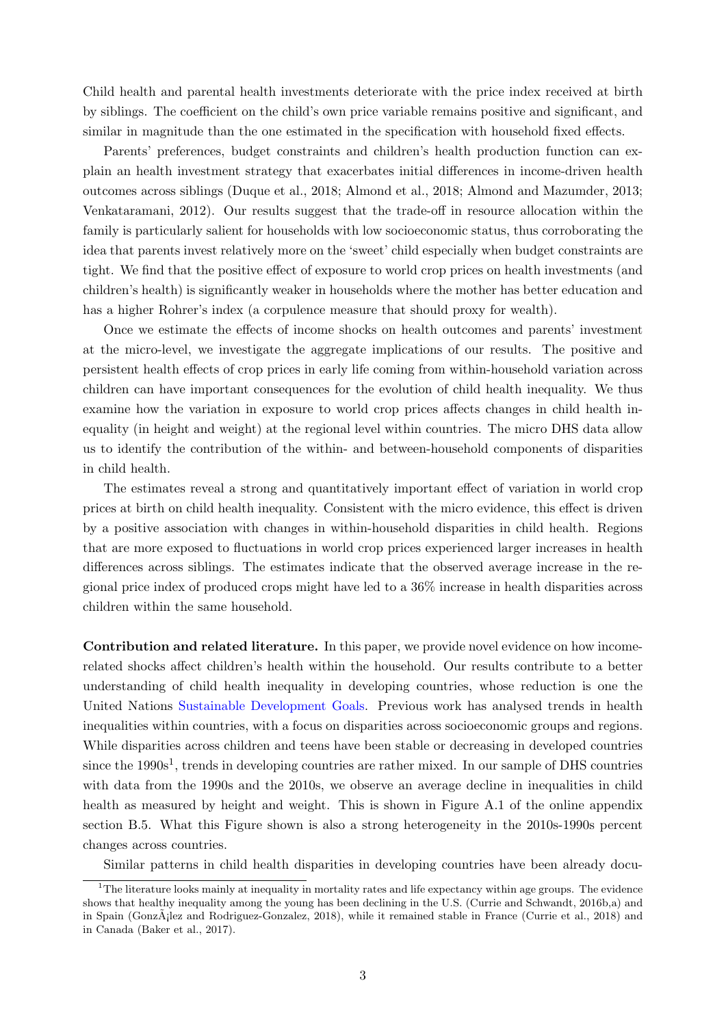Child health and parental health investments deteriorate with the price index received at birth by siblings. The coefficient on the child's own price variable remains positive and significant, and similar in magnitude than the one estimated in the specification with household fixed effects.

Parents' preferences, budget constraints and children's health production function can explain an health investment strategy that exacerbates initial differences in income-driven health outcomes across siblings [\(Duque et al.,](#page-29-2) [2018;](#page-29-2) [Almond et al.,](#page-28-0) [2018;](#page-28-0) [Almond and Mazumder,](#page-28-1) [2013;](#page-28-1) [Venkataramani,](#page-29-3) [2012\)](#page-29-3). Our results suggest that the trade-off in resource allocation within the family is particularly salient for households with low socioeconomic status, thus corroborating the idea that parents invest relatively more on the 'sweet' child especially when budget constraints are tight. We find that the positive effect of exposure to world crop prices on health investments (and children's health) is significantly weaker in households where the mother has better education and has a higher Rohrer's index (a corpulence measure that should proxy for wealth).

Once we estimate the effects of income shocks on health outcomes and parents' investment at the micro-level, we investigate the aggregate implications of our results. The positive and persistent health effects of crop prices in early life coming from within-household variation across children can have important consequences for the evolution of child health inequality. We thus examine how the variation in exposure to world crop prices affects changes in child health inequality (in height and weight) at the regional level within countries. The micro DHS data allow us to identify the contribution of the within- and between-household components of disparities in child health.

The estimates reveal a strong and quantitatively important effect of variation in world crop prices at birth on child health inequality. Consistent with the micro evidence, this effect is driven by a positive association with changes in within-household disparities in child health. Regions that are more exposed to fluctuations in world crop prices experienced larger increases in health differences across siblings. The estimates indicate that the observed average increase in the regional price index of produced crops might have led to a 36% increase in health disparities across children within the same household.

Contribution and related literature. In this paper, we provide novel evidence on how incomerelated shocks affect children's health within the household. Our results contribute to a better understanding of child health inequality in developing countries, whose reduction is one the United Nations [Sustainable Development Goals.](http://www.undp.org/content/dam/undp/library/corporate/brochure/SDGs_Booklet_Web_En.pdf) Previous work has analysed trends in health inequalities within countries, with a focus on disparities across socioeconomic groups and regions. While disparities across children and teens have been stable or decreasing in developed countries since the  $1990s<sup>1</sup>$  $1990s<sup>1</sup>$ , trends in developing countries are rather mixed. In our sample of DHS countries with data from the 1990s and the 2010s, we observe an average decline in inequalities in child health as measured by height and weight. This is shown in Figure [A.1](#page-16-0) of the online appendix section [B.5.](#page-38-0) What this Figure shown is also a strong heterogeneity in the 2010s-1990s percent changes across countries.

Similar patterns in child health disparities in developing countries have been already docu-

 $1<sup>1</sup>$ The literature looks mainly at inequality in mortality rates and life expectancy within age groups. The evidence shows that healthy inequality among the young has been declining in the U.S. [\(Currie and Schwandt,](#page-28-4) [2016b,](#page-28-4)[a\)](#page-28-5) and in Spain (Gonz $\tilde{A}$ ; lez and Rodriguez-Gonzalez, [2018\)](#page-28-6), while it remained stable in France [\(Currie et al.,](#page-28-6) 2018) and in Canada [\(Baker et al.,](#page-28-7) [2017\)](#page-28-7).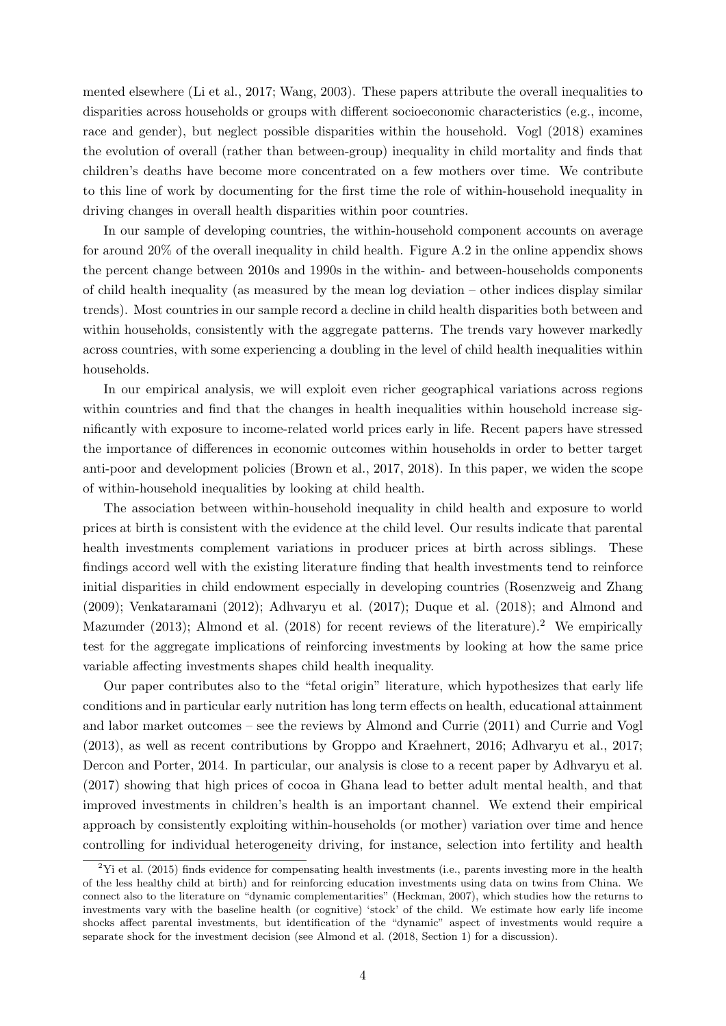mented elsewhere [\(Li et al.,](#page-29-0) [2017;](#page-29-0) [Wang,](#page-30-1) [2003\)](#page-30-1). These papers attribute the overall inequalities to disparities across households or groups with different socioeconomic characteristics (e.g., income, race and gender), but neglect possible disparities within the household. [Vogl](#page-30-0) [\(2018\)](#page-30-0) examines the evolution of overall (rather than between-group) inequality in child mortality and finds that children's deaths have become more concentrated on a few mothers over time. We contribute to this line of work by documenting for the first time the role of within-household inequality in driving changes in overall health disparities within poor countries.

In our sample of developing countries, the within-household component accounts on average for around 20% of the overall inequality in child health. Figure [A.2](#page-26-0) in the online appendix shows the percent change between 2010s and 1990s in the within- and between-households components of child health inequality (as measured by the mean log deviation – other indices display similar trends). Most countries in our sample record a decline in child health disparities both between and within households, consistently with the aggregate patterns. The trends vary however markedly across countries, with some experiencing a doubling in the level of child health inequalities within households.

In our empirical analysis, we will exploit even richer geographical variations across regions within countries and find that the changes in health inequalities within household increase significantly with exposure to income-related world prices early in life. Recent papers have stressed the importance of differences in economic outcomes within households in order to better target anti-poor and development policies [\(Brown et al.,](#page-28-8) [2017,](#page-28-8) [2018\)](#page-28-9). In this paper, we widen the scope of within-household inequalities by looking at child health.

The association between within-household inequality in child health and exposure to world prices at birth is consistent with the evidence at the child level. Our results indicate that parental health investments complement variations in producer prices at birth across siblings. These findings accord well with the existing literature finding that health investments tend to reinforce initial disparities in child endowment especially in developing countries [\(Rosenzweig and Zhang](#page-29-5) [\(2009\)](#page-29-5); [Venkataramani](#page-29-3) [\(2012\)](#page-29-3); [Adhvaryu et al.](#page-28-2) [\(2017\)](#page-28-2); [Duque et al.](#page-29-2) [\(2018\)](#page-29-2); and [Almond and](#page-28-1) [Mazumder](#page-28-1) [\(2013\)](#page-28-1); [Almond et al.](#page-28-0) [\(2018\)](#page-28-0) for recent reviews of the literature).<sup>[2](#page-0-0)</sup> We empirically test for the aggregate implications of reinforcing investments by looking at how the same price variable affecting investments shapes child health inequality.

Our paper contributes also to the "fetal origin" literature, which hypothesizes that early life conditions and in particular early nutrition has long term effects on health, educational attainment and labor market outcomes – see the reviews by [Almond and Currie](#page-28-10) [\(2011\)](#page-28-10) and [Currie and Vogl](#page-29-6) [\(2013\)](#page-29-6), as well as recent contributions by [Groppo and Kraehnert,](#page-29-7) [2016;](#page-29-7) [Adhvaryu et al.,](#page-28-2) [2017;](#page-28-2) [Dercon and Porter,](#page-29-8) [2014.](#page-29-8) In particular, our analysis is close to a recent paper by [Adhvaryu et al.](#page-28-2) [\(2017\)](#page-28-2) showing that high prices of cocoa in Ghana lead to better adult mental health, and that improved investments in children's health is an important channel. We extend their empirical approach by consistently exploiting within-households (or mother) variation over time and hence controlling for individual heterogeneity driving, for instance, selection into fertility and health

 $2$ [Yi et al.](#page-30-2) [\(2015\)](#page-30-2) finds evidence for compensating health investments (i.e., parents investing more in the health of the less healthy child at birth) and for reinforcing education investments using data on twins from China. We connect also to the literature on "dynamic complementarities" [\(Heckman,](#page-29-9) [2007\)](#page-29-9), which studies how the returns to investments vary with the baseline health (or cognitive) 'stock' of the child. We estimate how early life income shocks affect parental investments, but identification of the "dynamic" aspect of investments would require a separate shock for the investment decision (see [Almond et al.](#page-28-0) [\(2018,](#page-28-0) Section 1) for a discussion).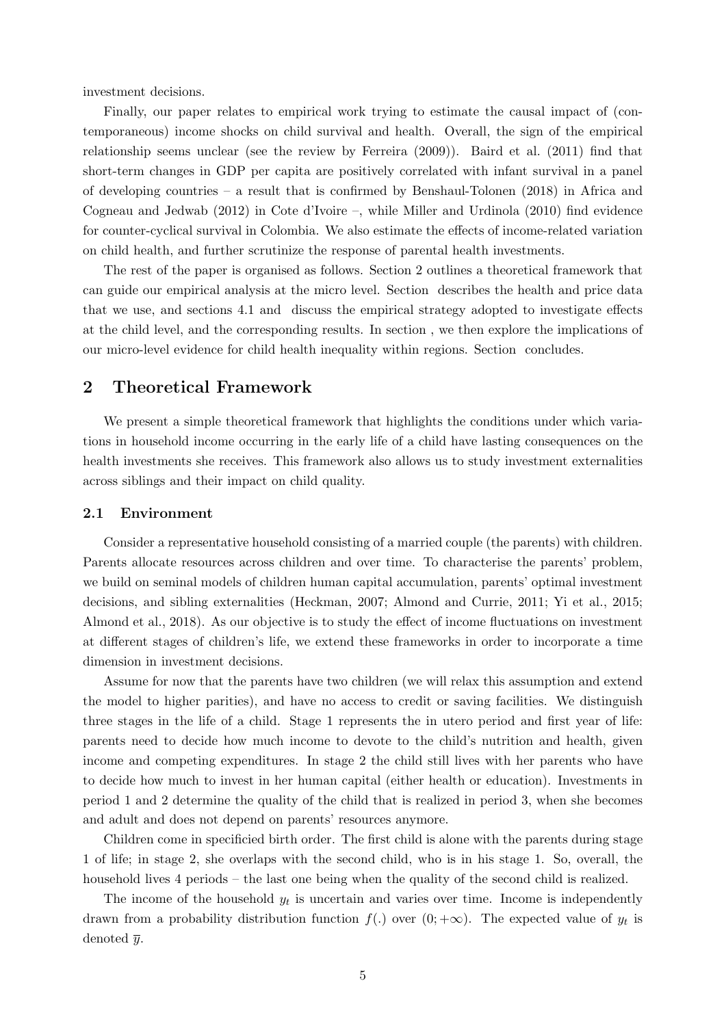investment decisions.

Finally, our paper relates to empirical work trying to estimate the causal impact of (contemporaneous) income shocks on child survival and health. Overall, the sign of the empirical relationship seems unclear (see the review by [Ferreira](#page-29-10) [\(2009\)](#page-29-10)). [Baird et al.](#page-28-11) [\(2011\)](#page-28-11) find that short-term changes in GDP per capita are positively correlated with infant survival in a panel of developing countries – a result that is confirmed by [Benshaul-Tolonen](#page-28-12) [\(2018\)](#page-28-12) in Africa and [Cogneau and Jedwab](#page-28-13) [\(2012\)](#page-28-13) in Cote d'Ivoire –, while [Miller and Urdinola](#page-29-11) [\(2010\)](#page-29-11) find evidence for counter-cyclical survival in Colombia. We also estimate the effects of income-related variation on child health, and further scrutinize the response of parental health investments.

The rest of the paper is organised as follows. Section [2](#page-5-0) outlines a theoretical framework that can guide our empirical analysis at the micro level. Section describes the health and price data that we use, and sections [4.1](#page-11-0) and discuss the empirical strategy adopted to investigate effects at the child level, and the corresponding results. In section , we then explore the implications of our micro-level evidence for child health inequality within regions. Section concludes.

### <span id="page-5-0"></span>2 Theoretical Framework

We present a simple theoretical framework that highlights the conditions under which variations in household income occurring in the early life of a child have lasting consequences on the health investments she receives. This framework also allows us to study investment externalities across siblings and their impact on child quality.

#### 2.1 Environment

Consider a representative household consisting of a married couple (the parents) with children. Parents allocate resources across children and over time. To characterise the parents' problem, we build on seminal models of children human capital accumulation, parents' optimal investment decisions, and sibling externalities [\(Heckman,](#page-29-9) [2007;](#page-29-9) [Almond and Currie,](#page-28-10) [2011;](#page-28-10) [Yi et al.,](#page-30-2) [2015;](#page-30-2) [Almond et al.,](#page-28-0) [2018\)](#page-28-0). As our objective is to study the effect of income fluctuations on investment at different stages of children's life, we extend these frameworks in order to incorporate a time dimension in investment decisions.

Assume for now that the parents have two children (we will relax this assumption and extend the model to higher parities), and have no access to credit or saving facilities. We distinguish three stages in the life of a child. Stage 1 represents the in utero period and first year of life: parents need to decide how much income to devote to the child's nutrition and health, given income and competing expenditures. In stage 2 the child still lives with her parents who have to decide how much to invest in her human capital (either health or education). Investments in period 1 and 2 determine the quality of the child that is realized in period 3, when she becomes and adult and does not depend on parents' resources anymore.

Children come in specificied birth order. The first child is alone with the parents during stage 1 of life; in stage 2, she overlaps with the second child, who is in his stage 1. So, overall, the household lives 4 periods – the last one being when the quality of the second child is realized.

The income of the household  $y_t$  is uncertain and varies over time. Income is independently drawn from a probability distribution function  $f(.)$  over  $(0; +\infty)$ . The expected value of  $y_t$  is denoted  $\overline{y}$ .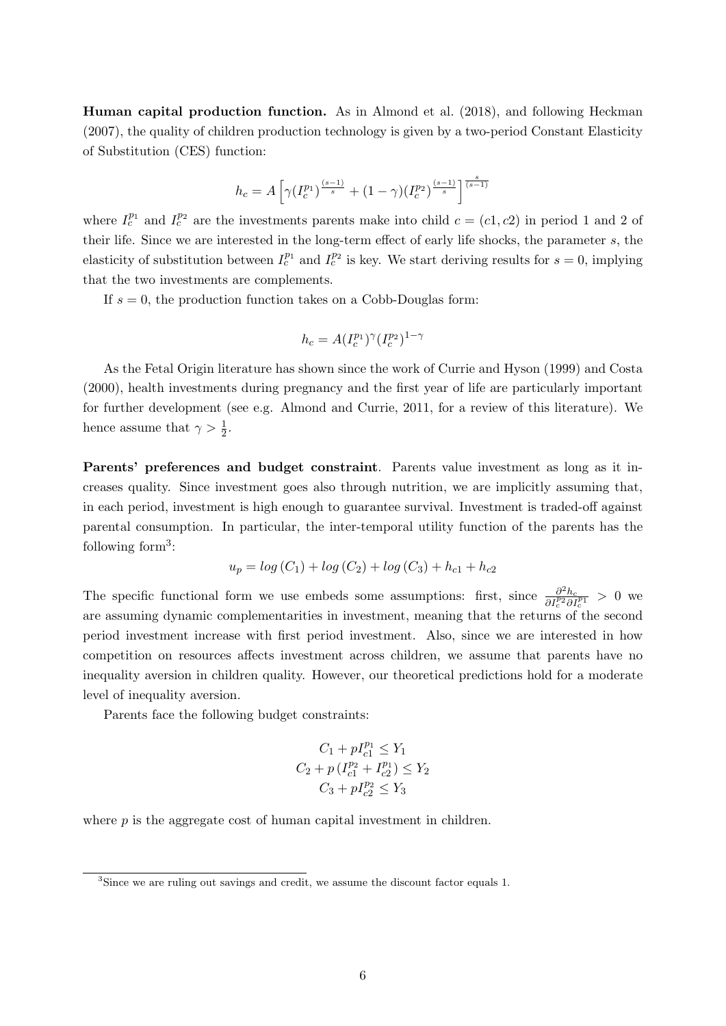Human capital production function. As in [Almond et al.](#page-28-0) [\(2018\)](#page-28-0), and following [Heckman](#page-29-9) [\(2007\)](#page-29-9), the quality of children production technology is given by a two-period Constant Elasticity of Substitution (CES) function:

$$
h_c=A\left[\gamma(I_c^{p_1})^{\frac{(s-1)}{s}}+(1-\gamma)(I_c^{p_2})^{\frac{(s-1)}{s}}\right]^{\frac{s}{(s-1)}}
$$

where  $I_c^{p_1}$  and  $I_c^{p_2}$  are the investments parents make into child  $c = (c_1, c_2)$  in period 1 and 2 of their life. Since we are interested in the long-term effect of early life shocks, the parameter s, the elasticity of substitution between  $I_c^{p_1}$  and  $I_c^{p_2}$  is key. We start deriving results for  $s = 0$ , implying that the two investments are complements.

If  $s = 0$ , the production function takes on a Cobb-Douglas form:

$$
h_c = A(I_c^{p_1})^{\gamma} (I_c^{p_2})^{1-\gamma}
$$

As the Fetal Origin literature has shown since the work of [Currie and Hyson](#page-28-14) [\(1999\)](#page-28-14) and [Costa](#page-28-15) [\(2000\)](#page-28-15), health investments during pregnancy and the first year of life are particularly important for further development (see e.g. [Almond and Currie,](#page-28-10) [2011,](#page-28-10) for a review of this literature). We hence assume that  $\gamma > \frac{1}{2}$ .

Parents' preferences and budget constraint. Parents value investment as long as it increases quality. Since investment goes also through nutrition, we are implicitly assuming that, in each period, investment is high enough to guarantee survival. Investment is traded-off against parental consumption. In particular, the inter-temporal utility function of the parents has the following form<sup>[3](#page-0-0)</sup>:

$$
u_p = \log(C_1) + \log(C_2) + \log(C_3) + h_{c1} + h_{c2}
$$

The specific functional form we use embeds some assumptions: first, since  $\frac{\partial^2 h_c}{\partial I_c^{p_2} \partial I_c^{p_1}} > 0$  we are assuming dynamic complementarities in investment, meaning that the returns of the second period investment increase with first period investment. Also, since we are interested in how competition on resources affects investment across children, we assume that parents have no inequality aversion in children quality. However, our theoretical predictions hold for a moderate level of inequality aversion.

Parents face the following budget constraints:

$$
C_1 + pI_{c1}^{p_1} \le Y_1
$$
  
\n
$$
C_2 + p(I_{c1}^{p_2} + I_{c2}^{p_1}) \le Y_2
$$
  
\n
$$
C_3 + pI_{c2}^{p_2} \le Y_3
$$

where  $p$  is the aggregate cost of human capital investment in children.

<sup>3</sup>Since we are ruling out savings and credit, we assume the discount factor equals 1.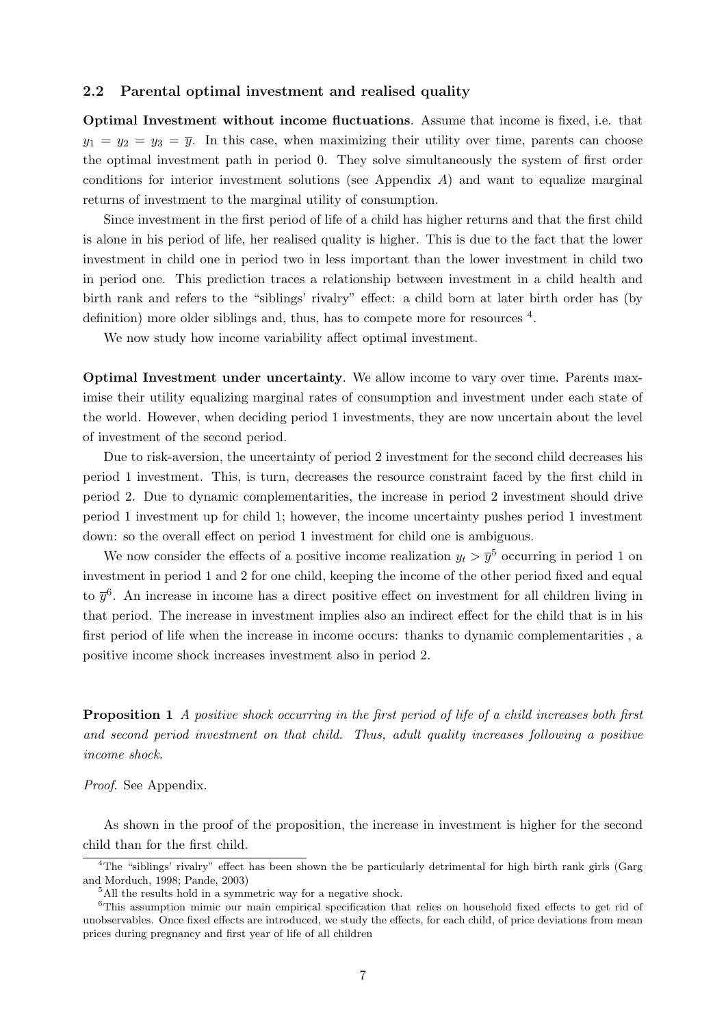#### 2.2 Parental optimal investment and realised quality

Optimal Investment without income fluctuations. Assume that income is fixed, i.e. that  $y_1 = y_2 = y_3 = \overline{y}$ . In this case, when maximizing their utility over time, parents can choose the optimal investment path in period 0. They solve simultaneously the system of first order conditions for interior investment solutions (see [A](#page-33-0)ppendix  $A$ ) and want to equalize marginal returns of investment to the marginal utility of consumption.

Since investment in the first period of life of a child has higher returns and that the first child is alone in his period of life, her realised quality is higher. This is due to the fact that the lower investment in child one in period two in less important than the lower investment in child two in period one. This prediction traces a relationship between investment in a child health and birth rank and refers to the "siblings' rivalry" effect: a child born at later birth order has (by definition) more older siblings and, thus, has to compete more for resources <sup>[4](#page-0-0)</sup>.

We now study how income variability affect optimal investment.

Optimal Investment under uncertainty. We allow income to vary over time. Parents maximise their utility equalizing marginal rates of consumption and investment under each state of the world. However, when deciding period 1 investments, they are now uncertain about the level of investment of the second period.

Due to risk-aversion, the uncertainty of period 2 investment for the second child decreases his period 1 investment. This, is turn, decreases the resource constraint faced by the first child in period 2. Due to dynamic complementarities, the increase in period 2 investment should drive period 1 investment up for child 1; however, the income uncertainty pushes period 1 investment down: so the overall effect on period 1 investment for child one is ambiguous.

We now consider the effects of a positive income realization  $y_t > \overline{y}^5$  $y_t > \overline{y}^5$  occurring in period 1 on investment in period 1 and 2 for one child, keeping the income of the other period fixed and equal to  $\bar{y}^6$  $\bar{y}^6$ . An increase in income has a direct positive effect on investment for all children living in that period. The increase in investment implies also an indirect effect for the child that is in his first period of life when the increase in income occurs: thanks to dynamic complementarities , a positive income shock increases investment also in period 2.

**Proposition 1** A positive shock occurring in the first period of life of a child increases both first and second period investment on that child. Thus, adult quality increases following a positive income shock.

Proof. See Appendix.

As shown in the proof of the proposition, the increase in investment is higher for the second child than for the first child.

<sup>&</sup>lt;sup>4</sup>The "siblings' rivalry" effect has been shown the be particularly detrimental for high birth rank girls [\(Garg](#page-29-12) [and Morduch,](#page-29-12) [1998;](#page-29-12) [Pande,](#page-29-13) [2003\)](#page-29-13)

<sup>5</sup>All the results hold in a symmetric way for a negative shock.

<sup>6</sup>This assumption mimic our main empirical specification that relies on household fixed effects to get rid of unobservables. Once fixed effects are introduced, we study the effects, for each child, of price deviations from mean prices during pregnancy and first year of life of all children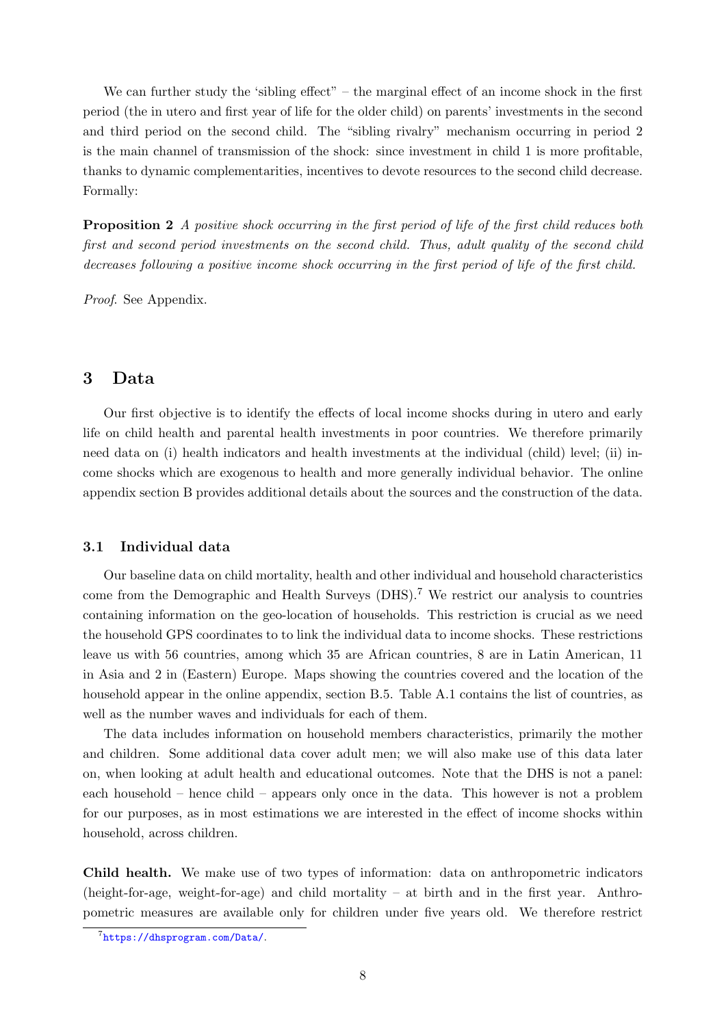We can further study the 'sibling effect" – the marginal effect of an income shock in the first period (the in utero and first year of life for the older child) on parents' investments in the second and third period on the second child. The "sibling rivalry" mechanism occurring in period 2 is the main channel of transmission of the shock: since investment in child 1 is more profitable, thanks to dynamic complementarities, incentives to devote resources to the second child decrease. Formally:

**Proposition 2** A positive shock occurring in the first period of life of the first child reduces both first and second period investments on the second child. Thus, adult quality of the second child decreases following a positive income shock occurring in the first period of life of the first child.

Proof. See Appendix.

## 3 Data

Our first objective is to identify the effects of local income shocks during in utero and early life on child health and parental health investments in poor countries. We therefore primarily need data on (i) health indicators and health investments at the individual (child) level; (ii) income shocks which are exogenous to health and more generally individual behavior. The online appendix section [B](#page-34-0) provides additional details about the sources and the construction of the data.

#### 3.1 Individual data

Our baseline data on child mortality, health and other individual and household characteristics come from the Demographic and Health Surveys (DHS).[7](#page-0-0) We restrict our analysis to countries containing information on the geo-location of households. This restriction is crucial as we need the household GPS coordinates to to link the individual data to income shocks. These restrictions leave us with 56 countries, among which 35 are African countries, 8 are in Latin American, 11 in Asia and 2 in (Eastern) Europe. Maps showing the countries covered and the location of the household appear in the online appendix, section [B.5.](#page-38-0) Table [A.1](#page-11-1) contains the list of countries, as well as the number waves and individuals for each of them.

The data includes information on household members characteristics, primarily the mother and children. Some additional data cover adult men; we will also make use of this data later on, when looking at adult health and educational outcomes. Note that the DHS is not a panel: each household – hence child – appears only once in the data. This however is not a problem for our purposes, as in most estimations we are interested in the effect of income shocks within household, across children.

Child health. We make use of two types of information: data on anthropometric indicators (height-for-age, weight-for-age) and child mortality – at birth and in the first year. Anthropometric measures are available only for children under five years old. We therefore restrict

<sup>7</sup> <https://dhsprogram.com/Data/>.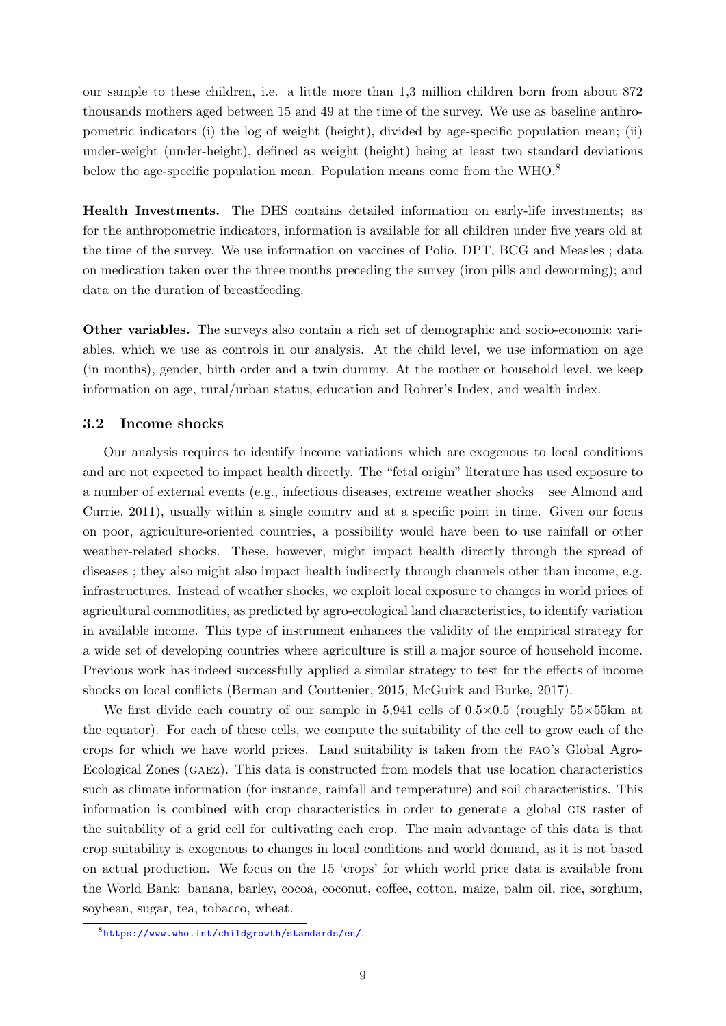our sample to these children, i.e. a little more than 1,3 million children born from about 872 thousands mothers aged between 15 and 49 at the time of the survey. We use as baseline anthropometric indicators (i) the log of weight (height), divided by age-specific population mean; (ii) under-weight (under-height), defined as weight (height) being at least two standard deviations below the age-specific population mean. Population means come from the WHO.<sup>[8](#page-0-0)</sup>

Health Investments. The DHS contains detailed information on early-life investments; as for the anthropometric indicators, information is available for all children under five years old at the time of the survey. We use information on vaccines of Polio, DPT, BCG and Measles ; data on medication taken over the three months preceding the survey (iron pills and deworming); and data on the duration of breastfeeding.

Other variables. The surveys also contain a rich set of demographic and socio-economic variables, which we use as controls in our analysis. At the child level, we use information on age (in months), gender, birth order and a twin dummy. At the mother or household level, we keep information on age, rural/urban status, education and Rohrer's Index, and wealth index.

#### 3.2 Income shocks

Our analysis requires to identify income variations which are exogenous to local conditions and are not expected to impact health directly. The "fetal origin" literature has used exposure to a number of external events (e.g., infectious diseases, extreme weather shocks – see [Almond and](#page-28-10) [Currie,](#page-28-10) [2011\)](#page-28-10), usually within a single country and at a specific point in time. Given our focus on poor, agriculture-oriented countries, a possibility would have been to use rainfall or other weather-related shocks. These, however, might impact health directly through the spread of diseases ; they also might also impact health indirectly through channels other than income, e.g. infrastructures. Instead of weather shocks, we exploit local exposure to changes in world prices of agricultural commodities, as predicted by agro-ecological land characteristics, to identify variation in available income. This type of instrument enhances the validity of the empirical strategy for a wide set of developing countries where agriculture is still a major source of household income. Previous work has indeed successfully applied a similar strategy to test for the effects of income shocks on local conflicts [\(Berman and Couttenier,](#page-28-3) [2015;](#page-28-3) [McGuirk and Burke,](#page-29-1) [2017\)](#page-29-1).

We first divide each country of our sample in  $5,941$  cells of  $0.5 \times 0.5$  (roughly  $55 \times 55$  km at the equator). For each of these cells, we compute the suitability of the cell to grow each of the crops for which we have world prices. Land suitability is taken from the fao's Global Agro-Ecological Zones (gaez). This data is constructed from models that use location characteristics such as climate information (for instance, rainfall and temperature) and soil characteristics. This information is combined with crop characteristics in order to generate a global gis raster of the suitability of a grid cell for cultivating each crop. The main advantage of this data is that crop suitability is exogenous to changes in local conditions and world demand, as it is not based on actual production. We focus on the 15 'crops' for which world price data is available from the World Bank: banana, barley, cocoa, coconut, coffee, cotton, maize, palm oil, rice, sorghum, soybean, sugar, tea, tobacco, wheat.

<sup>8</sup> <https://www.who.int/childgrowth/standards/en/>.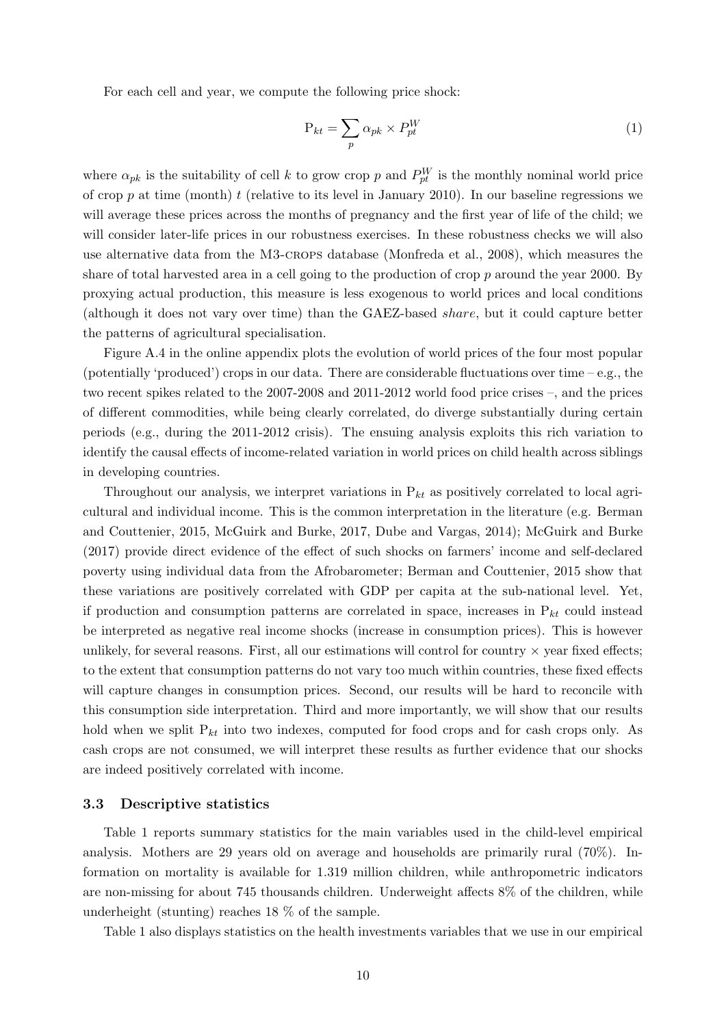For each cell and year, we compute the following price shock:

<span id="page-10-0"></span>
$$
P_{kt} = \sum_{p} \alpha_{pk} \times P_{pt}^{W}
$$
 (1)

where  $\alpha_{pk}$  is the suitability of cell k to grow crop p and  $P_{pt}^W$  is the monthly nominal world price of crop  $p$  at time (month)  $t$  (relative to its level in January 2010). In our baseline regressions we will average these prices across the months of pregnancy and the first year of life of the child; we will consider later-life prices in our robustness exercises. In these robustness checks we will also use alternative data from the M3-crops database [\(Monfreda et al.,](#page-29-14) [2008\)](#page-29-14), which measures the share of total harvested area in a cell going to the production of crop p around the year 2000. By proxying actual production, this measure is less exogenous to world prices and local conditions (although it does not vary over time) than the GAEZ-based share, but it could capture better the patterns of agricultural specialisation.

Figure [A.4](#page-39-0) in the online appendix plots the evolution of world prices of the four most popular (potentially 'produced') crops in our data. There are considerable fluctuations over time – e.g., the two recent spikes related to the 2007-2008 and 2011-2012 world food price crises –, and the prices of different commodities, while being clearly correlated, do diverge substantially during certain periods (e.g., during the 2011-2012 crisis). The ensuing analysis exploits this rich variation to identify the causal effects of income-related variation in world prices on child health across siblings in developing countries.

Throughout our analysis, we interpret variations in  $P_{kt}$  as positively correlated to local agricultural and individual income. This is the common interpretation in the literature (e.g. [Berman](#page-28-3) [and Couttenier,](#page-28-3) [2015,](#page-28-3) [McGuirk and Burke,](#page-29-1) [2017,](#page-29-1) Dube and Vargas, 2014); [McGuirk and Burke](#page-29-1) [\(2017\)](#page-29-1) provide direct evidence of the effect of such shocks on farmers' income and self-declared poverty using individual data from the Afrobarometer; [Berman and Couttenier,](#page-28-3) [2015](#page-28-3) show that these variations are positively correlated with GDP per capita at the sub-national level. Yet, if production and consumption patterns are correlated in space, increases in  $P_{kt}$  could instead be interpreted as negative real income shocks (increase in consumption prices). This is however unlikely, for several reasons. First, all our estimations will control for country  $\times$  year fixed effects; to the extent that consumption patterns do not vary too much within countries, these fixed effects will capture changes in consumption prices. Second, our results will be hard to reconcile with this consumption side interpretation. Third and more importantly, we will show that our results hold when we split  $P_{kt}$  into two indexes, computed for food crops and for cash crops only. As cash crops are not consumed, we will interpret these results as further evidence that our shocks are indeed positively correlated with income.

#### 3.3 Descriptive statistics

Table [1](#page-11-1) reports summary statistics for the main variables used in the child-level empirical analysis. Mothers are 29 years old on average and households are primarily rural (70%). Information on mortality is available for 1.319 million children, while anthropometric indicators are non-missing for about 745 thousands children. Underweight affects 8% of the children, while underheight (stunting) reaches 18 % of the sample.

Table [1](#page-11-1) also displays statistics on the health investments variables that we use in our empirical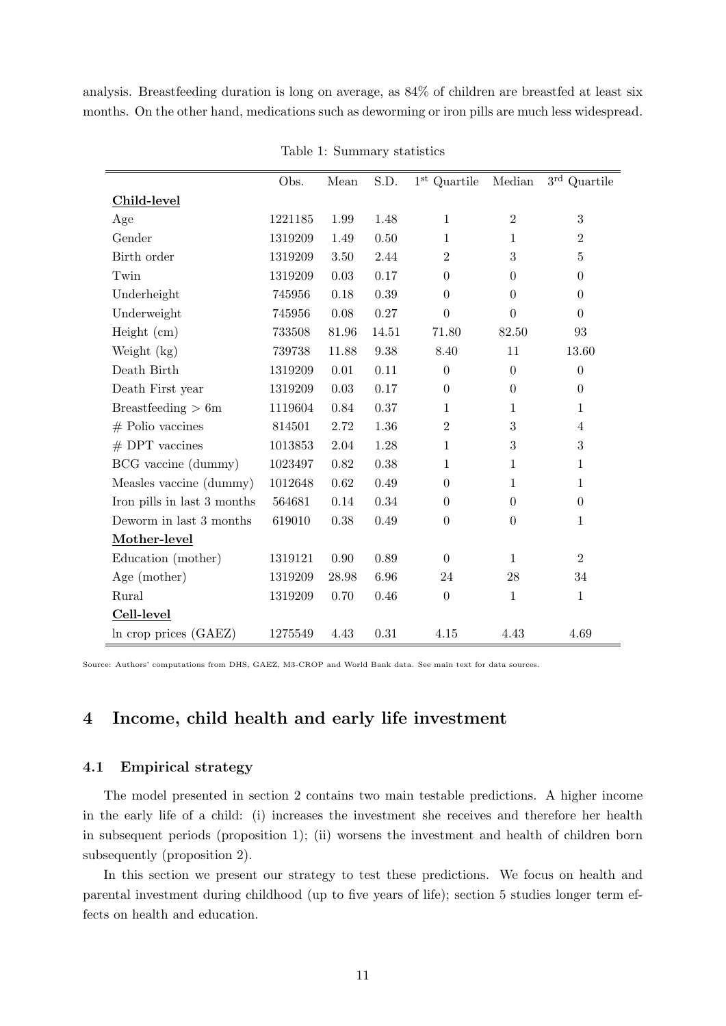analysis. Breastfeeding duration is long on average, as 84% of children are breastfed at least six months. On the other hand, medications such as deworming or iron pills are much less widespread.

<span id="page-11-1"></span>

|                             | Obs.    | Mean     | S.D.     | $1st$ Quartile   | Median           | $3^{\rm rd}$ Quartile |
|-----------------------------|---------|----------|----------|------------------|------------------|-----------------------|
| Child-level                 |         |          |          |                  |                  |                       |
| Age                         | 1221185 | 1.99     | 1.48     | $\mathbf{1}$     | $\overline{2}$   | 3                     |
| Gender                      | 1319209 | 1.49     | 0.50     | $\mathbf{1}$     | $\mathbf{1}$     | $\overline{2}$        |
| Birth order                 | 1319209 | 3.50     | 2.44     | $\overline{2}$   | 3                | $\overline{5}$        |
| Twin                        | 1319209 | $0.03\,$ | 0.17     | $\theta$         | $\overline{0}$   | $\boldsymbol{0}$      |
| Underheight                 | 745956  | 0.18     | $0.39\,$ | $\Omega$         | $\overline{0}$   | $\overline{0}$        |
| Underweight                 | 745956  | 0.08     | $0.27\,$ | $\boldsymbol{0}$ | $\overline{0}$   | $\overline{0}$        |
| Height (cm)                 | 733508  | 81.96    | 14.51    | 71.80            | 82.50            | 93                    |
| Weight (kg)                 | 739738  | 11.88    | 9.38     | 8.40             | 11               | 13.60                 |
| Death Birth                 | 1319209 | 0.01     | 0.11     | $\theta$         | $\Omega$         | $\overline{0}$        |
| Death First year            | 1319209 | 0.03     | 0.17     | $\theta$         | $\overline{0}$   | $\overline{0}$        |
| Breastfeeding $> 6m$        | 1119604 | 0.84     | 0.37     | $\mathbf{1}$     | $\mathbf{1}$     | $\mathbf{1}$          |
| $#$ Polio vaccines          | 814501  | 2.72     | 1.36     | $\overline{2}$   | 3                | $\overline{4}$        |
| $#$ DPT vaccines            | 1013853 | 2.04     | 1.28     | $\mathbf{1}$     | 3                | $\boldsymbol{3}$      |
| BCG vaccine (dummy)         | 1023497 | 0.82     | 0.38     | $\mathbf{1}$     | $\mathbf{1}$     | $\mathbf{1}$          |
| Measles vaccine (dummy)     | 1012648 | 0.62     | 0.49     | $\overline{0}$   | $\mathbf{1}$     | $\mathbf{1}$          |
| Iron pills in last 3 months | 564681  | 0.14     | 0.34     | $\Omega$         | $\theta$         | $\theta$              |
| Deworm in last 3 months     | 619010  | 0.38     | 0.49     | $\boldsymbol{0}$ | $\boldsymbol{0}$ | $\mathbf{1}$          |
| Mother-level                |         |          |          |                  |                  |                       |
| Education (mother)          | 1319121 | 0.90     | 0.89     | $\overline{0}$   | $\mathbf{1}$     | $\overline{2}$        |
| Age (mother)                | 1319209 | 28.98    | 6.96     | 24               | 28               | 34                    |
| Rural                       | 1319209 | 0.70     | $0.46\,$ | $\boldsymbol{0}$ | $\mathbf{1}$     | $\mathbf{1}$          |
| Cell-level                  |         |          |          |                  |                  |                       |
| In crop prices (GAEZ)       | 1275549 | 4.43     | 0.31     | 4.15             | 4.43             | 4.69                  |

Table 1: Summary statistics

Source: Authors' computations from DHS, GAEZ, M3-CROP and World Bank data. See main text for data sources.

## 4 Income, child health and early life investment

#### <span id="page-11-0"></span>4.1 Empirical strategy

The model presented in section [2](#page-5-0) contains two main testable predictions. A higher income in the early life of a child: (i) increases the investment she receives and therefore her health in subsequent periods (proposition 1); (ii) worsens the investment and health of children born subsequently (proposition 2).

In this section we present our strategy to test these predictions. We focus on health and parental investment during childhood (up to five years of life); section [5](#page-20-0) studies longer term effects on health and education.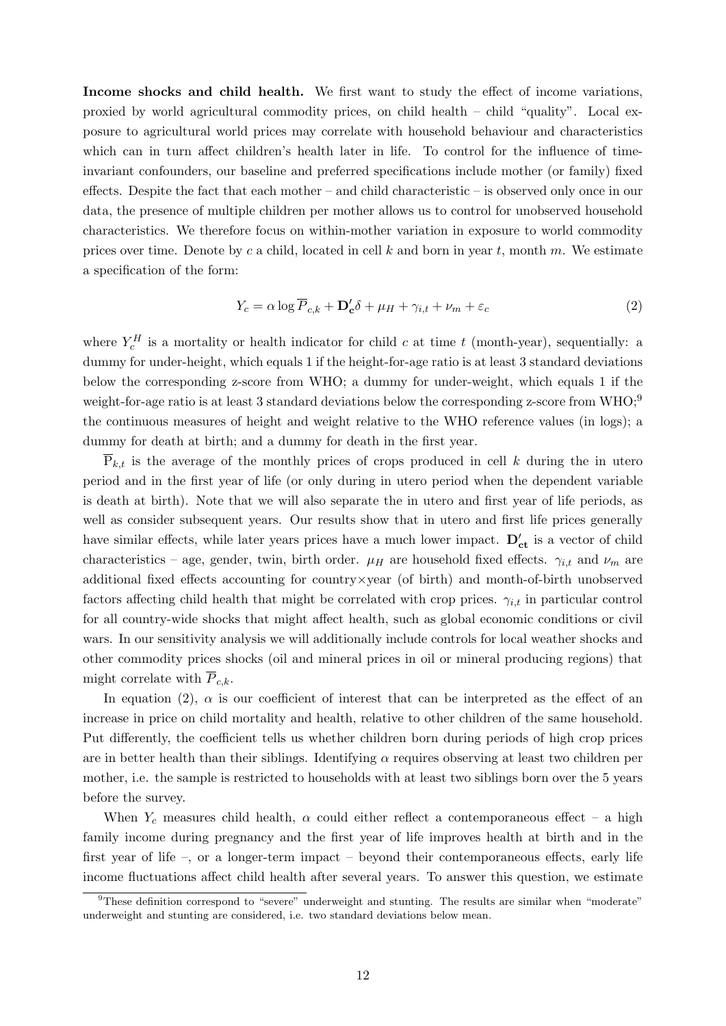Income shocks and child health. We first want to study the effect of income variations, proxied by world agricultural commodity prices, on child health – child "quality". Local exposure to agricultural world prices may correlate with household behaviour and characteristics which can in turn affect children's health later in life. To control for the influence of timeinvariant confounders, our baseline and preferred specifications include mother (or family) fixed effects. Despite the fact that each mother – and child characteristic – is observed only once in our data, the presence of multiple children per mother allows us to control for unobserved household characteristics. We therefore focus on within-mother variation in exposure to world commodity prices over time. Denote by c a child, located in cell k and born in year t, month m. We estimate a specification of the form:

<span id="page-12-0"></span>
$$
Y_c = \alpha \log \overline{P}_{c,k} + \mathbf{D_c'}\delta + \mu_H + \gamma_{i,t} + \nu_m + \varepsilon_c \tag{2}
$$

where  $Y_c^H$  is a mortality or health indicator for child c at time t (month-year), sequentially: a dummy for under-height, which equals 1 if the height-for-age ratio is at least 3 standard deviations below the corresponding z-score from WHO; a dummy for under-weight, which equals 1 if the weight-for-age ratio is at least 3 standard deviations below the corresponding z-score from WHO;<sup>[9](#page-0-0)</sup> the continuous measures of height and weight relative to the WHO reference values (in logs); a dummy for death at birth; and a dummy for death in the first year.

 $P_{k,t}$  is the average of the monthly prices of crops produced in cell k during the in utero period and in the first year of life (or only during in utero period when the dependent variable is death at birth). Note that we will also separate the in utero and first year of life periods, as well as consider subsequent years. Our results show that in utero and first life prices generally have similar effects, while later years prices have a much lower impact.  $D'_{ct}$  is a vector of child characteristics – age, gender, twin, birth order.  $\mu_H$  are household fixed effects.  $\gamma_{i,t}$  and  $\nu_m$  are additional fixed effects accounting for country×year (of birth) and month-of-birth unobserved factors affecting child health that might be correlated with crop prices.  $\gamma_{i,t}$  in particular control for all country-wide shocks that might affect health, such as global economic conditions or civil wars. In our sensitivity analysis we will additionally include controls for local weather shocks and other commodity prices shocks (oil and mineral prices in oil or mineral producing regions) that might correlate with  $\overline{P}_{c,k}$ .

In equation [\(2\)](#page-12-0),  $\alpha$  is our coefficient of interest that can be interpreted as the effect of an increase in price on child mortality and health, relative to other children of the same household. Put differently, the coefficient tells us whether children born during periods of high crop prices are in better health than their siblings. Identifying  $\alpha$  requires observing at least two children per mother, i.e. the sample is restricted to households with at least two siblings born over the 5 years before the survey.

When  $Y_c$  measures child health,  $\alpha$  could either reflect a contemporaneous effect – a high family income during pregnancy and the first year of life improves health at birth and in the first year of life –, or a longer-term impact – beyond their contemporaneous effects, early life income fluctuations affect child health after several years. To answer this question, we estimate

<sup>9</sup>These definition correspond to "severe" underweight and stunting. The results are similar when "moderate" underweight and stunting are considered, i.e. two standard deviations below mean.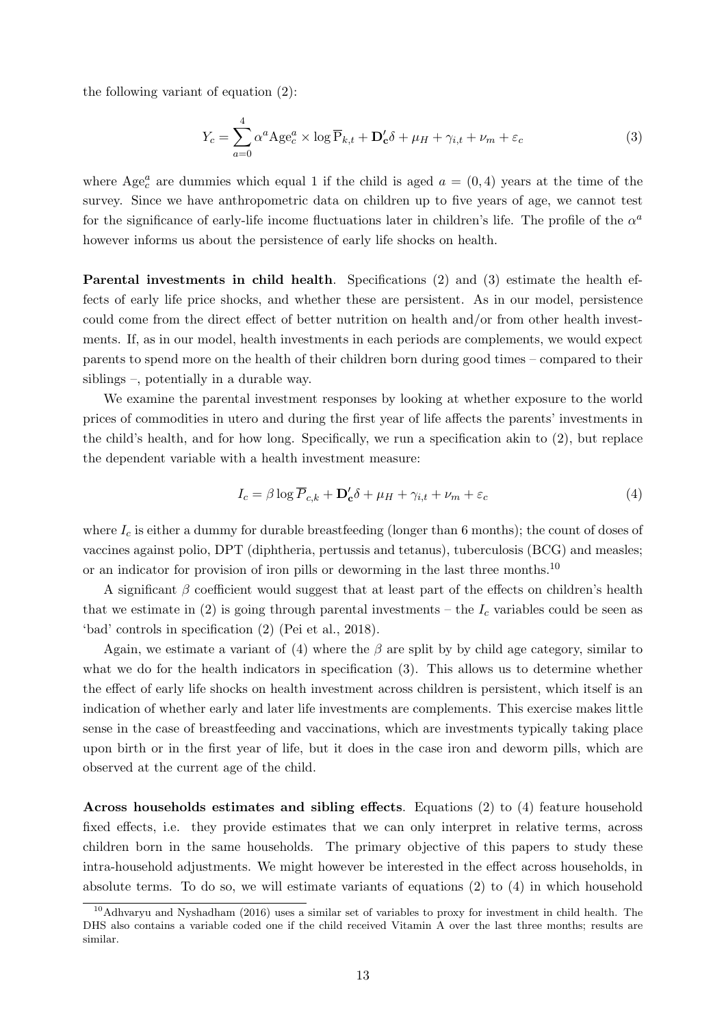the following variant of equation  $(2)$ :

<span id="page-13-0"></span>
$$
Y_c = \sum_{a=0}^{4} \alpha^a \text{Age}_c^a \times \log \overline{P}_{k,t} + \mathbf{D}_c' \delta + \mu_H + \gamma_{i,t} + \nu_m + \varepsilon_c \tag{3}
$$

where  $Age_c^a$  are dummies which equal 1 if the child is aged  $a = (0, 4)$  years at the time of the survey. Since we have anthropometric data on children up to five years of age, we cannot test for the significance of early-life income fluctuations later in children's life. The profile of the  $\alpha^a$ however informs us about the persistence of early life shocks on health.

Parental investments in child health. Specifications [\(2\)](#page-12-0) and [\(3\)](#page-13-0) estimate the health effects of early life price shocks, and whether these are persistent. As in our model, persistence could come from the direct effect of better nutrition on health and/or from other health investments. If, as in our model, health investments in each periods are complements, we would expect parents to spend more on the health of their children born during good times – compared to their siblings –, potentially in a durable way.

We examine the parental investment responses by looking at whether exposure to the world prices of commodities in utero and during the first year of life affects the parents' investments in the child's health, and for how long. Specifically, we run a specification akin to [\(2\)](#page-12-0), but replace the dependent variable with a health investment measure:

<span id="page-13-1"></span>
$$
I_c = \beta \log \overline{P}_{c,k} + \mathbf{D}'_c \delta + \mu_H + \gamma_{i,t} + \nu_m + \varepsilon_c \tag{4}
$$

where  $I_c$  is either a dummy for durable breastfeeding (longer than 6 months); the count of doses of vaccines against polio, DPT (diphtheria, pertussis and tetanus), tuberculosis (BCG) and measles; or an indicator for provision of iron pills or deworming in the last three months.<sup>[10](#page-0-0)</sup>

A significant  $\beta$  coefficient would suggest that at least part of the effects on children's health that we estimate in [\(2\)](#page-12-0) is going through parental investments – the  $I_c$  variables could be seen as 'bad' controls in specification [\(2\)](#page-12-0) [\(Pei et al.,](#page-29-15) [2018\)](#page-29-15).

Again, we estimate a variant of [\(4\)](#page-13-1) where the  $\beta$  are split by by child age category, similar to what we do for the health indicators in specification  $(3)$ . This allows us to determine whether the effect of early life shocks on health investment across children is persistent, which itself is an indication of whether early and later life investments are complements. This exercise makes little sense in the case of breastfeeding and vaccinations, which are investments typically taking place upon birth or in the first year of life, but it does in the case iron and deworm pills, which are observed at the current age of the child.

Across households estimates and sibling effects. Equations [\(2\)](#page-12-0) to [\(4\)](#page-13-1) feature household fixed effects, i.e. they provide estimates that we can only interpret in relative terms, across children born in the same households. The primary objective of this papers to study these intra-household adjustments. We might however be interested in the effect across households, in absolute terms. To do so, we will estimate variants of equations [\(2\)](#page-12-0) to [\(4\)](#page-13-1) in which household

<sup>10</sup>[Adhvaryu and Nyshadham](#page-28-16) [\(2016\)](#page-28-16) uses a similar set of variables to proxy for investment in child health. The DHS also contains a variable coded one if the child received Vitamin A over the last three months; results are similar.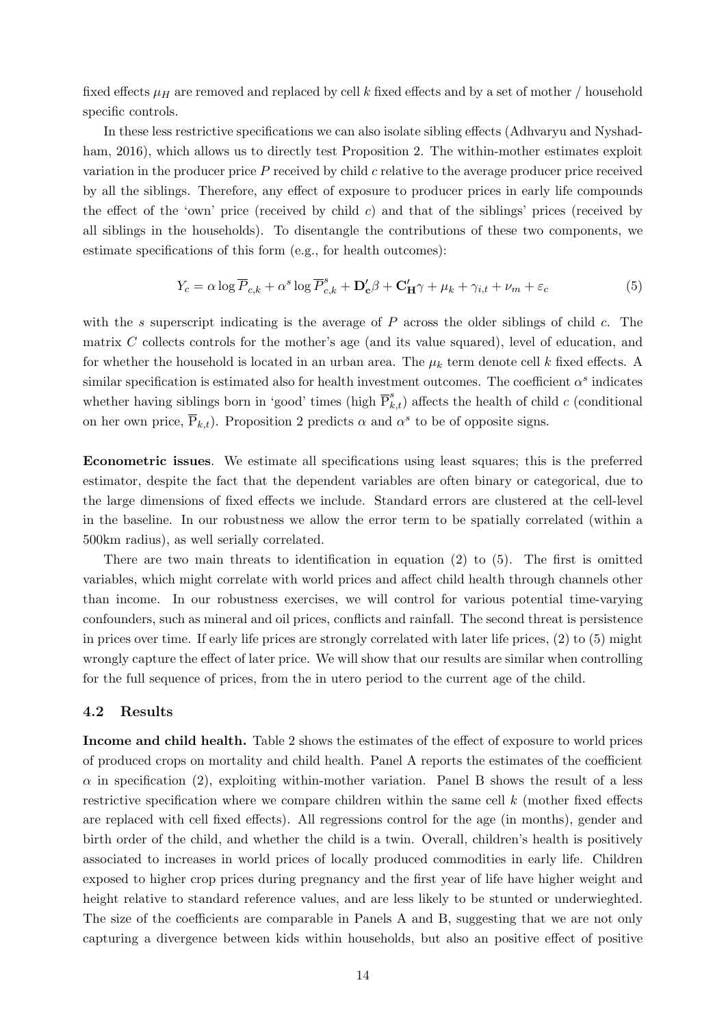fixed effects  $\mu$ H are removed and replaced by cell k fixed effects and by a set of mother / household specific controls.

In these less restrictive specifications we can also isolate sibling effects [\(Adhvaryu and Nyshad](#page-28-16)[ham,](#page-28-16) [2016\)](#page-28-16), which allows us to directly test Proposition 2. The within-mother estimates exploit variation in the producer price  $P$  received by child  $c$  relative to the average producer price received by all the siblings. Therefore, any effect of exposure to producer prices in early life compounds the effect of the 'own' price (received by child c) and that of the siblings' prices (received by all siblings in the households). To disentangle the contributions of these two components, we estimate specifications of this form (e.g., for health outcomes):

<span id="page-14-0"></span>
$$
Y_c = \alpha \log \overline{P}_{c,k} + \alpha^s \log \overline{P}_{c,k}^s + \mathbf{D}_{c}'\beta + \mathbf{C}_{H}'\gamma + \mu_k + \gamma_{i,t} + \nu_m + \varepsilon_c \tag{5}
$$

with the s superscript indicating is the average of  $P$  across the older siblings of child  $c$ . The matrix C collects controls for the mother's age (and its value squared), level of education, and for whether the household is located in an urban area. The  $\mu_k$  term denote cell k fixed effects. A similar specification is estimated also for health investment outcomes. The coefficient  $\alpha^s$  indicates whether having siblings born in 'good' times (high  $\overline{P}_{k,t}^s$ ) affects the health of child c (conditional on her own price,  $\overline{P}_{k,t}$ ). Proposition 2 predicts  $\alpha$  and  $\alpha^s$  to be of opposite signs.

Econometric issues. We estimate all specifications using least squares; this is the preferred estimator, despite the fact that the dependent variables are often binary or categorical, due to the large dimensions of fixed effects we include. Standard errors are clustered at the cell-level in the baseline. In our robustness we allow the error term to be spatially correlated (within a 500km radius), as well serially correlated.

There are two main threats to identification in equation  $(2)$  to  $(5)$ . The first is omitted variables, which might correlate with world prices and affect child health through channels other than income. In our robustness exercises, we will control for various potential time-varying confounders, such as mineral and oil prices, conflicts and rainfall. The second threat is persistence in prices over time. If early life prices are strongly correlated with later life prices, [\(2\)](#page-12-0) to [\(5\)](#page-14-0) might wrongly capture the effect of later price. We will show that our results are similar when controlling for the full sequence of prices, from the in utero period to the current age of the child.

#### 4.2 Results

Income and child health. Table [2](#page-15-0) shows the estimates of the effect of exposure to world prices of produced crops on mortality and child health. Panel A reports the estimates of the coefficient  $\alpha$  in specification [\(2\)](#page-12-0), exploiting within-mother variation. Panel B shows the result of a less restrictive specification where we compare children within the same cell k (mother fixed effects are replaced with cell fixed effects). All regressions control for the age (in months), gender and birth order of the child, and whether the child is a twin. Overall, children's health is positively associated to increases in world prices of locally produced commodities in early life. Children exposed to higher crop prices during pregnancy and the first year of life have higher weight and height relative to standard reference values, and are less likely to be stunted or underwieghted. The size of the coefficients are comparable in Panels A and B, suggesting that we are not only capturing a divergence between kids within households, but also an positive effect of positive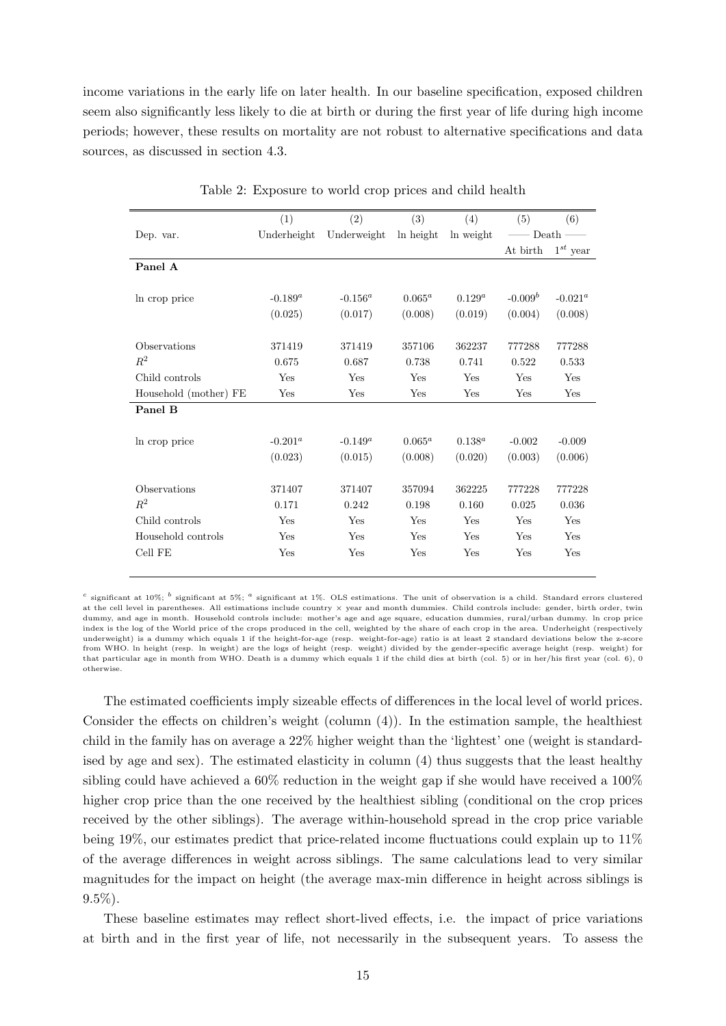income variations in the early life on later health. In our baseline specification, exposed children seem also significantly less likely to die at birth or during the first year of life during high income periods; however, these results on mortality are not robust to alternative specifications and data sources, as discussed in section [4.3.](#page-19-0)

<span id="page-15-0"></span>

|                       | (1)         | (2)         | (3)       | (4)         | (5)                   | (6)           |
|-----------------------|-------------|-------------|-----------|-------------|-----------------------|---------------|
| Dep. var.             | Underheight | Underweight | ln height | ln weight   | $-\mathop{\rm Death}$ |               |
|                       |             |             |           |             | At birth              | $1^{st}$ year |
| Panel A               |             |             |           |             |                       |               |
| In crop price         | $-0.189^a$  | $-0.156^a$  | $0.065^a$ | $0.129^{a}$ | $-0.009b$             | $-0.021^a$    |
|                       | (0.025)     | (0.017)     | (0.008)   | (0.019)     | (0.004)               | (0.008)       |
| Observations          | 371419      | 371419      | 357106    | 362237      | 777288                | 777288        |
| $R^2$                 | 0.675       | 0.687       | 0.738     | 0.741       | 0.522                 | 0.533         |
| Child controls        | Yes         | Yes         | Yes       | Yes         | Yes                   | Yes           |
| Household (mother) FE | Yes         | Yes         | Yes       | Yes         | Yes                   | Yes           |
| Panel B               |             |             |           |             |                       |               |
| In crop price         | $-0.201^a$  | $-0.149^a$  | $0.065^a$ | $0.138^{a}$ | $-0.002$              | $-0.009$      |
|                       | (0.023)     | (0.015)     | (0.008)   | (0.020)     | (0.003)               | (0.006)       |
| Observations          | 371407      | 371407      | 357094    | 362225      | 777228                | 777228        |
| $R^2$                 | 0.171       | 0.242       | 0.198     | 0.160       | 0.025                 | 0.036         |
| Child controls        | Yes         | Yes         | Yes       | Yes         | Yes                   | Yes           |
| Household controls    | Yes         | Yes         | Yes       | Yes         | Yes                   | Yes           |
| Cell FE               | Yes         | Yes         | Yes       | Yes         | Yes                   | Yes           |

Table 2: Exposure to world crop prices and child health

<sup>c</sup> significant at 10%; <sup>b</sup> significant at 5%; <sup>a</sup> significant at 1%. OLS estimations. The unit of observation is a child. Standard errors clustered at the cell level in parentheses. All estimations include country × year and month dummies. Child controls include: gender, birth order, twin dummy, and age in month. Household controls include: mother's age and age square, education dummies, rural/urban dummy. ln crop price index is the log of the World price of the crops produced in the cell, weighted by the share of each crop in the area. Underheight (respectively underweight) is a dummy which equals 1 if the height-for-age (resp. weight-for-age) ratio is at least 2 standard deviations below the z-score from WHO. ln height (resp. ln weight) are the logs of height (resp. weight) divided by the gender-specific average height (resp. weight) for that particular age in month from WHO. Death is a dummy which equals 1 if the child dies at birth (col. 5) or in her/his first year (col. 6), 0 otherwise.

The estimated coefficients imply sizeable effects of differences in the local level of world prices. Consider the effects on children's weight (column (4)). In the estimation sample, the healthiest child in the family has on average a 22% higher weight than the 'lightest' one (weight is standardised by age and sex). The estimated elasticity in column (4) thus suggests that the least healthy sibling could have achieved a 60% reduction in the weight gap if she would have received a 100% higher crop price than the one received by the healthiest sibling (conditional on the crop prices received by the other siblings). The average within-household spread in the crop price variable being 19%, our estimates predict that price-related income fluctuations could explain up to 11% of the average differences in weight across siblings. The same calculations lead to very similar magnitudes for the impact on height (the average max-min difference in height across siblings is 9.5%).

These baseline estimates may reflect short-lived effects, i.e. the impact of price variations at birth and in the first year of life, not necessarily in the subsequent years. To assess the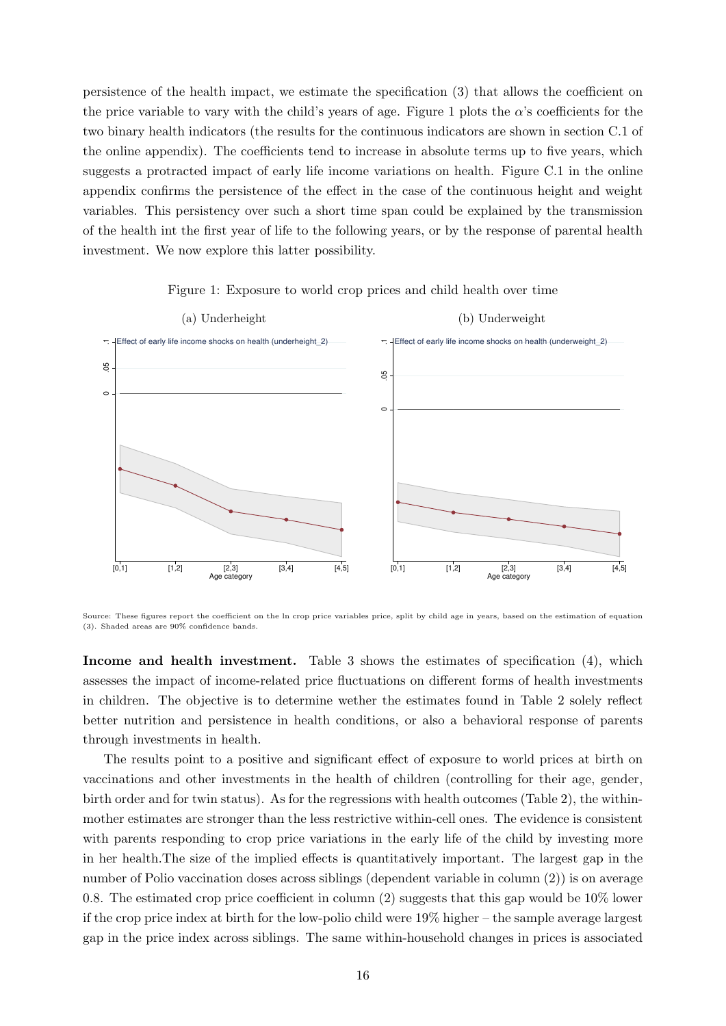persistence of the health impact, we estimate the specification [\(3\)](#page-13-0) that allows the coefficient on the price variable to vary with the child's years of age. Figure [1](#page-16-0) plots the  $\alpha$ 's coefficients for the two binary health indicators (the results for the continuous indicators are shown in section [C.1](#page-41-0) of the online appendix). The coefficients tend to increase in absolute terms up to five years, which suggests a protracted impact of early life income variations on health. Figure [C.1](#page-41-0) in the online appendix confirms the persistence of the effect in the case of the continuous height and weight variables. This persistency over such a short time span could be explained by the transmission of the health int the first year of life to the following years, or by the response of parental health investment. We now explore this latter possibility.

<span id="page-16-0"></span>

Figure 1: Exposure to world crop prices and child health over time

Source: These figures report the coefficient on the ln crop price variables price, split by child age in years, based on the estimation of equation [\(3\)](#page-13-0). Shaded areas are 90% confidence bands.

Income and health investment. Table [3](#page-17-0) shows the estimates of specification [\(4\)](#page-13-1), which assesses the impact of income-related price fluctuations on different forms of health investments in children. The objective is to determine wether the estimates found in Table [2](#page-15-0) solely reflect better nutrition and persistence in health conditions, or also a behavioral response of parents through investments in health.

The results point to a positive and significant effect of exposure to world prices at birth on vaccinations and other investments in the health of children (controlling for their age, gender, birth order and for twin status). As for the regressions with health outcomes (Table [2\)](#page-15-0), the withinmother estimates are stronger than the less restrictive within-cell ones. The evidence is consistent with parents responding to crop price variations in the early life of the child by investing more in her health.The size of the implied effects is quantitatively important. The largest gap in the number of Polio vaccination doses across siblings (dependent variable in column (2)) is on average 0.8. The estimated crop price coefficient in column (2) suggests that this gap would be 10% lower if the crop price index at birth for the low-polio child were 19% higher – the sample average largest gap in the price index across siblings. The same within-household changes in prices is associated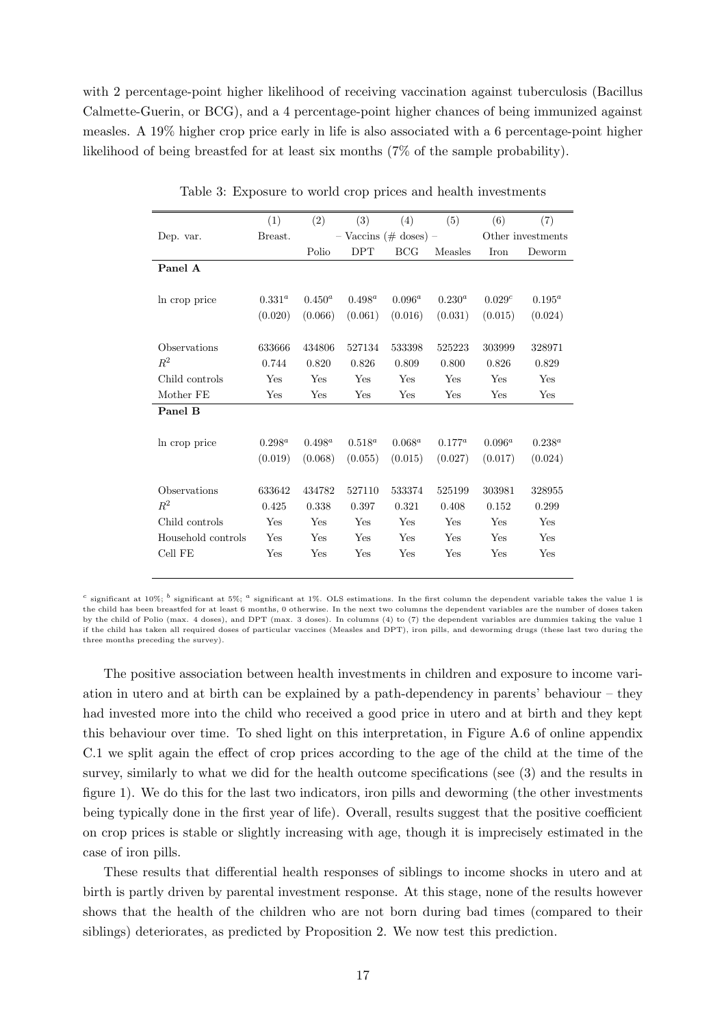with 2 percentage-point higher likelihood of receiving vaccination against tuberculosis (Bacillus Calmette-Guerin, or BCG), and a 4 percentage-point higher chances of being immunized against measles. A 19% higher crop price early in life is also associated with a 6 percentage-point higher likelihood of being breastfed for at least six months (7% of the sample probability).

<span id="page-17-0"></span>

|                    | (1)         | (2)       | (3)                       | (4)        | (5)         | (6)       | (7)               |
|--------------------|-------------|-----------|---------------------------|------------|-------------|-----------|-------------------|
| Dep. var.          | Breast.     |           | $-$ Vaccins (# doses) $-$ |            |             |           | Other investments |
|                    |             | Polio     | <b>DPT</b>                | <b>BCG</b> | Measles     | Iron      | Deworm            |
| Panel A            |             |           |                           |            |             |           |                   |
|                    |             |           |                           |            |             |           |                   |
| In crop price      | $0.331^{a}$ | $0.450^a$ | $0.498^a$                 | $0.096^a$  | $0.230^{a}$ | 0.029c    | $0.195^a$         |
|                    | (0.020)     | (0.066)   | (0.061)                   | (0.016)    | (0.031)     | (0.015)   | (0.024)           |
|                    |             |           |                           |            |             |           |                   |
| Observations       | 633666      | 434806    | 527134                    | 533398     | 525223      | 303999    | 328971            |
| $R^2$              | 0.744       | 0.820     | 0.826                     | 0.809      | 0.800       | 0.826     | 0.829             |
| Child controls     | Yes         | Yes       | Yes                       | Yes        | Yes         | Yes       | Yes               |
| Mother FE          | Yes         | Yes       | Yes                       | Yes        | Yes         | Yes       | Yes               |
| Panel B            |             |           |                           |            |             |           |                   |
|                    |             |           |                           |            |             |           |                   |
| In crop price      | $0.298^a$   | $0.498^a$ | $0.518^a$                 | $0.068^a$  | $0.177^a$   | $0.096^a$ | $0.238^{a}$       |
|                    | (0.019)     | (0.068)   | (0.055)                   | (0.015)    | (0.027)     | (0.017)   | (0.024)           |
|                    |             |           |                           |            |             |           |                   |
| Observations       | 633642      | 434782    | 527110                    | 533374     | 525199      | 303981    | 328955            |
| $R^2$              | 0.425       | 0.338     | 0.397                     | 0.321      | 0.408       | 0.152     | 0.299             |
| Child controls     | Yes         | Yes       | Yes                       | Yes        | Yes         | Yes       | Yes               |
| Household controls | Yes         | Yes       | Yes                       | Yes        | Yes         | Yes       | <b>Yes</b>        |
| Cell FE            | Yes         | Yes       | Yes                       | Yes        | Yes         | Yes       | Yes               |
|                    |             |           |                           |            |             |           |                   |

Table 3: Exposure to world crop prices and health investments

<sup>c</sup> significant at 10%; <sup>b</sup> significant at 5%; <sup>a</sup> significant at 1%. OLS estimations. In the first column the dependent variable takes the value 1 is the child has been breastfed for at least 6 months, 0 otherwise. In the next two columns the dependent variables are the number of doses taken by the child of Polio (max. 4 doses), and DPT (max. 3 doses). In columns (4) to (7) the dependent variables are dummies taking the value 1 if the child has taken all required doses of particular vaccines (Measles and DPT), iron pills, and deworming drugs (these last two during the three months preceding the survey).

The positive association between health investments in children and exposure to income variation in utero and at birth can be explained by a path-dependency in parents' behaviour – they had invested more into the child who received a good price in utero and at birth and they kept this behaviour over time. To shed light on this interpretation, in Figure [A.6](#page-41-1) of online appendix [C.1](#page-41-0) we split again the effect of crop prices according to the age of the child at the time of the survey, similarly to what we did for the health outcome specifications (see [\(3\)](#page-13-0) and the results in figure [1\)](#page-16-0). We do this for the last two indicators, iron pills and deworming (the other investments being typically done in the first year of life). Overall, results suggest that the positive coefficient on crop prices is stable or slightly increasing with age, though it is imprecisely estimated in the case of iron pills.

These results that differential health responses of siblings to income shocks in utero and at birth is partly driven by parental investment response. At this stage, none of the results however shows that the health of the children who are not born during bad times (compared to their siblings) deteriorates, as predicted by Proposition 2. We now test this prediction.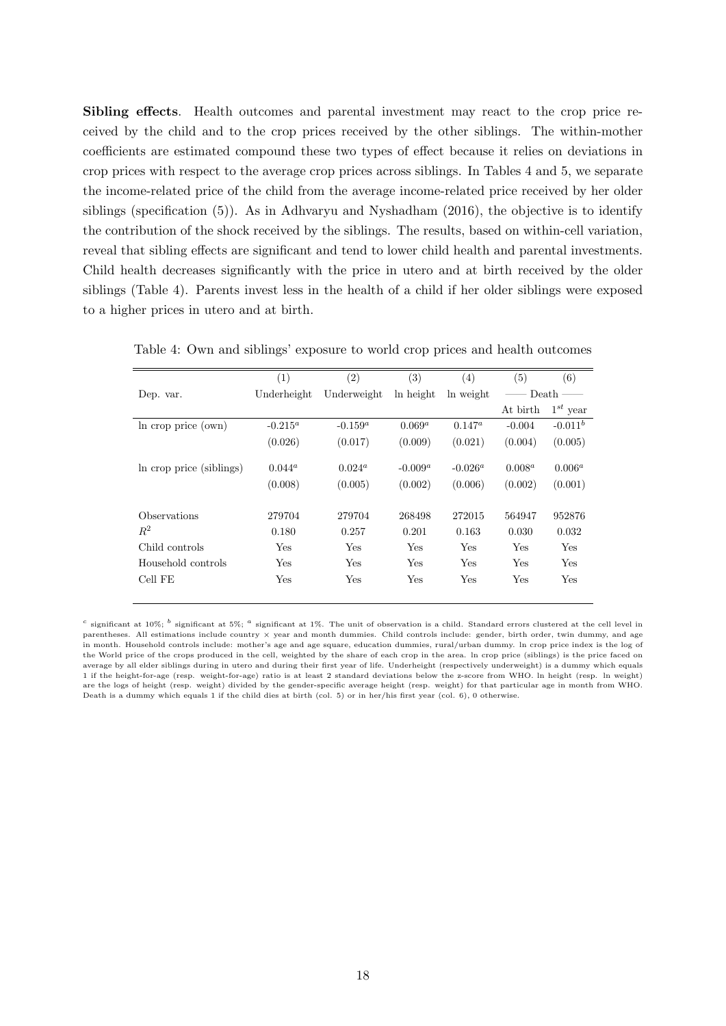Sibling effects. Health outcomes and parental investment may react to the crop price received by the child and to the crop prices received by the other siblings. The within-mother coefficients are estimated compound these two types of effect because it relies on deviations in crop prices with respect to the average crop prices across siblings. In Tables [4](#page-18-0) and [5,](#page-19-1) we separate the income-related price of the child from the average income-related price received by her older siblings (specification [\(5\)](#page-14-0)). As in [Adhvaryu and Nyshadham](#page-28-16) [\(2016\)](#page-28-16), the objective is to identify the contribution of the shock received by the siblings. The results, based on within-cell variation, reveal that sibling effects are significant and tend to lower child health and parental investments. Child health decreases significantly with the price in utero and at birth received by the older siblings (Table [4\)](#page-18-0). Parents invest less in the health of a child if her older siblings were exposed to a higher prices in utero and at birth.

|                          | (1)         | (2)         | (3)        | (4)        | (5)       | (6)           |
|--------------------------|-------------|-------------|------------|------------|-----------|---------------|
| Dep. var.                | Underheight | Underweight | ln height  | ln weight  |           | $Death -$     |
|                          |             |             |            |            | At birth  | $1^{st}$ year |
| In crop price (own)      | $-0.215^a$  | $-0.159^a$  | $0.069^a$  | $0.147^a$  | $-0.004$  | $-0.011^b$    |
|                          | (0.026)     | (0.017)     | (0.009)    | (0.021)    | (0.004)   | (0.005)       |
| In crop price (siblings) | $0.044^a$   | $0.024^a$   | $-0.009^a$ | $-0.026^a$ | $0.008^a$ | $0.006^a$     |
|                          | (0.008)     | (0.005)     | (0.002)    | (0.006)    | (0.002)   | (0.001)       |
| Observations             | 279704      | 279704      | 268498     | 272015     | 564947    | 952876        |
| $R^2$                    | 0.180       | 0.257       | 0.201      | 0.163      | 0.030     | 0.032         |
| Child controls           | Yes         | Yes         | Yes        | Yes        | Yes       | Yes           |
| Household controls       | Yes         | Yes         | Yes        | Yes        | Yes       | Yes           |
| Cell FE                  | Yes         | Yes         | Yes        | Yes        | Yes       | Yes           |

<span id="page-18-0"></span>Table 4: Own and siblings' exposure to world crop prices and health outcomes

<sup>c</sup> significant at 10%; <sup>b</sup> significant at 5%; <sup>a</sup> significant at 1%. The unit of observation is a child. Standard errors clustered at the cell level in parentheses. All estimations include country × year and month dummies. Child controls include: gender, birth order, twin dummy, and age in month. Household controls include: mother's age and age square, education dummies, rural/urban dummy. ln crop price index is the log of the World price of the crops produced in the cell, weighted by the share of each crop in the area. ln crop price (siblings) is the price faced on average by all elder siblings during in utero and during their first year of life. Underheight (respectively underweight) is a dummy which equals 1 if the height-for-age (resp. weight-for-age) ratio is at least 2 standard deviations below the z-score from WHO. ln height (resp. ln weight) are the logs of height (resp. weight) divided by the gender-specific average height (resp. weight) for that particular age in month from WHO. Death is a dummy which equals 1 if the child dies at birth (col. 5) or in her/his first year (col. 6), 0 otherwise.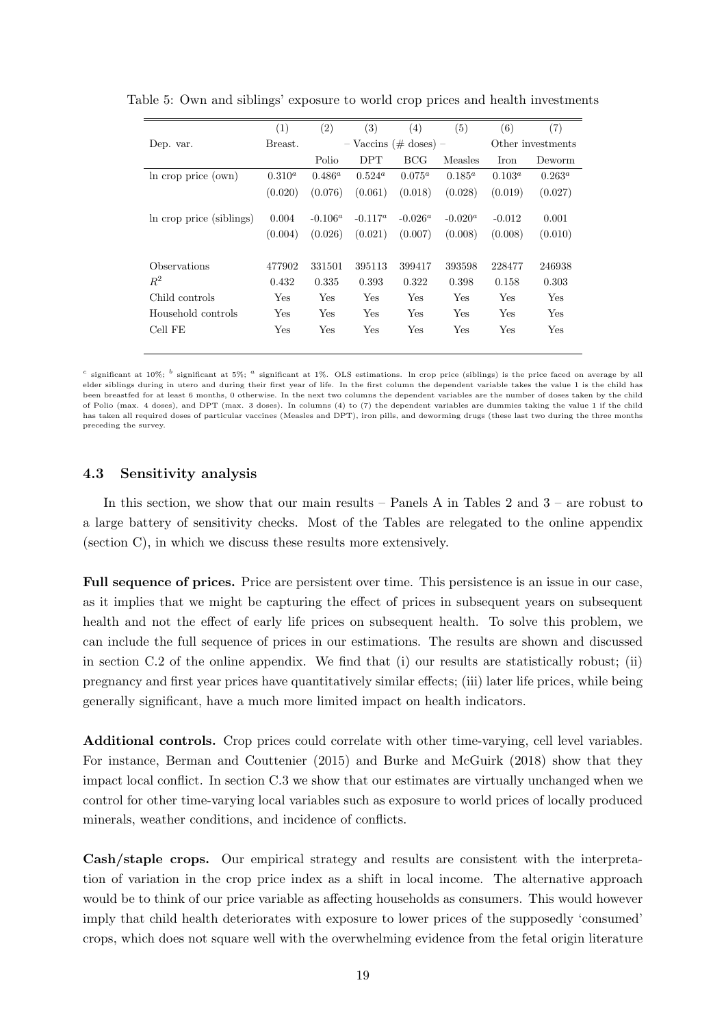|                          | (1)         | (2)        | (3)        | (4)                       | (5)        | (6)       | (7)               |
|--------------------------|-------------|------------|------------|---------------------------|------------|-----------|-------------------|
| Dep. var.                | Breast.     |            |            | $-$ Vaccins (# doses) $-$ |            |           | Other investments |
|                          |             | Polio      | <b>DPT</b> | BCG                       | Measles    | Iron      | Deworm            |
| In crop price (own)      | $0.310^{a}$ | $0.486^a$  | $0.524^a$  | $0.075^a$                 | $0.185^a$  | $0.103^a$ | $0.263^a$         |
|                          | (0.020)     | (0.076)    | (0.061)    | (0.018)                   | (0.028)    | (0.019)   | (0.027)           |
|                          |             |            |            |                           |            |           |                   |
| In crop price (siblings) | 0.004       | $-0.106^a$ | $-0.117^a$ | $-0.026^a$                | $-0.020^a$ | $-0.012$  | 0.001             |
|                          | (0.004)     | (0.026)    | (0.021)    | (0.007)                   | (0.008)    | (0.008)   | (0.010)           |
|                          |             |            |            |                           |            |           |                   |
| <b>Observations</b>      | 477902      | 331501     | 395113     | 399417                    | 393598     | 228477    | 246938            |
| $R^2$                    | 0.432       | 0.335      | 0.393      | 0.322                     | 0.398      | 0.158     | 0.303             |
| Child controls           | Yes         | Yes        | Yes        | Yes                       | Yes        | Yes       | Yes               |
| Household controls       | Yes         | Yes        | Yes        | Yes                       | Yes        | Yes       | Yes               |
| Cell FE                  | Yes         | Yes        | Yes        | Yes                       | Yes        | Yes       | Yes               |
|                          |             |            |            |                           |            |           |                   |

<span id="page-19-1"></span>Table 5: Own and siblings' exposure to world crop prices and health investments

<sup>c</sup> significant at 10%; <sup>b</sup> significant at 5%; <sup>a</sup> significant at 1%. OLS estimations. In crop price (siblings) is the price faced on average by all elder siblings during in utero and during their first year of life. In the first column the dependent variable takes the value 1 is the child has been breastfed for at least 6 months, 0 otherwise. In the next two columns the dependent variables are the number of doses taken by the child of Polio (max. 4 doses), and DPT (max. 3 doses). In columns (4) to (7) the dependent variables are dummies taking the value 1 if the child has taken all required doses of particular vaccines (Measles and DPT), iron pills, and deworming drugs (these last two during the three months preceding the survey.

#### <span id="page-19-0"></span>4.3 Sensitivity analysis

In this section, we show that our main results – Panels A in Tables [2](#page-15-0) and [3](#page-17-0) – are robust to a large battery of sensitivity checks. Most of the Tables are relegated to the online appendix (section [C\)](#page-41-2), in which we discuss these results more extensively.

Full sequence of prices. Price are persistent over time. This persistence is an issue in our case, as it implies that we might be capturing the effect of prices in subsequent years on subsequent health and not the effect of early life prices on subsequent health. To solve this problem, we can include the full sequence of prices in our estimations. The results are shown and discussed in section [C.2](#page-42-0) of the online appendix. We find that (i) our results are statistically robust; (ii) pregnancy and first year prices have quantitatively similar effects; (iii) later life prices, while being generally significant, have a much more limited impact on health indicators.

Additional controls. Crop prices could correlate with other time-varying, cell level variables. For instance, Berman and Couttenier (2015) and Burke and McGuirk (2018) show that they impact local conflict. In section [C.3](#page-46-0) we show that our estimates are virtually unchanged when we control for other time-varying local variables such as exposure to world prices of locally produced minerals, weather conditions, and incidence of conflicts.

Cash/staple crops. Our empirical strategy and results are consistent with the interpretation of variation in the crop price index as a shift in local income. The alternative approach would be to think of our price variable as affecting households as consumers. This would however imply that child health deteriorates with exposure to lower prices of the supposedly 'consumed' crops, which does not square well with the overwhelming evidence from the fetal origin literature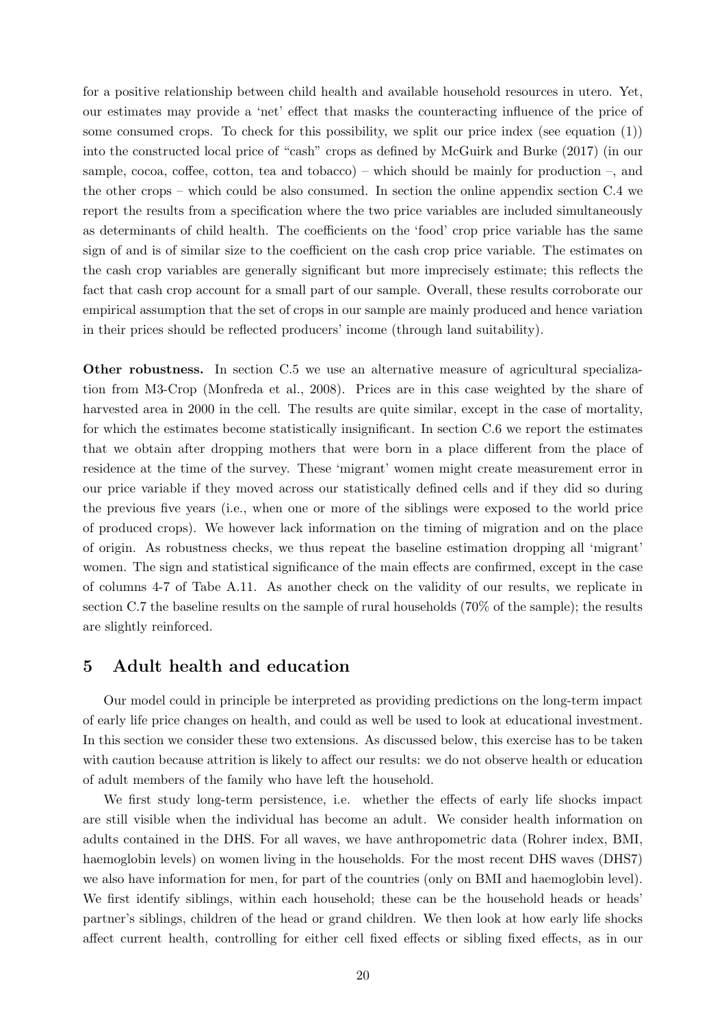for a positive relationship between child health and available household resources in utero. Yet, our estimates may provide a 'net' effect that masks the counteracting influence of the price of some consumed crops. To check for this possibility, we split our price index (see equation [\(1\)](#page-10-0)) into the constructed local price of "cash" crops as defined by [McGuirk and Burke](#page-29-1) [\(2017\)](#page-29-1) (in our sample, cocoa, coffee, cotton, tea and tobacco) – which should be mainly for production –, and the other crops – which could be also consumed. In section the online appendix section [C.4](#page-47-0) we report the results from a specification where the two price variables are included simultaneously as determinants of child health. The coefficients on the 'food' crop price variable has the same sign of and is of similar size to the coefficient on the cash crop price variable. The estimates on the cash crop variables are generally significant but more imprecisely estimate; this reflects the fact that cash crop account for a small part of our sample. Overall, these results corroborate our empirical assumption that the set of crops in our sample are mainly produced and hence variation in their prices should be reflected producers' income (through land suitability).

Other robustness. In section [C.5](#page-48-0) we use an alternative measure of agricultural specialization from M3-Crop [\(Monfreda et al.,](#page-29-14) [2008\)](#page-29-14). Prices are in this case weighted by the share of harvested area in 2000 in the cell. The results are quite similar, except in the case of mortality, for which the estimates become statistically insignificant. In section [C.6](#page-49-0) we report the estimates that we obtain after dropping mothers that were born in a place different from the place of residence at the time of the survey. These 'migrant' women might create measurement error in our price variable if they moved across our statistically defined cells and if they did so during the previous five years (i.e., when one or more of the siblings were exposed to the world price of produced crops). We however lack information on the timing of migration and on the place of origin. As robustness checks, we thus repeat the baseline estimation dropping all 'migrant' women. The sign and statistical significance of the main effects are confirmed, except in the case of columns 4-7 of Tabe [A.11.](#page-49-1) As another check on the validity of our results, we replicate in section [C.7](#page-50-0) the baseline results on the sample of rural households (70% of the sample); the results are slightly reinforced.

## <span id="page-20-0"></span>5 Adult health and education

Our model could in principle be interpreted as providing predictions on the long-term impact of early life price changes on health, and could as well be used to look at educational investment. In this section we consider these two extensions. As discussed below, this exercise has to be taken with caution because attrition is likely to affect our results: we do not observe health or education of adult members of the family who have left the household.

We first study long-term persistence, i.e. whether the effects of early life shocks impact are still visible when the individual has become an adult. We consider health information on adults contained in the DHS. For all waves, we have anthropometric data (Rohrer index, BMI, haemoglobin levels) on women living in the households. For the most recent DHS waves (DHS7) we also have information for men, for part of the countries (only on BMI and haemoglobin level). We first identify siblings, within each household; these can be the household heads or heads' partner's siblings, children of the head or grand children. We then look at how early life shocks affect current health, controlling for either cell fixed effects or sibling fixed effects, as in our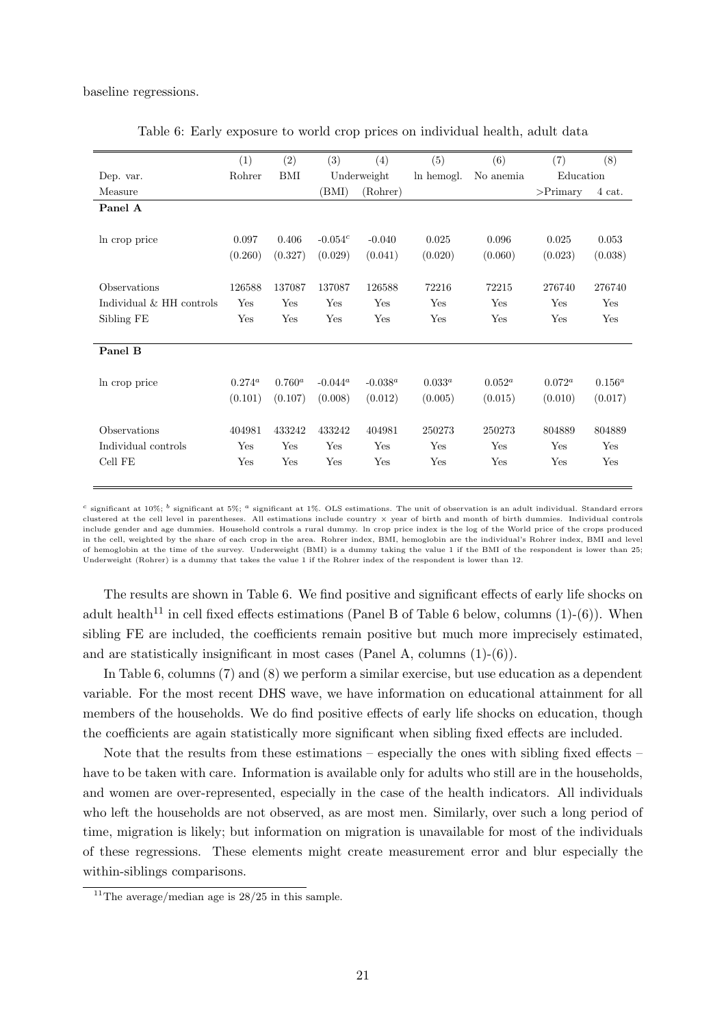<span id="page-21-0"></span>baseline regressions.

|                          | (1)       | (2)       | (3)        | (4)         | (5)         | (6)       | (7)         | (8)       |
|--------------------------|-----------|-----------|------------|-------------|-------------|-----------|-------------|-----------|
| Dep. var.                | Rohrer    | BMI       |            | Underweight | ln hemogl.  | No anemia | Education   |           |
| Measure                  |           |           | (BMI)      | (Rohrer)    |             |           | $>$ Primary | 4 cat.    |
| Panel A                  |           |           |            |             |             |           |             |           |
|                          |           |           |            |             |             |           |             |           |
| In crop price            | 0.097     | 0.406     | $-0.054c$  | $-0.040$    | 0.025       | 0.096     | 0.025       | 0.053     |
|                          | (0.260)   | (0.327)   | (0.029)    | (0.041)     | (0.020)     | (0.060)   | (0.023)     | (0.038)   |
|                          |           |           |            |             |             |           |             |           |
| Observations             | 126588    | 137087    | 137087     | 126588      | 72216       | 72215     | 276740      | 276740    |
| Individual & HH controls | Yes       | Yes       | Yes        | Yes         | Yes         | Yes       | Yes         | Yes       |
| Sibling FE               | Yes       | Yes       | Yes        | Yes         | Yes         | Yes       | Yes         | Yes       |
|                          |           |           |            |             |             |           |             |           |
| Panel B                  |           |           |            |             |             |           |             |           |
|                          |           |           |            |             |             |           |             |           |
| In crop price            | $0.274^a$ | $0.760^a$ | $-0.044^a$ | $-0.038^a$  | $0.033^{a}$ | $0.052^a$ | $0.072^a$   | $0.156^a$ |
|                          | (0.101)   | (0.107)   | (0.008)    | (0.012)     | (0.005)     | (0.015)   | (0.010)     | (0.017)   |
|                          |           |           |            |             |             |           |             |           |
| Observations             | 404981    | 433242    | 433242     | 404981      | 250273      | 250273    | 804889      | 804889    |
| Individual controls      | Yes       | Yes       | Yes        | Yes         | Yes         | Yes       | Yes         | Yes       |
| Cell FE                  | Yes       | Yes       | Yes        | Yes         | Yes         | Yes       | Yes         | Yes       |
|                          |           |           |            |             |             |           |             |           |

Table 6: Early exposure to world crop prices on individual health, adult data

<sup>c</sup> significant at 10%;  $^b$  significant at 5%;  $^a$  significant at 1%. OLS estimations. The unit of observation is an adult individual. Standard errors clustered at the cell level in parentheses. All estimations include country × year of birth and month of birth dummies. Individual controls include gender and age dummies. Household controls a rural dummy. ln crop price index is the log of the World price of the crops produced in the cell, weighted by the share of each crop in the area. Rohrer index, BMI, hemoglobin are the individual's Rohrer index, BMI and level of hemoglobin at the time of the survey. Underweight (BMI) is a dummy taking the value 1 if the BMI of the respondent is lower than 25; Underweight (Rohrer) is a dummy that takes the value 1 if the Rohrer index of the respondent is lower than 12.

The results are shown in Table [6.](#page-21-0) We find positive and significant effects of early life shocks on adult health<sup>[11](#page-0-0)</sup> in cell fixed effects estimations (Panel B of Table [6](#page-21-0) below, columns  $(1)-(6)$ ). When sibling FE are included, the coefficients remain positive but much more imprecisely estimated, and are statistically insignificant in most cases (Panel A, columns  $(1)-(6)$ ).

In Table [6,](#page-21-0) columns (7) and (8) we perform a similar exercise, but use education as a dependent variable. For the most recent DHS wave, we have information on educational attainment for all members of the households. We do find positive effects of early life shocks on education, though the coefficients are again statistically more significant when sibling fixed effects are included.

Note that the results from these estimations – especially the ones with sibling fixed effects – have to be taken with care. Information is available only for adults who still are in the households, and women are over-represented, especially in the case of the health indicators. All individuals who left the households are not observed, as are most men. Similarly, over such a long period of time, migration is likely; but information on migration is unavailable for most of the individuals of these regressions. These elements might create measurement error and blur especially the within-siblings comparisons.

<sup>&</sup>lt;sup>11</sup>The average/median age is  $28/25$  in this sample.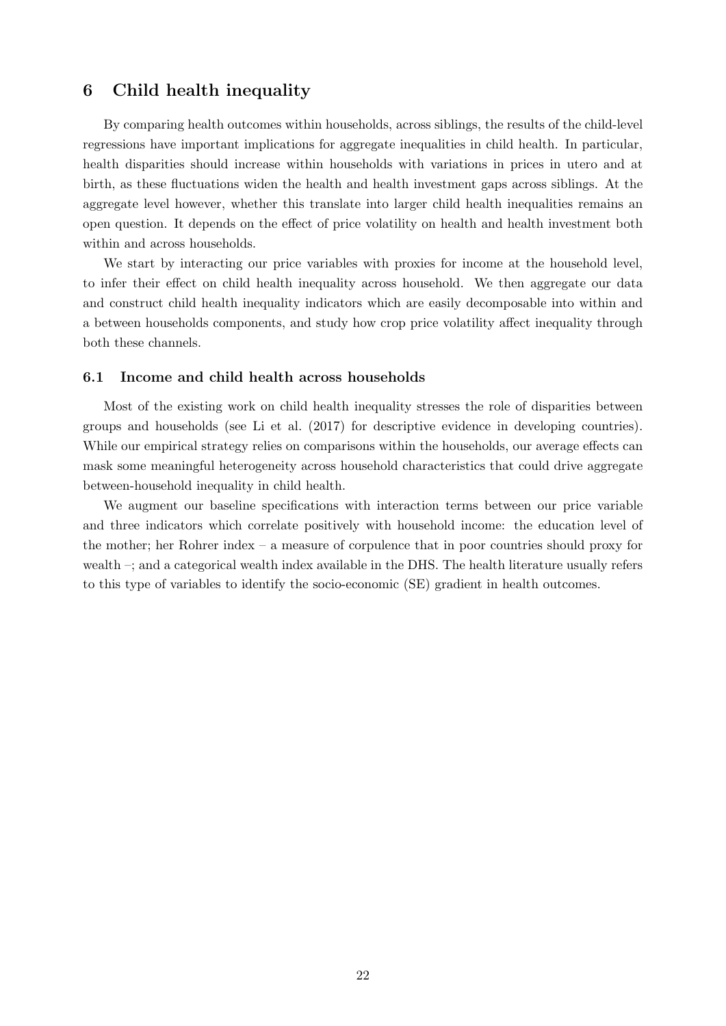## 6 Child health inequality

By comparing health outcomes within households, across siblings, the results of the child-level regressions have important implications for aggregate inequalities in child health. In particular, health disparities should increase within households with variations in prices in utero and at birth, as these fluctuations widen the health and health investment gaps across siblings. At the aggregate level however, whether this translate into larger child health inequalities remains an open question. It depends on the effect of price volatility on health and health investment both within and across households.

We start by interacting our price variables with proxies for income at the household level, to infer their effect on child health inequality across household. We then aggregate our data and construct child health inequality indicators which are easily decomposable into within and a between households components, and study how crop price volatility affect inequality through both these channels.

#### 6.1 Income and child health across households

Most of the existing work on child health inequality stresses the role of disparities between groups and households (see [Li et al.](#page-29-0) [\(2017\)](#page-29-0) for descriptive evidence in developing countries). While our empirical strategy relies on comparisons within the households, our average effects can mask some meaningful heterogeneity across household characteristics that could drive aggregate between-household inequality in child health.

We augment our baseline specifications with interaction terms between our price variable and three indicators which correlate positively with household income: the education level of the mother; her Rohrer index – a measure of corpulence that in poor countries should proxy for wealth –; and a categorical wealth index available in the DHS. The health literature usually refers to this type of variables to identify the socio-economic (SE) gradient in health outcomes.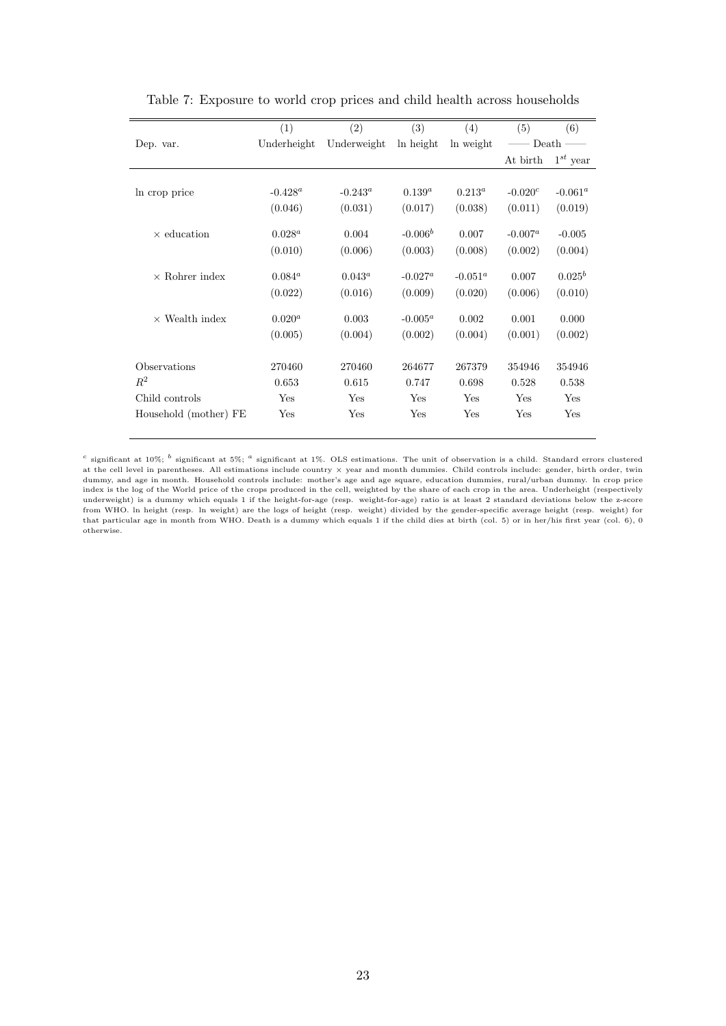<span id="page-23-0"></span>

|                       | (1)         | (2)         | (3)         | (4)        | (5)        | (6)           |
|-----------------------|-------------|-------------|-------------|------------|------------|---------------|
| Dep. var.             | Underheight | Underweight | ln height   | ln weight  | Death      |               |
|                       |             |             |             |            | At birth   | $1^{st}$ year |
|                       |             |             |             |            |            |               |
| In crop price         | $-0.428^a$  | $-0.243^a$  | $0.139^{a}$ | $0.213^a$  | $-0.020^c$ | $-0.061^a$    |
|                       | (0.046)     | (0.031)     | (0.017)     | (0.038)    | (0.011)    | (0.019)       |
|                       |             |             |             |            |            |               |
| $\times$ education    | $0.028^a$   | 0.004       | $-0.006^b$  | 0.007      | $-0.007^a$ | $-0.005$      |
|                       | (0.010)     | (0.006)     | (0.003)     | (0.008)    | (0.002)    | (0.004)       |
| $\times$ Rohrer index | $0.084^a$   | $0.043^a$   | $-0.027^a$  | $-0.051^a$ | 0.007      | $0.025^b$     |
|                       |             |             |             |            |            |               |
|                       | (0.022)     | (0.016)     | (0.009)     | (0.020)    | (0.006)    | (0.010)       |
| $\times$ Wealth index | $0.020^{a}$ | 0.003       | $-0.005^a$  | 0.002      | 0.001      | 0.000         |
|                       | (0.005)     | (0.004)     | (0.002)     | (0.004)    | (0.001)    | (0.002)       |
|                       |             |             |             |            |            |               |
| Observations          | 270460      | 270460      | 264677      | 267379     | 354946     | 354946        |
| $R^2$                 | 0.653       | 0.615       | 0.747       | 0.698      | 0.528      | 0.538         |
| Child controls        | Yes         | Yes         | Yes         | Yes        | Yes        | Yes           |
| Household (mother) FE | Yes         | Yes         | Yes         | Yes        | Yes        | Yes           |

Table 7: Exposure to world crop prices and child health across households

<sup>c</sup> significant at 10%; <sup>b</sup> significant at 5%; <sup>a</sup> significant at 1%. OLS estimations. The unit of observation is a child. Standard errors clustered at the cell level in parentheses. All estimations include country × year and month dummies. Child controls include: gender, birth order, twin dummy, and age in month. Household controls include: mother's age and age square, education dummies, rural/urban dummy. ln crop price index is the log of the World price of the crops produced in the cell, weighted by the share of each crop in the area. Underheight (respectively underweight) is a dummy which equals 1 if the height-for-age (resp. weight-for-age) ratio is at least 2 standard deviations below the z-score from WHO. ln height (resp. ln weight) are the logs of height (resp. weight) divided by the gender-specific average height (resp. weight) for that particular age in month from WHO. Death is a dummy which equals 1 if the child dies at birth (col. 5) or in her/his first year (col. 6), 0 otherwise.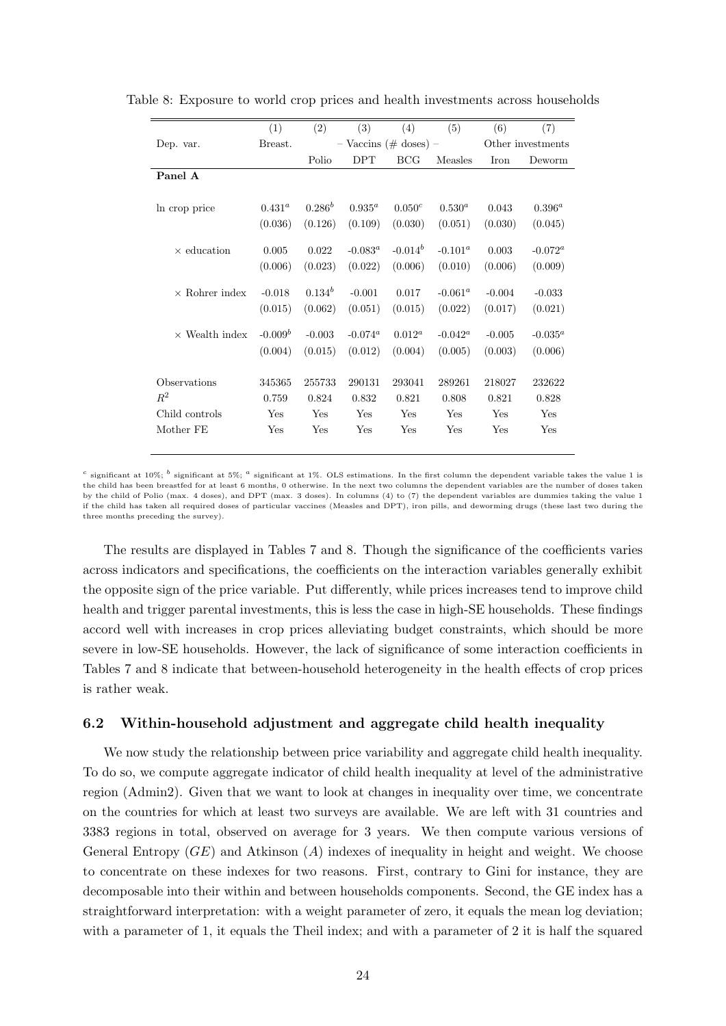|                       | (1)         | (2)         | (3)                       | (4)        | (5)            | (6)      | (7)               |
|-----------------------|-------------|-------------|---------------------------|------------|----------------|----------|-------------------|
| Dep. var.             | Breast.     |             | $-$ Vaccins (# doses) $-$ |            |                |          | Other investments |
|                       |             | Polio       | <b>DPT</b>                | <b>BCG</b> | <b>Measles</b> | Iron     | Deworm            |
| Panel A               |             |             |                           |            |                |          |                   |
|                       |             |             |                           |            |                |          |                   |
| In crop price         | $0.431^{a}$ | $0.286^b$   | $0.935^a$                 | $0.050^c$  | $0.530^{a}$    | 0.043    | $0.396^{a}$       |
|                       | (0.036)     | (0.126)     | (0.109)                   | (0.030)    | (0.051)        | (0.030)  | (0.045)           |
|                       |             |             |                           |            |                |          |                   |
| $\times$ education    | 0.005       | 0.022       | $-0.083^{\circ}$          | $-0.014^b$ | $-0.101^a$     | 0.003    | $-0.072^a$        |
|                       | (0.006)     | (0.023)     | (0.022)                   | (0.006)    | (0.010)        | (0.006)  | (0.009)           |
|                       |             |             |                           |            |                |          |                   |
| $\times$ Rohrer index | $-0.018$    | $0.134^{b}$ | $-0.001$                  | 0.017      | $-0.061^a$     | $-0.004$ | $-0.033$          |
|                       | (0.015)     | (0.062)     | (0.051)                   | (0.015)    | (0.022)        | (0.017)  | (0.021)           |
|                       |             |             |                           |            |                |          |                   |
| $\times$ Wealth index | $-0.009b$   | $-0.003$    | $-0.074^a$                | $0.012^a$  | $-0.042^a$     | $-0.005$ | $-0.035^a$        |
|                       | (0.004)     | (0.015)     | (0.012)                   | (0.004)    | (0.005)        | (0.003)  | (0.006)           |
|                       |             |             |                           |            |                |          |                   |
| Observations          | 345365      | 255733      | 290131                    | 293041     | 289261         | 218027   | 232622            |
| $R^2$                 | 0.759       | 0.824       | 0.832                     | 0.821      | 0.808          | 0.821    | 0.828             |
| Child controls        | Yes         | Yes         | Yes                       | Yes        | Yes            | Yes      | Yes               |
| Mother FE             | Yes         | Yes         | Yes                       | Yes        | Yes            | Yes      | Yes               |
|                       |             |             |                           |            |                |          |                   |

<span id="page-24-0"></span>Table 8: Exposure to world crop prices and health investments across households

<sup>c</sup> significant at 10%; <sup>b</sup> significant at 5%; <sup>a</sup> significant at 1%. OLS estimations. In the first column the dependent variable takes the value 1 is the child has been breastfed for at least 6 months, 0 otherwise. In the next two columns the dependent variables are the number of doses taken by the child of Polio (max. 4 doses), and DPT (max. 3 doses). In columns (4) to (7) the dependent variables are dummies taking the value 1 if the child has taken all required doses of particular vaccines (Measles and DPT), iron pills, and deworming drugs (these last two during the three months preceding the survey).

The results are displayed in Tables [7](#page-23-0) and [8.](#page-24-0) Though the significance of the coefficients varies across indicators and specifications, the coefficients on the interaction variables generally exhibit the opposite sign of the price variable. Put differently, while prices increases tend to improve child health and trigger parental investments, this is less the case in high-SE households. These findings accord well with increases in crop prices alleviating budget constraints, which should be more severe in low-SE households. However, the lack of significance of some interaction coefficients in Tables [7](#page-23-0) and [8](#page-24-0) indicate that between-household heterogeneity in the health effects of crop prices is rather weak.

#### 6.2 Within-household adjustment and aggregate child health inequality

We now study the relationship between price variability and aggregate child health inequality. To do so, we compute aggregate indicator of child health inequality at level of the administrative region (Admin2). Given that we want to look at changes in inequality over time, we concentrate on the countries for which at least two surveys are available. We are left with 31 countries and 3383 regions in total, observed on average for 3 years. We then compute various versions of General Entropy  $(GE)$  and Atkinson  $(A)$  indexes of inequality in height and weight. We choose to concentrate on these indexes for two reasons. First, contrary to Gini for instance, they are decomposable into their within and between households components. Second, the GE index has a straightforward interpretation: with a weight parameter of zero, it equals the mean log deviation; with a parameter of 1, it equals the Theil index; and with a parameter of 2 it is half the squared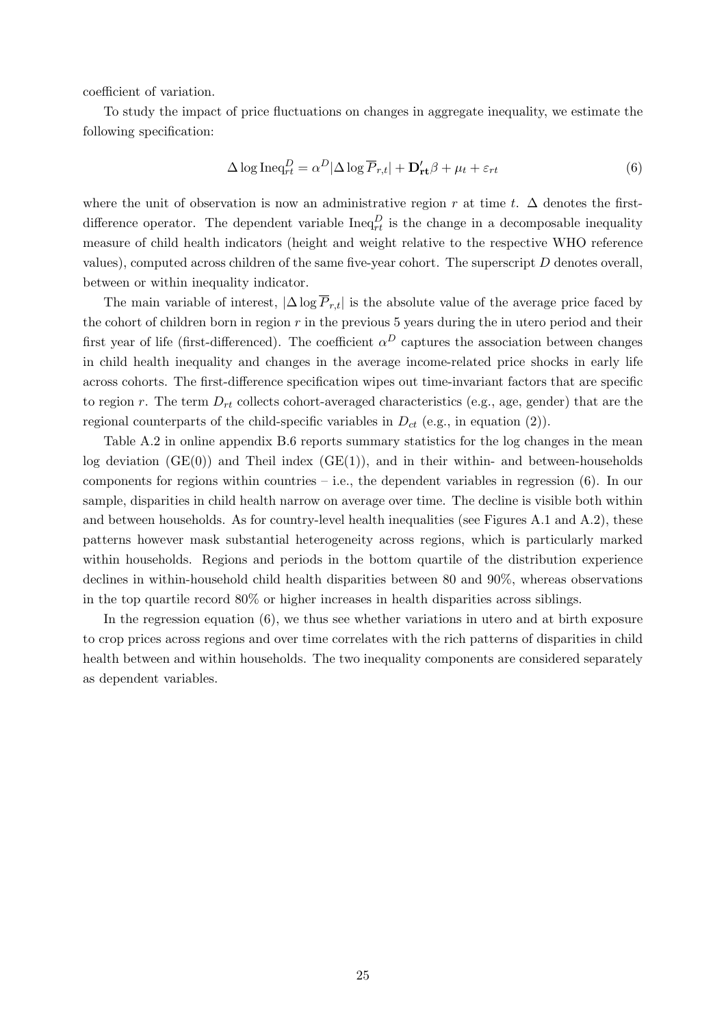coefficient of variation.

To study the impact of price fluctuations on changes in aggregate inequality, we estimate the following specification:

<span id="page-25-0"></span>
$$
\Delta \log \text{Ineq}_{rt}^D = \alpha^D |\Delta \log \overline{P}_{r,t}| + \mathbf{D}_{rt}' \beta + \mu_t + \varepsilon_{rt}
$$
\n(6)

where the unit of observation is now an administrative region r at time t.  $\Delta$  denotes the firstdifference operator. The dependent variable  $\text{Ineq}_{rt}^D$  is the change in a decomposable inequality measure of child health indicators (height and weight relative to the respective WHO reference values), computed across children of the same five-year cohort. The superscript  $D$  denotes overall, between or within inequality indicator.

The main variable of interest,  $|\Delta \log \overline{P}_{r,t}|$  is the absolute value of the average price faced by the cohort of children born in region  $r$  in the previous 5 years during the in utero period and their first year of life (first-differenced). The coefficient  $\alpha^D$  captures the association between changes in child health inequality and changes in the average income-related price shocks in early life across cohorts. The first-difference specification wipes out time-invariant factors that are specific to region r. The term  $D_{rt}$  collects cohort-averaged characteristics (e.g., age, gender) that are the regional counterparts of the child-specific variables in  $D_{ct}$  (e.g., in equation [\(2\)](#page-12-0)).

Table [A.2](#page-15-0) in online appendix [B.6](#page-40-0) reports summary statistics for the log changes in the mean log deviation  $(GE(0))$  and Theil index  $(GE(1))$ , and in their within- and between-households components for regions within countries – i.e., the dependent variables in regression  $(6)$ . In our sample, disparities in child health narrow on average over time. The decline is visible both within and between households. As for country-level health inequalities (see Figures [A.1](#page-16-0) and [A.2\)](#page-26-0), these patterns however mask substantial heterogeneity across regions, which is particularly marked within households. Regions and periods in the bottom quartile of the distribution experience declines in within-household child health disparities between 80 and 90%, whereas observations in the top quartile record 80% or higher increases in health disparities across siblings.

In the regression equation [\(6\)](#page-25-0), we thus see whether variations in utero and at birth exposure to crop prices across regions and over time correlates with the rich patterns of disparities in child health between and within households. The two inequality components are considered separately as dependent variables.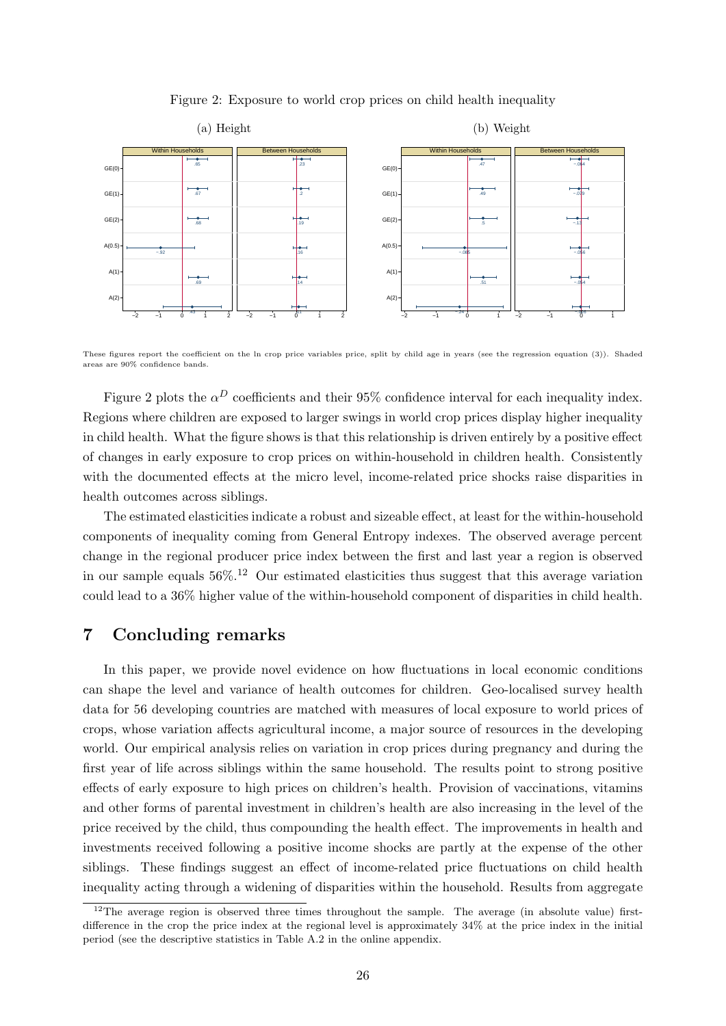<span id="page-26-0"></span>

Figure 2: Exposure to world crop prices on child health inequality

These figures report the coefficient on the ln crop price variables price, split by child age in years (see the regression equation [\(3\)](#page-13-0)). Shaded areas are 90% confidence bands.

Figure [2](#page-26-0) plots the  $\alpha^D$  coefficients and their 95% confidence interval for each inequality index. Regions where children are exposed to larger swings in world crop prices display higher inequality in child health. What the figure shows is that this relationship is driven entirely by a positive effect of changes in early exposure to crop prices on within-household in children health. Consistently with the documented effects at the micro level, income-related price shocks raise disparities in health outcomes across siblings.

The estimated elasticities indicate a robust and sizeable effect, at least for the within-household components of inequality coming from General Entropy indexes. The observed average percent change in the regional producer price index between the first and last year a region is observed in our sample equals  $56\%$ <sup>[12](#page-0-0)</sup> Our estimated elasticities thus suggest that this average variation could lead to a 36% higher value of the within-household component of disparities in child health.

## 7 Concluding remarks

In this paper, we provide novel evidence on how fluctuations in local economic conditions can shape the level and variance of health outcomes for children. Geo-localised survey health data for 56 developing countries are matched with measures of local exposure to world prices of crops, whose variation affects agricultural income, a major source of resources in the developing world. Our empirical analysis relies on variation in crop prices during pregnancy and during the first year of life across siblings within the same household. The results point to strong positive effects of early exposure to high prices on children's health. Provision of vaccinations, vitamins and other forms of parental investment in children's health are also increasing in the level of the price received by the child, thus compounding the health effect. The improvements in health and investments received following a positive income shocks are partly at the expense of the other siblings. These findings suggest an effect of income-related price fluctuations on child health inequality acting through a widening of disparities within the household. Results from aggregate

 $12$ The average region is observed three times throughout the sample. The average (in absolute value) firstdifference in the crop the price index at the regional level is approximately 34% at the price index in the initial period (see the descriptive statistics in Table [A.2](#page-15-0) in the online appendix.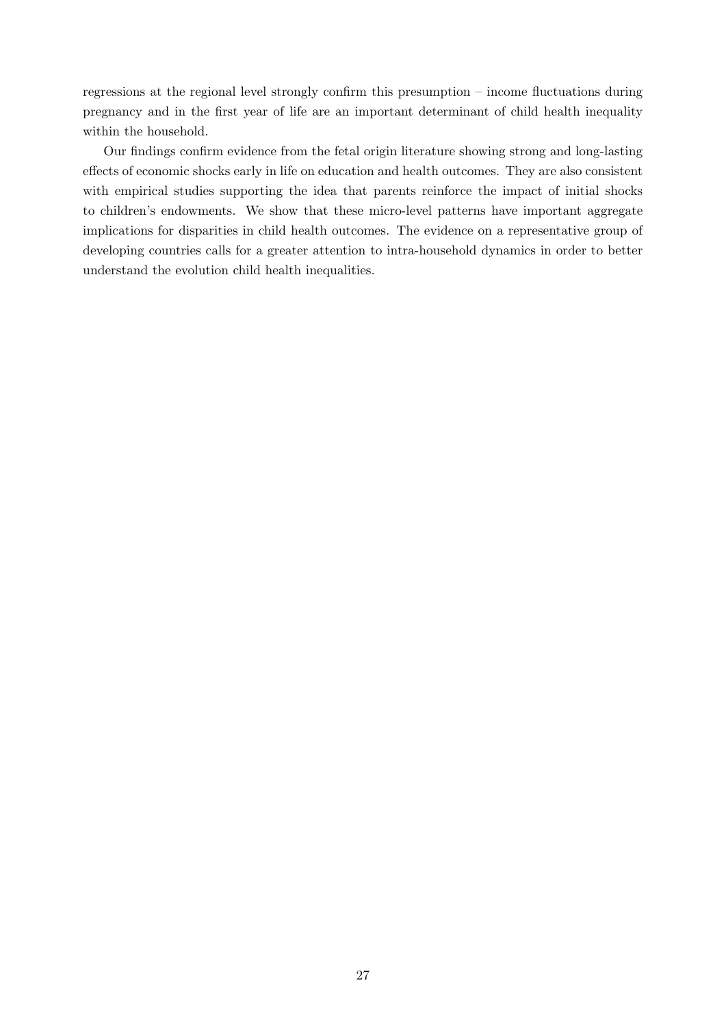regressions at the regional level strongly confirm this presumption – income fluctuations during pregnancy and in the first year of life are an important determinant of child health inequality within the household.

Our findings confirm evidence from the fetal origin literature showing strong and long-lasting effects of economic shocks early in life on education and health outcomes. They are also consistent with empirical studies supporting the idea that parents reinforce the impact of initial shocks to children's endowments. We show that these micro-level patterns have important aggregate implications for disparities in child health outcomes. The evidence on a representative group of developing countries calls for a greater attention to intra-household dynamics in order to better understand the evolution child health inequalities.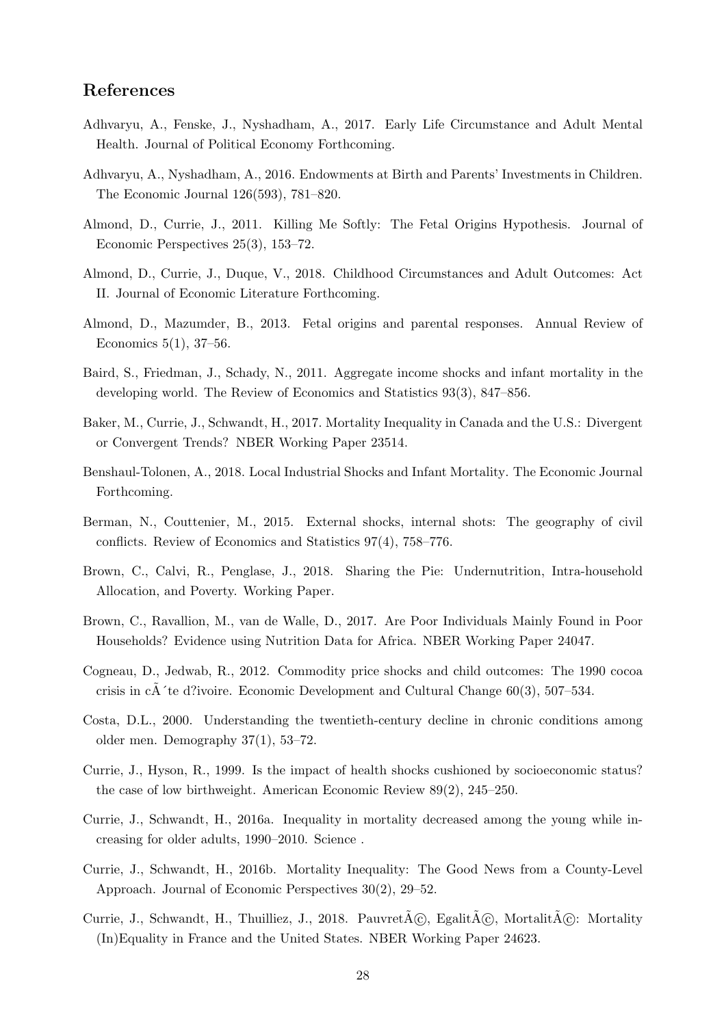## References

- <span id="page-28-2"></span>Adhvaryu, A., Fenske, J., Nyshadham, A., 2017. Early Life Circumstance and Adult Mental Health. Journal of Political Economy Forthcoming.
- <span id="page-28-16"></span>Adhvaryu, A., Nyshadham, A., 2016. Endowments at Birth and Parents' Investments in Children. The Economic Journal 126(593), 781–820.
- <span id="page-28-10"></span>Almond, D., Currie, J., 2011. Killing Me Softly: The Fetal Origins Hypothesis. Journal of Economic Perspectives 25(3), 153–72.
- <span id="page-28-0"></span>Almond, D., Currie, J., Duque, V., 2018. Childhood Circumstances and Adult Outcomes: Act II. Journal of Economic Literature Forthcoming.
- <span id="page-28-1"></span>Almond, D., Mazumder, B., 2013. Fetal origins and parental responses. Annual Review of Economics 5(1), 37–56.
- <span id="page-28-11"></span>Baird, S., Friedman, J., Schady, N., 2011. Aggregate income shocks and infant mortality in the developing world. The Review of Economics and Statistics 93(3), 847–856.
- <span id="page-28-7"></span>Baker, M., Currie, J., Schwandt, H., 2017. Mortality Inequality in Canada and the U.S.: Divergent or Convergent Trends? NBER Working Paper 23514.
- <span id="page-28-12"></span>Benshaul-Tolonen, A., 2018. Local Industrial Shocks and Infant Mortality. The Economic Journal Forthcoming.
- <span id="page-28-3"></span>Berman, N., Couttenier, M., 2015. External shocks, internal shots: The geography of civil conflicts. Review of Economics and Statistics 97(4), 758–776.
- <span id="page-28-9"></span>Brown, C., Calvi, R., Penglase, J., 2018. Sharing the Pie: Undernutrition, Intra-household Allocation, and Poverty. Working Paper.
- <span id="page-28-8"></span>Brown, C., Ravallion, M., van de Walle, D., 2017. Are Poor Individuals Mainly Found in Poor Households? Evidence using Nutrition Data for Africa. NBER Working Paper 24047.
- <span id="page-28-13"></span>Cogneau, D., Jedwab, R., 2012. Commodity price shocks and child outcomes: The 1990 cocoa crisis in cA<sup> $\dot{\ }$ </sup>te d?ivoire. Economic Development and Cultural Change 60(3), 507–534.
- <span id="page-28-15"></span>Costa, D.L., 2000. Understanding the twentieth-century decline in chronic conditions among older men. Demography 37(1), 53–72.
- <span id="page-28-14"></span>Currie, J., Hyson, R., 1999. Is the impact of health shocks cushioned by socioeconomic status? the case of low birthweight. American Economic Review 89(2), 245–250.
- <span id="page-28-5"></span>Currie, J., Schwandt, H., 2016a. Inequality in mortality decreased among the young while increasing for older adults, 1990–2010. Science .
- <span id="page-28-4"></span>Currie, J., Schwandt, H., 2016b. Mortality Inequality: The Good News from a County-Level Approach. Journal of Economic Perspectives 30(2), 29–52.
- <span id="page-28-6"></span>Currie, J., Schwandt, H., Thuilliez, J., 2018. PauvretA©, EgalitA©, MortalitA©: Mortality (In)Equality in France and the United States. NBER Working Paper 24623.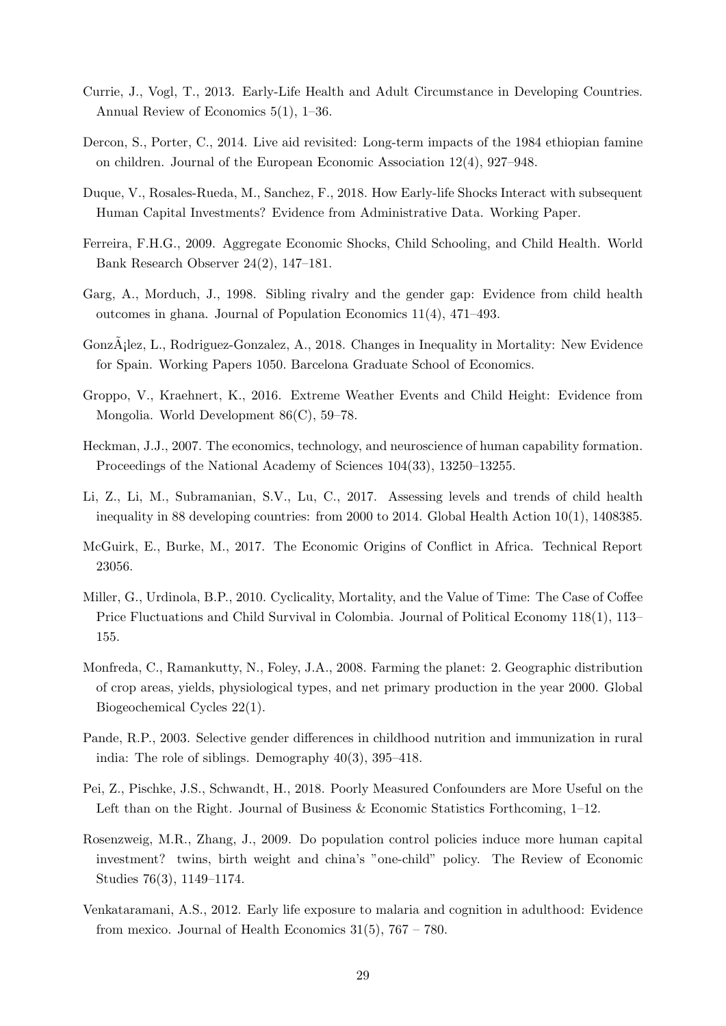- <span id="page-29-6"></span>Currie, J., Vogl, T., 2013. Early-Life Health and Adult Circumstance in Developing Countries. Annual Review of Economics 5(1), 1–36.
- <span id="page-29-8"></span>Dercon, S., Porter, C., 2014. Live aid revisited: Long-term impacts of the 1984 ethiopian famine on children. Journal of the European Economic Association 12(4), 927–948.
- <span id="page-29-2"></span>Duque, V., Rosales-Rueda, M., Sanchez, F., 2018. How Early-life Shocks Interact with subsequent Human Capital Investments? Evidence from Administrative Data. Working Paper.
- <span id="page-29-10"></span>Ferreira, F.H.G., 2009. Aggregate Economic Shocks, Child Schooling, and Child Health. World Bank Research Observer 24(2), 147–181.
- <span id="page-29-12"></span>Garg, A., Morduch, J., 1998. Sibling rivalry and the gender gap: Evidence from child health outcomes in ghana. Journal of Population Economics 11(4), 471–493.
- <span id="page-29-4"></span>Gonz $\ddot{A}$ ; lez, L., Rodriguez-Gonzalez, A., 2018. Changes in Inequality in Mortality: New Evidence for Spain. Working Papers 1050. Barcelona Graduate School of Economics.
- <span id="page-29-7"></span>Groppo, V., Kraehnert, K., 2016. Extreme Weather Events and Child Height: Evidence from Mongolia. World Development 86(C), 59–78.
- <span id="page-29-9"></span>Heckman, J.J., 2007. The economics, technology, and neuroscience of human capability formation. Proceedings of the National Academy of Sciences 104(33), 13250–13255.
- <span id="page-29-0"></span>Li, Z., Li, M., Subramanian, S.V., Lu, C., 2017. Assessing levels and trends of child health inequality in 88 developing countries: from 2000 to 2014. Global Health Action 10(1), 1408385.
- <span id="page-29-1"></span>McGuirk, E., Burke, M., 2017. The Economic Origins of Conflict in Africa. Technical Report 23056.
- <span id="page-29-11"></span>Miller, G., Urdinola, B.P., 2010. Cyclicality, Mortality, and the Value of Time: The Case of Coffee Price Fluctuations and Child Survival in Colombia. Journal of Political Economy 118(1), 113– 155.
- <span id="page-29-14"></span>Monfreda, C., Ramankutty, N., Foley, J.A., 2008. Farming the planet: 2. Geographic distribution of crop areas, yields, physiological types, and net primary production in the year 2000. Global Biogeochemical Cycles 22(1).
- <span id="page-29-13"></span>Pande, R.P., 2003. Selective gender differences in childhood nutrition and immunization in rural india: The role of siblings. Demography 40(3), 395–418.
- <span id="page-29-15"></span>Pei, Z., Pischke, J.S., Schwandt, H., 2018. Poorly Measured Confounders are More Useful on the Left than on the Right. Journal of Business & Economic Statistics Forthcoming, 1–12.
- <span id="page-29-5"></span>Rosenzweig, M.R., Zhang, J., 2009. Do population control policies induce more human capital investment? twins, birth weight and china's "one-child" policy. The Review of Economic Studies 76(3), 1149–1174.
- <span id="page-29-3"></span>Venkataramani, A.S., 2012. Early life exposure to malaria and cognition in adulthood: Evidence from mexico. Journal of Health Economics  $31(5)$ ,  $767 - 780$ .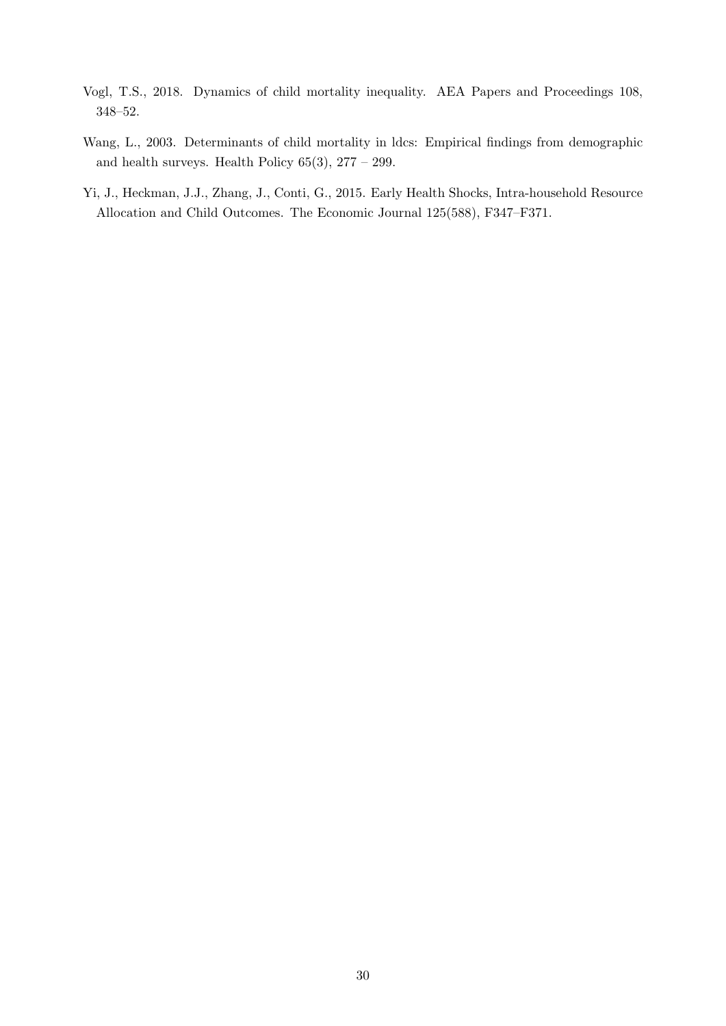- <span id="page-30-0"></span>Vogl, T.S., 2018. Dynamics of child mortality inequality. AEA Papers and Proceedings 108, 348–52.
- <span id="page-30-1"></span>Wang, L., 2003. Determinants of child mortality in ldcs: Empirical findings from demographic and health surveys. Health Policy  $65(3)$ ,  $277 - 299$ .
- <span id="page-30-2"></span>Yi, J., Heckman, J.J., Zhang, J., Conti, G., 2015. Early Health Shocks, Intra-household Resource Allocation and Child Outcomes. The Economic Journal 125(588), F347–F371.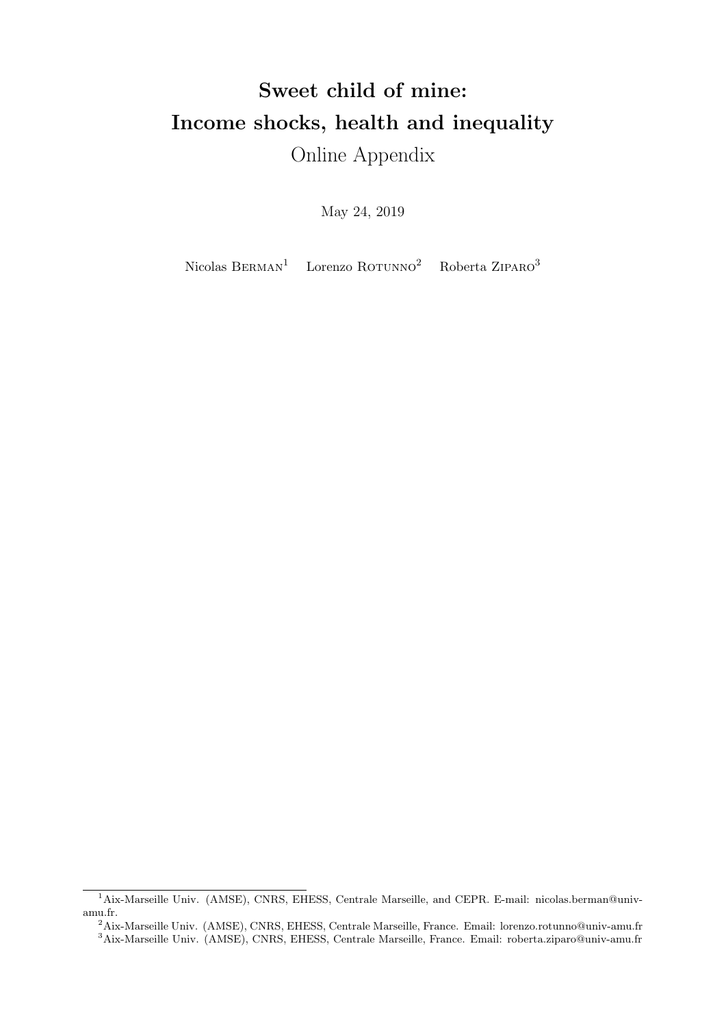# Sweet child of mine: Income shocks, health and inequality Online Appendix

May 24, 2019

Nicolas BERMAN<sup>[1](#page-0-0)</sup> Lorenzo ROTUNNO<sup>[2](#page-0-0)</sup> Roberta ZIPARO<sup>[3](#page-0-0)</sup>

<sup>&</sup>lt;sup>1</sup>Aix-Marseille Univ. (AMSE), CNRS, EHESS, Centrale Marseille, and CEPR. E-mail: nicolas.berman@univamu.fr.

<sup>2</sup>Aix-Marseille Univ. (AMSE), CNRS, EHESS, Centrale Marseille, France. Email: lorenzo.rotunno@univ-amu.fr <sup>3</sup>Aix-Marseille Univ. (AMSE), CNRS, EHESS, Centrale Marseille, France. Email: roberta.ziparo@univ-amu.fr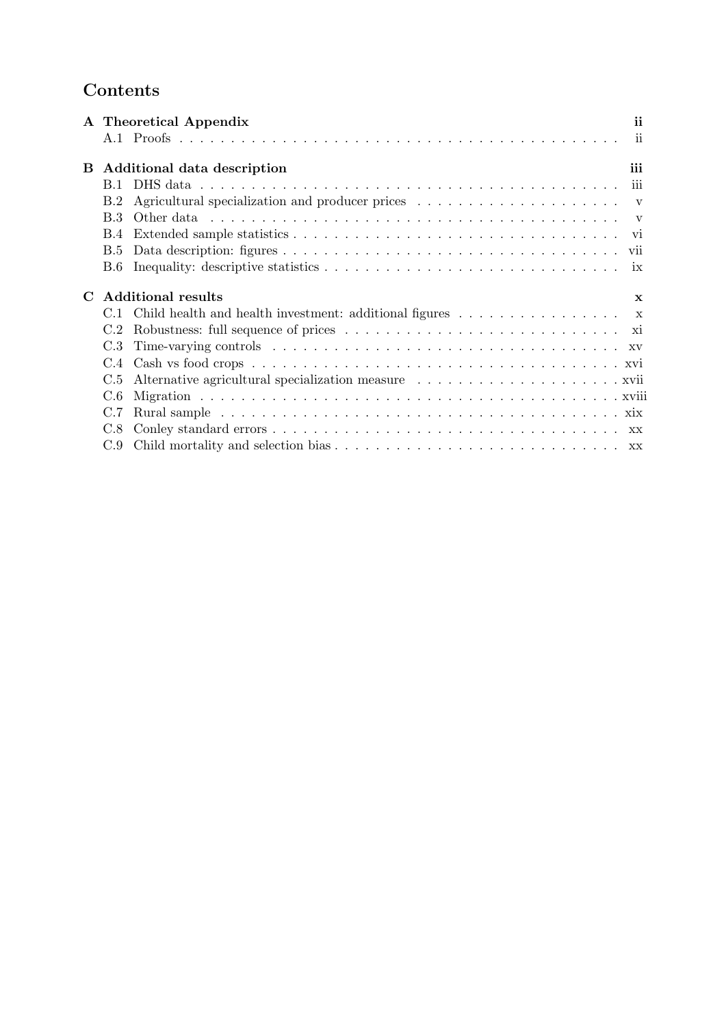## Contents

|   |            | A Theoretical Appendix                                                                       | ii          |
|---|------------|----------------------------------------------------------------------------------------------|-------------|
|   |            |                                                                                              |             |
| В |            | Additional data description                                                                  | iii         |
|   | B.1        |                                                                                              |             |
|   | B.2        |                                                                                              |             |
|   | B 3        |                                                                                              |             |
|   | <b>B.4</b> |                                                                                              |             |
|   | B.5        |                                                                                              |             |
|   | <b>B.6</b> |                                                                                              |             |
|   |            |                                                                                              |             |
|   |            | <b>Additional results</b>                                                                    | $\mathbf x$ |
|   | C.1        | Child health and health investment: additional figures $\dots \dots \dots \dots \dots \dots$ |             |
|   | C.2        |                                                                                              |             |
|   | C.3        |                                                                                              |             |
|   | C.4        |                                                                                              |             |
| C | C.5        |                                                                                              |             |
|   | C.6        |                                                                                              |             |
|   | C.7        |                                                                                              |             |
|   | C.8        |                                                                                              |             |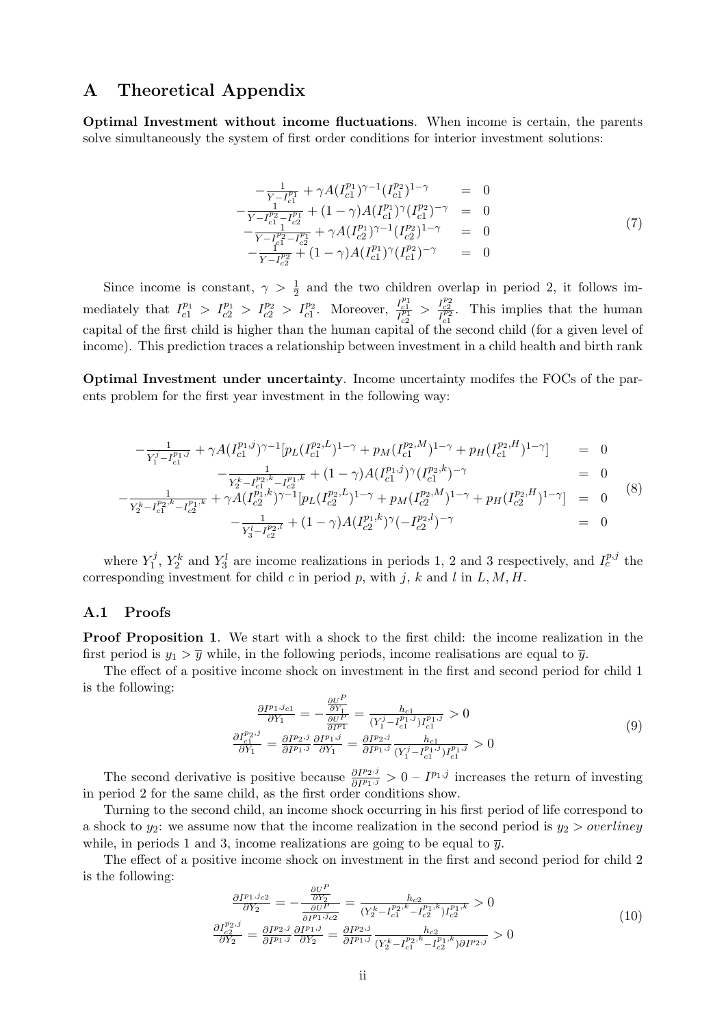## <span id="page-33-0"></span>A Theoretical Appendix

Optimal Investment without income fluctuations. When income is certain, the parents solve simultaneously the system of first order conditions for interior investment solutions:

$$
-\frac{1}{Y - I_{c1}^{p_1}} + \gamma A (I_{c1}^{p_1})^{\gamma - 1} (I_{c1}^{p_2})^{1 - \gamma} = 0
$$
  
\n
$$
-\frac{1}{Y - I_{c1}^{p_2} - I_{c2}^{p_1}} + (1 - \gamma) A (I_{c1}^{p_1})^{\gamma} (I_{c1}^{p_2})^{-\gamma} = 0
$$
  
\n
$$
-\frac{1}{Y - I_{c1}^{p_2} - I_{c2}^{p_1}} + \gamma A (I_{c2}^{p_1})^{\gamma - 1} (I_{c2}^{p_2})^{1 - \gamma} = 0
$$
  
\n
$$
-\frac{1}{Y - I_{c2}^{p_2}} + (1 - \gamma) A (I_{c1}^{p_1})^{\gamma} (I_{c1}^{p_2})^{-\gamma} = 0
$$
\n(7)

Since income is constant,  $\gamma > \frac{1}{2}$  and the two children overlap in period 2, it follows immediately that  $I_{c1}^{p_1} > I_{c2}^{p_1} > I_{c2}^{p_2} > I_{c1}^{p_2}$ . Moreover,  $\frac{I_{c1}^{p_1}}{I_{c2}^{p_1}} > \frac{I_{c2}^{p_2}}{I_{c1}^{p_2}}$ . This implies that the human capital of the first child is higher than the human capital of the second child (for a given level of income). This prediction traces a relationship between investment in a child health and birth rank

<span id="page-33-2"></span>Optimal Investment under uncertainty. Income uncertainty modifes the FOCs of the parents problem for the first year investment in the following way:

$$
-\frac{1}{Y_1^j - I_{c1}^{p_1,j}} + \gamma A (I_{c1}^{p_1,j})^{\gamma - 1} [p_L (I_{c1}^{p_2,L})^{1 - \gamma} + p_M (I_{c1}^{p_2,M})^{1 - \gamma} + p_H (I_{c1}^{p_2,H})^{1 - \gamma}] = 0
$$
  

$$
-\frac{1}{Y_2^k - I_{c1}^{p_2,k} - I_{c2}^{p_1,k}} + (1 - \gamma) A (I_{c1}^{p_1,j})^{\gamma} (I_{c1}^{p_2,k})^{-\gamma} = 0
$$
 (8)

$$
-\frac{1}{Y_2^{k}-I_{c1}^{p_2,k}-I_{c2}^{p_1,k}} + \gamma A (I_{c2}^{p_1,k})^{\gamma-1} [p_L(I_{c2}^{p_2,k})^{1-\gamma} + p_M(I_{c2}^{p_2,M})^{1-\gamma} + p_H(I_{c2}^{p_2,H})^{1-\gamma}] = 0
$$
\n
$$
-\frac{1}{Y_3^{l}-I_{c2}^{p_2,k}} + (1-\gamma)A (I_{c2}^{p_1,k})^{\gamma} (-I_{c2}^{p_2,l})^{-\gamma} = 0
$$
\n
$$
(8)
$$

where  $Y_1^j$  $Y_1^j$ ,  $Y_2^k$  and  $Y_3^l$  are income realizations in periods 1, 2 and 3 respectively, and  $I_c^{p,j}$  the corresponding investment for child  $c$  in period  $p$ , with  $j$ ,  $k$  and  $l$  in  $L, M, H$ .

#### <span id="page-33-1"></span>A.1 Proofs

Proof Proposition 1. We start with a shock to the first child: the income realization in the first period is  $y_1 > \overline{y}$  while, in the following periods, income realisations are equal to  $\overline{y}$ .

The effect of a positive income shock on investment in the first and second period for child 1 is the following:

$$
\frac{\partial I^{p_1,j_{c1}}}{\partial Y_1} = -\frac{\frac{\partial U^P}{\partial Y_1}}{\frac{\partial I^{p_1}}{\partial Y_1}} = \frac{h_{c1}}{(Y_1^j - I_{c1}^{p_1,j})I_{c1}^{p_1,j}} > 0
$$
\n
$$
\frac{\partial I_{c1}^{p_2,j}}{\partial Y_1} = \frac{\partial I^{p_2,j}}{\partial I^{p_1,j}} \frac{\partial I^{p_1,j}}{\partial Y_1} = \frac{\partial I^{p_2,j}}{\partial I^{p_1,j}} \frac{h_{c1}}{(Y_1^j - I_{c1}^{p_1,j})I_{c1}^{p_1,j}} > 0
$$
\n(9)

The second derivative is positive because  $\frac{\partial I^{p_2,j}}{\partial I^{p_1,j}} > 0 - I^{p_1,j}$  increases the return of investing in period 2 for the same child, as the first order conditions show.

Turning to the second child, an income shock occurring in his first period of life correspond to a shock to  $y_2$ : we assume now that the income realization in the second period is  $y_2 > \text{overline}$ while, in periods 1 and 3, income realizations are going to be equal to  $\bar{y}$ .

The effect of a positive income shock on investment in the first and second period for child 2 is the following:  $\overline{U}$ 

$$
\frac{\partial I^{p_1, j_{c2}}}{\partial Y_2} = -\frac{\frac{\partial U^2}{\partial Y_2}}{\frac{\partial U^P}{\partial P_1, j_{c2}}} = \frac{h_{c2}}{(Y_2^k - I_{c1}^{p_2, k} - I_{c2}^{p_1, k}) I_{c2}^{p_1, k}} > 0
$$
\n
$$
\frac{\partial I_{c2}^{p_2, j}}{\partial Y_2} = \frac{\partial I^{p_2, j}}{\partial I^{p_1, j}} \frac{\partial I^{p_1, j}}{\partial Y_2} = \frac{\partial I^{p_2, j}}{\partial I^{p_1, j}} \frac{h_{c2}}{(Y_2^k - I_{c1}^{p_2, k} - I_{c2}^{p_1, k}) \partial I^{p_2, j}} > 0
$$
\n(10)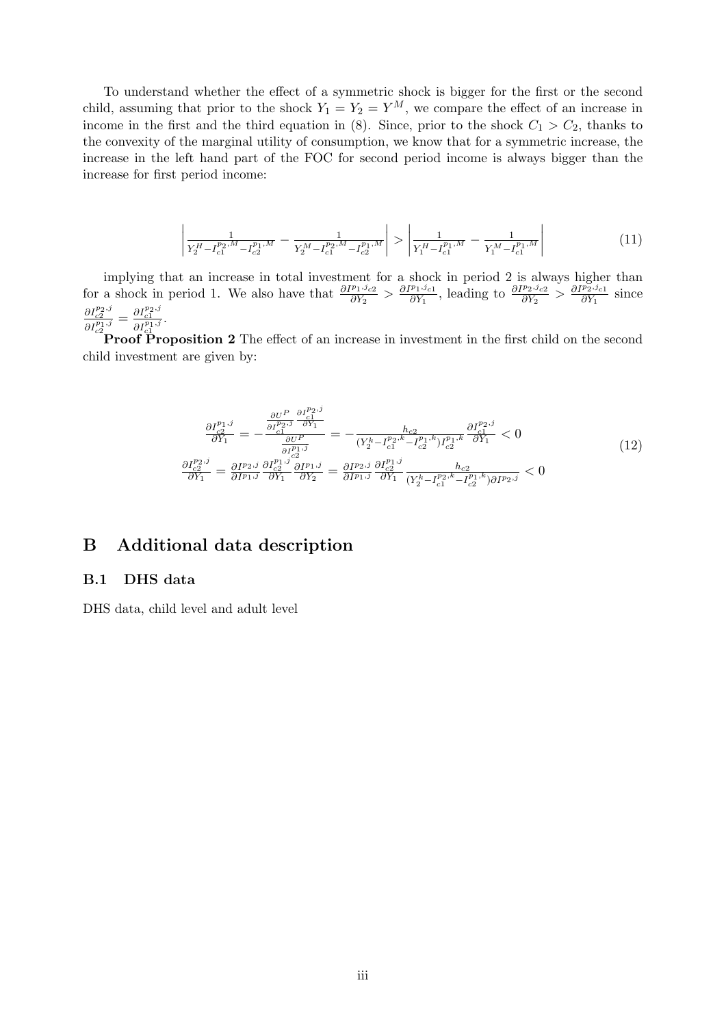To understand whether the effect of a symmetric shock is bigger for the first or the second child, assuming that prior to the shock  $Y_1 = Y_2 = Y^M$ , we compare the effect of an increase in income in the first and the third equation in [\(8\)](#page-33-2). Since, prior to the shock  $C_1 > C_2$ , thanks to the convexity of the marginal utility of consumption, we know that for a symmetric increase, the increase in the left hand part of the FOC for second period income is always bigger than the increase for first period income:

$$
\left| \frac{1}{Y_2^H - I_{c1}^{p_2, M} - I_{c2}^{p_1, M}} - \frac{1}{Y_2^M - I_{c1}^{p_2, M} - I_{c2}^{p_1, M}} \right| > \left| \frac{1}{Y_1^H - I_{c1}^{p_1, M}} - \frac{1}{Y_1^M - I_{c1}^{p_1, M}} \right| \tag{11}
$$

implying that an increase in total investment for a shock in period 2 is always higher than for a shock in period 1. We also have that  $\frac{\partial I^{p_1,j_{c2}}}{\partial Y_2} > \frac{\partial I^{p_1,j_{c1}}}{\partial Y_1}$  $\frac{\partial I^{p_1,j}c_1}{\partial Y_1}$ , leading to  $\frac{\partial I^{p_2,j}c_2}{\partial Y_2} > \frac{\partial I^{p_2,j}c_1}{\partial Y_1}$  $rac{\rho_2 f_{c1}}{\partial Y_1}$  since  $\frac{\partial I^{p_2,j}_{c2}}{\partial I^{p_1,j}_{c2}} = \frac{\partial I^{p_2,j}_{c1}}{\partial I^{p_1,j}_{c1}}.$ 

Proof Proposition 2 The effect of an increase in investment in the first child on the second child investment are given by:

$$
\frac{\partial I_{c2}^{p_1,j}}{\partial Y_1} = -\frac{\frac{\partial U^P}{\partial I_{c1}^{p_2,j}} \frac{\partial I_{c1}^{p_2,j}}{\partial Y_1}}{\frac{\partial U^P}{\partial Y_1}} = -\frac{h_{c2}}{(Y_2^k - I_{c1}^{p_2,k} - I_{c2}^{p_1,k})I_{c2}^{p_1,j}} \frac{\partial I_{c1}^{p_2,j}}{\partial Y_1} < 0
$$
\n
$$
\frac{\partial I_{c2}^{p_2,j}}{\partial Y_1} = \frac{\partial I^{p_2,j}}{\partial I^{p_1,j}} \frac{\partial I_{c2}^{p_1,j}}{\partial Y_1} \frac{\partial I^{p_1,j}}{\partial Y_2} = \frac{\partial I^{p_2,j}}{\partial I^{p_1,j}} \frac{\partial I_{c2}^{p_1,j}}{\partial Y_1} \frac{h_{c2}}{(Y_2^k - I_{c1}^{p_2,k} - I_{c2}^{p_1,k})\partial I^{p_2,j}} < 0
$$
\n
$$
(12)
$$

## <span id="page-34-0"></span>B Additional data description

#### <span id="page-34-1"></span>B.1 DHS data

DHS data, child level and adult level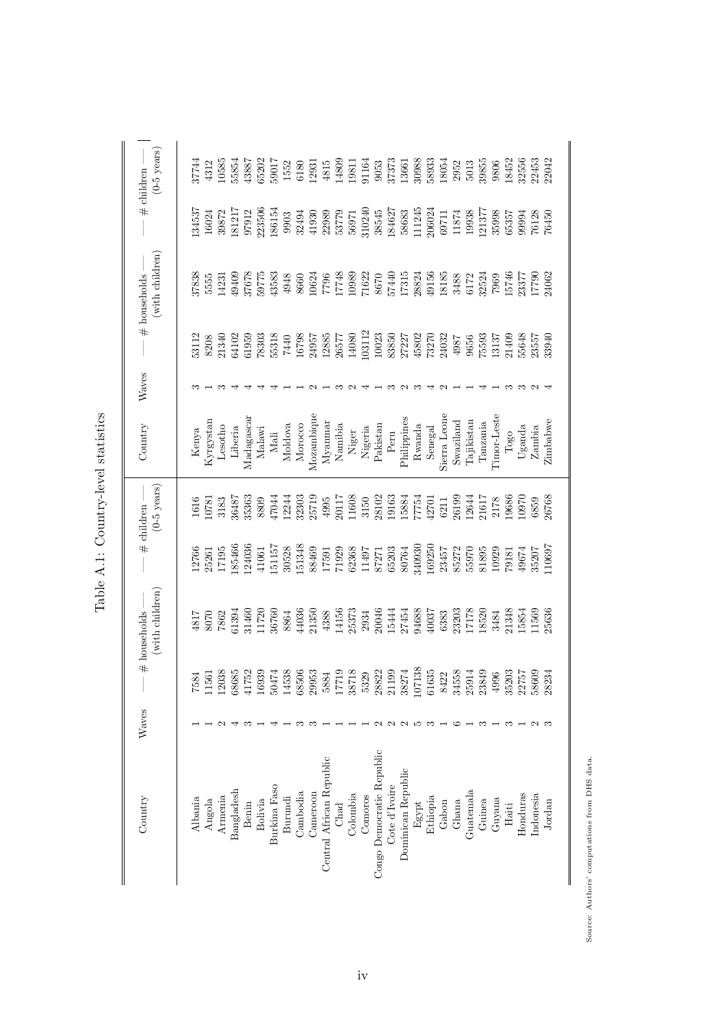| Country                   | Waves |                                                                                                                                        | (with children)<br># households                                |                                                                                            | $(0-5 \text{ years})$<br>$-$ # children $-$                    | Country                      | Waves |                                                                                   | (with children)<br>$ #$ households                                                                                                                                                                                                                                                                    |                                                                           | $(0-5 \text{ years})$<br>$\#$ children                                                                                                                           |
|---------------------------|-------|----------------------------------------------------------------------------------------------------------------------------------------|----------------------------------------------------------------|--------------------------------------------------------------------------------------------|----------------------------------------------------------------|------------------------------|-------|-----------------------------------------------------------------------------------|-------------------------------------------------------------------------------------------------------------------------------------------------------------------------------------------------------------------------------------------------------------------------------------------------------|---------------------------------------------------------------------------|------------------------------------------------------------------------------------------------------------------------------------------------------------------|
| Albania                   |       |                                                                                                                                        |                                                                |                                                                                            | 1616                                                           |                              |       | 53112                                                                             | 37838                                                                                                                                                                                                                                                                                                 | 134537                                                                    | 17744                                                                                                                                                            |
| Angola                    |       | $\begin{array}{r} 7584 \\ 11\,561 \\ 12\,038 \\ 68\,685 \\ 68\,685 \\ 41\,752 \\ 16\,939 \\ 14\,538 \\ 14\,538 \\ 68\,506 \end{array}$ | 8070<br>7862                                                   | 12766<br>25261<br>17195                                                                    | 0781                                                           | Kenya<br>Kyrgystan           |       |                                                                                   |                                                                                                                                                                                                                                                                                                       | 16024                                                                     |                                                                                                                                                                  |
| Armenia                   |       |                                                                                                                                        |                                                                |                                                                                            | 3183                                                           | Lesotho                      |       | 8208<br>21340                                                                     |                                                                                                                                                                                                                                                                                                       | 39872                                                                     |                                                                                                                                                                  |
| Bangladesh                |       |                                                                                                                                        |                                                                | 85466                                                                                      | 86487                                                          | Liberia                      |       | 64102                                                                             |                                                                                                                                                                                                                                                                                                       | 181217                                                                    | $4312$<br>$-0585$<br>$5554$                                                                                                                                      |
| Benin                     |       |                                                                                                                                        | i1394<br>11460<br>11720                                        | 24036                                                                                      | 35363                                                          | Madagascar                   |       | 61959                                                                             | 5555<br>14231<br>49409<br>37678<br>59775<br>59775                                                                                                                                                                                                                                                     | 97912                                                                     | 13887                                                                                                                                                            |
| Bolivia                   |       |                                                                                                                                        |                                                                | 41061                                                                                      | 8809                                                           | Malawi                       |       |                                                                                   |                                                                                                                                                                                                                                                                                                       | 223506                                                                    |                                                                                                                                                                  |
| Burkina Faso              |       |                                                                                                                                        | 36760                                                          | 151157                                                                                     | 17044                                                          | Mali                         |       | $\begin{array}{c} 78303 \\ 55318 \\ 1440 \\ 16798 \\ 16798 \\ \end{array}$        |                                                                                                                                                                                                                                                                                                       | 186154                                                                    | $\begin{array}{c} 55202 \\ 59017 \\ 1552 \\ 6180 \end{array}$                                                                                                    |
| Burundi                   |       |                                                                                                                                        | 8864                                                           | 30528                                                                                      | 12244<br>32303<br>25719                                        | Moldova                      |       |                                                                                   | $\begin{array}{c} 4948 \\ 8660 \end{array}$                                                                                                                                                                                                                                                           | 9903                                                                      |                                                                                                                                                                  |
| Cambodia                  |       |                                                                                                                                        | 44036                                                          | 151348                                                                                     |                                                                | Morocco                      |       |                                                                                   |                                                                                                                                                                                                                                                                                                       | 32494<br>41930                                                            |                                                                                                                                                                  |
| Cameroon                  |       | 29953                                                                                                                                  | 21350                                                          |                                                                                            |                                                                | Mozambique                   |       |                                                                                   | 10624                                                                                                                                                                                                                                                                                                 |                                                                           | 12931                                                                                                                                                            |
| Central African Republic  |       |                                                                                                                                        |                                                                |                                                                                            | 4995                                                           | Myanmar                      |       |                                                                                   |                                                                                                                                                                                                                                                                                                       |                                                                           |                                                                                                                                                                  |
| Chad                      |       |                                                                                                                                        |                                                                |                                                                                            |                                                                | Namibia                      |       |                                                                                   |                                                                                                                                                                                                                                                                                                       |                                                                           |                                                                                                                                                                  |
| Colombia                  |       | $\begin{array}{c} 5884 \\ 17719 \\ 38718 \\ 5329 \\ 5323 \\ 21199 \\ 21199 \\ 38274 \end{array}$                                       | $\begin{array}{c} 4388 \\ 14156 \\ 25373 \\ 2934 \end{array}$  | 88469<br>17591<br>71929<br>62368<br>65203<br>65203<br>65203<br>80764                       | $20117$<br>11608                                               | Niger<br>Nigeria<br>Pakistan |       | $\frac{12885}{26577} \\ 14080$                                                    |                                                                                                                                                                                                                                                                                                       | $\begin{array}{c} 22989 \\ 53779 \\ 56971 \\ 56971 \\ 310240 \end{array}$ | $\begin{array}{l} 4815 \\ 4809 \\ 11801 \\ 1161 \\ 1361 \\ 3053 \\ 37373 \\ 13661 \\ 30988 \\ 30983 \\ 5033 \\ 503 \\ 1305 \\ 501 \\ 3085 \\ 503 \\ \end{array}$ |
| Comoros                   |       |                                                                                                                                        |                                                                |                                                                                            | 3150                                                           |                              |       | 103112                                                                            |                                                                                                                                                                                                                                                                                                       |                                                                           |                                                                                                                                                                  |
| Congo Democratic Republic |       |                                                                                                                                        |                                                                |                                                                                            |                                                                |                              |       | 10023                                                                             |                                                                                                                                                                                                                                                                                                       | 38545                                                                     |                                                                                                                                                                  |
| Cote d'Ivoire             |       |                                                                                                                                        |                                                                |                                                                                            |                                                                | Peru                         |       |                                                                                   |                                                                                                                                                                                                                                                                                                       | 184627                                                                    |                                                                                                                                                                  |
| Dominican Republic        |       |                                                                                                                                        | 20046<br>15444<br>27454<br>94688<br>90037                      |                                                                                            | 28102<br>19163<br>15884<br>17754<br>12701                      | Philippines                  |       | $\begin{array}{l} 83850 \\ 27227 \\ 45802 \\ 73270 \\ 73270 \\ 24032 \end{array}$ |                                                                                                                                                                                                                                                                                                       | 58683<br>111245<br>206024                                                 |                                                                                                                                                                  |
| Egypt                     | r.    | 107138                                                                                                                                 |                                                                |                                                                                            |                                                                | Rwanda                       |       |                                                                                   |                                                                                                                                                                                                                                                                                                       |                                                                           |                                                                                                                                                                  |
| Ethiopia                  | ಌ     | 61635                                                                                                                                  |                                                                | $\begin{array}{l} 169250 \\ 23457 \\ 85272 \\ 55970 \\ 5085 \\ 10939 \\ 10939 \end{array}$ |                                                                | Senegal                      |       |                                                                                   |                                                                                                                                                                                                                                                                                                       |                                                                           |                                                                                                                                                                  |
| Gabon                     |       |                                                                                                                                        |                                                                |                                                                                            | 6211                                                           | Sierra Leone                 |       |                                                                                   |                                                                                                                                                                                                                                                                                                       |                                                                           |                                                                                                                                                                  |
| Ghana                     | ≌     |                                                                                                                                        |                                                                |                                                                                            |                                                                | Swaziland                    |       |                                                                                   |                                                                                                                                                                                                                                                                                                       |                                                                           |                                                                                                                                                                  |
| Guatemala                 |       | $\begin{array}{c} 8422 \\ 34558 \\ 25914 \\ 25914 \end{array}$                                                                         | $\begin{array}{c} 6383 \\ 23203 \\ 17178 \\ 18520 \end{array}$ |                                                                                            | $\begin{array}{l} 26199 \\ 12644 \\ 21617 \\ 2178 \end{array}$ | Tajikistan                   |       | $\begin{array}{c} 4987 \\ 566 \end{array}$                                        |                                                                                                                                                                                                                                                                                                       | $\begin{array}{c} 69711 \\ 11874 \\ 19938 \end{array}$                    |                                                                                                                                                                  |
| Guinea                    |       |                                                                                                                                        |                                                                |                                                                                            |                                                                | Tanzania                     |       | 75593                                                                             |                                                                                                                                                                                                                                                                                                       |                                                                           |                                                                                                                                                                  |
| Guyana                    |       | 4996                                                                                                                                   | 3484                                                           |                                                                                            |                                                                | Timor-Leste                  |       | 13137<br>21409                                                                    |                                                                                                                                                                                                                                                                                                       | 121377<br>35998                                                           | 9806                                                                                                                                                             |
| Haiti                     |       |                                                                                                                                        | 21348                                                          | 79181                                                                                      | 19686                                                          | Togo                         |       |                                                                                   |                                                                                                                                                                                                                                                                                                       | 65357                                                                     |                                                                                                                                                                  |
| Honduras                  |       |                                                                                                                                        | 5854                                                           | 19674                                                                                      | 0970                                                           | Uganda                       |       | 55648<br>23557                                                                    |                                                                                                                                                                                                                                                                                                       | 9994                                                                      | 18452<br>32556                                                                                                                                                   |
| Indonesia                 |       | $\begin{array}{c} 35\,203 \\ 22\,757 \\ 58609 \\ 58234 \end{array}$                                                                    | 1569                                                           | 35207<br>L10697                                                                            | 6859                                                           | Zambia                       |       |                                                                                   | $\begin{array}{l} 7796 \\ 7748 \\ 10989 \\ 10982 \\ 1171622 \\ 8670 \\ 8670 \\ 11311 \\ 1313 \\ 1415 \\ 15134 \\ 15135 \\ 15134 \\ 15185 \\ 15124 \\ 15174 \\ 15174 \\ 15174 \\ 15174 \\ 15174 \\ 15174 \\ 15174 \\ 15174 \\ 15174 \\ 15174 \\ 15174 \\ 15174 \\ 15174 \\ 15174 \\ 15174 \\ 15174 \\$ | 76128<br>76450                                                            | 22453<br>22042                                                                                                                                                   |
| Jordan                    |       |                                                                                                                                        | 25636                                                          |                                                                                            | 26768                                                          | Zimbabwe                     |       | 33940                                                                             |                                                                                                                                                                                                                                                                                                       |                                                                           |                                                                                                                                                                  |

Table A.1: Country-level statistics Table A.1: Country-level statistics

> Source: Authors' computations from DHS data. Source: Authors' computations from DHS data.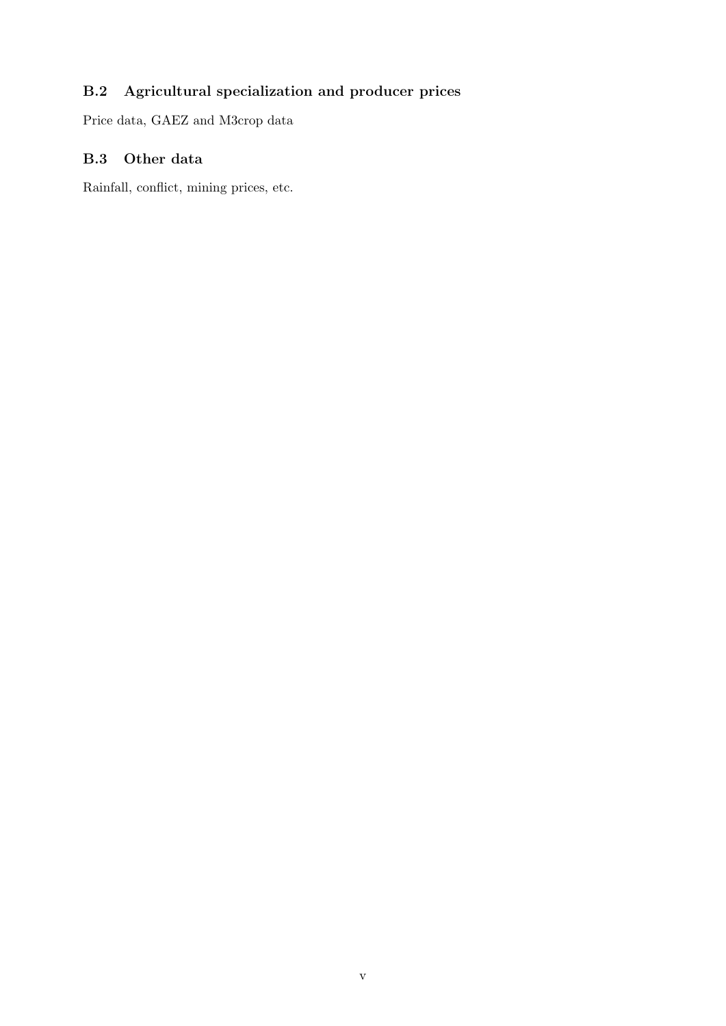## <span id="page-36-0"></span>B.2 Agricultural specialization and producer prices

Price data, GAEZ and M3crop data

## <span id="page-36-1"></span>B.3 Other data

Rainfall, conflict, mining prices, etc.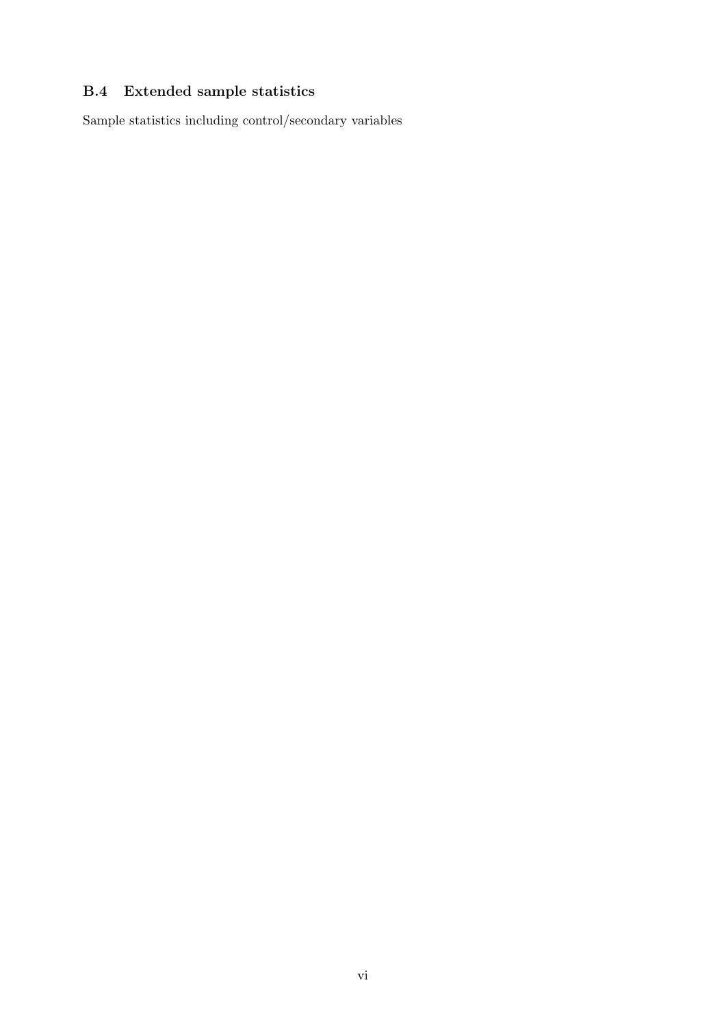## <span id="page-37-0"></span>B.4 Extended sample statistics

Sample statistics including control/secondary variables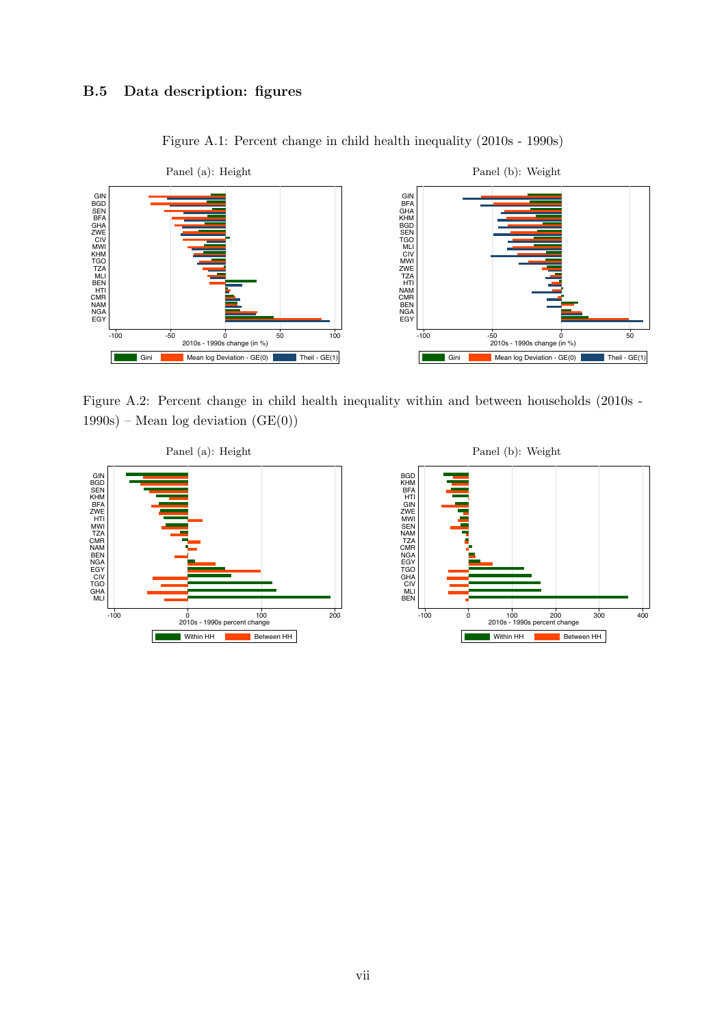## <span id="page-38-0"></span>B.5 Data description: figures



Figure A.1: Percent change in child health inequality (2010s - 1990s)

Figure A.2: Percent change in child health inequality within and between households (2010s - 1990s) – Mean log deviation  $(GE(0))$ 



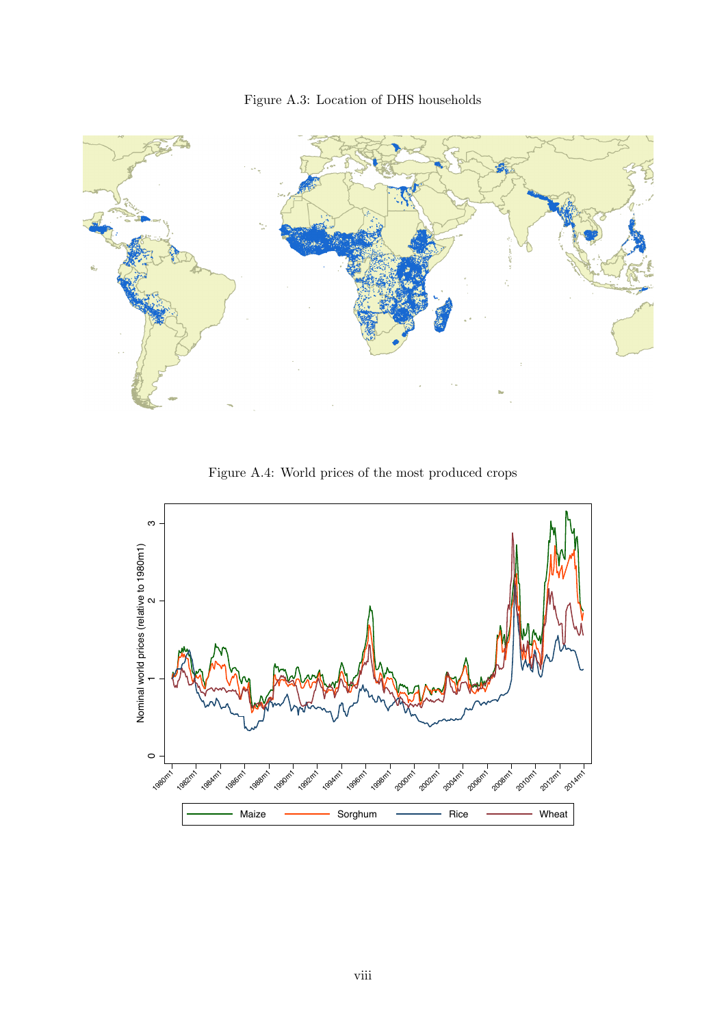



Figure A.4: World prices of the most produced crops

<span id="page-39-0"></span>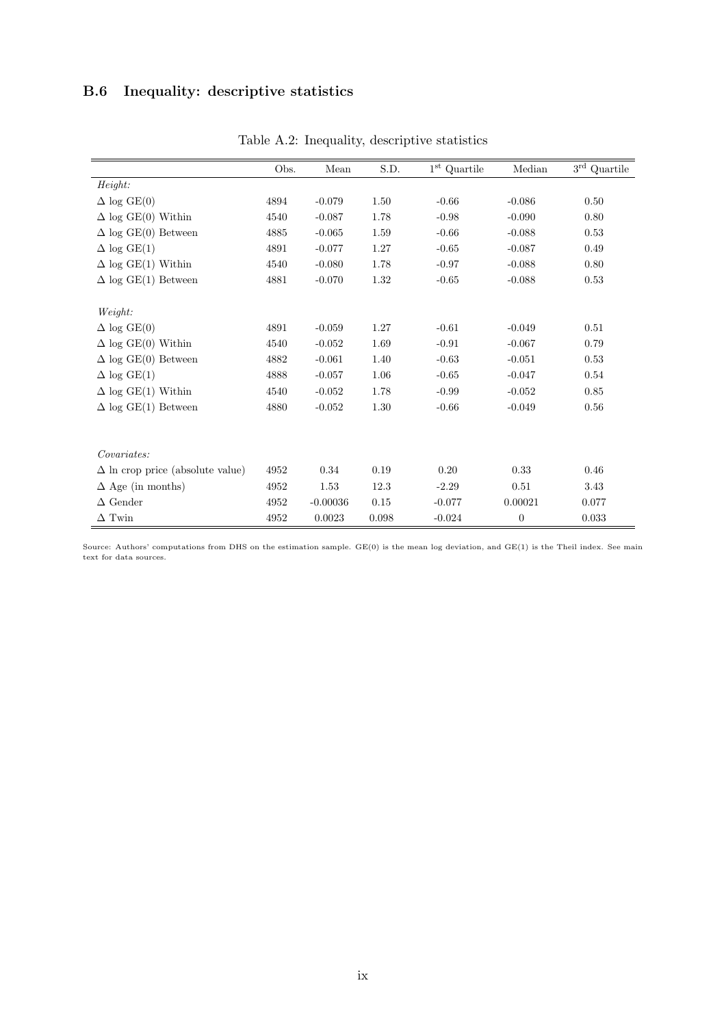## <span id="page-40-0"></span>B.6 Inequality: descriptive statistics

|                                         | Obs. | Mean       | S.D.  | $1^{\rm st}$ Quartile | Median         | $3^{\rm rd}$ Quartile |
|-----------------------------------------|------|------------|-------|-----------------------|----------------|-----------------------|
| Height:                                 |      |            |       |                       |                |                       |
| $\Delta$ log GE(0)                      | 4894 | $-0.079$   | 1.50  | $-0.66$               | $-0.086$       | 0.50                  |
| $\Delta$ log GE(0) Within               | 4540 | $-0.087$   | 1.78  | $-0.98$               | $-0.090$       | 0.80                  |
| $\Delta$ log GE(0) Between              | 4885 | $-0.065$   | 1.59  | $-0.66$               | $-0.088$       | 0.53                  |
| $\Delta \log \text{GE}(1)$              | 4891 | $-0.077$   | 1.27  | $-0.65$               | $-0.087$       | 0.49                  |
| $\Delta$ log GE(1) Within               | 4540 | $-0.080$   | 1.78  | $-0.97$               | $-0.088$       | 0.80                  |
| $\Delta$ log GE(1) Between              | 4881 | $-0.070$   | 1.32  | $-0.65$               | $-0.088$       | 0.53                  |
|                                         |      |            |       |                       |                |                       |
| Weight:                                 |      |            |       |                       |                |                       |
| $\Delta$ log GE(0)                      | 4891 | $-0.059$   | 1.27  | $-0.61$               | $-0.049$       | 0.51                  |
| $\Delta$ log GE(0) Within               | 4540 | $-0.052$   | 1.69  | $-0.91$               | $-0.067$       | 0.79                  |
| $\Delta$ log GE(0) Between              | 4882 | $-0.061$   | 1.40  | $-0.63$               | $-0.051$       | 0.53                  |
| $\Delta$ log GE(1)                      | 4888 | $-0.057$   | 1.06  | $-0.65$               | $-0.047$       | 0.54                  |
| $\Delta$ log GE(1) Within               | 4540 | $-0.052$   | 1.78  | $-0.99$               | $-0.052$       | 0.85                  |
| $\Delta$ log GE(1) Between              | 4880 | $-0.052$   | 1.30  | $-0.66$               | $-0.049$       | 0.56                  |
|                                         |      |            |       |                       |                |                       |
|                                         |      |            |       |                       |                |                       |
| Covariates:                             |      |            |       |                       |                |                       |
| $\Delta$ ln crop price (absolute value) | 4952 | 0.34       | 0.19  | 0.20                  | 0.33           | 0.46                  |
| $\Delta$ Age (in months)                | 4952 | 1.53       | 12.3  | $-2.29$               | 0.51           | 3.43                  |
| $\Delta$ Gender                         | 4952 | $-0.00036$ | 0.15  | $-0.077$              | 0.00021        | 0.077                 |
| $\Delta$ Twin                           | 4952 | 0.0023     | 0.098 | $-0.024$              | $\overline{0}$ | 0.033                 |

Table A.2: Inequality, descriptive statistics

Source: Authors' computations from DHS on the estimation sample.  $GE(0)$  is the mean log deviation, and  $GE(1)$  is the Theil index. See main text for data sources.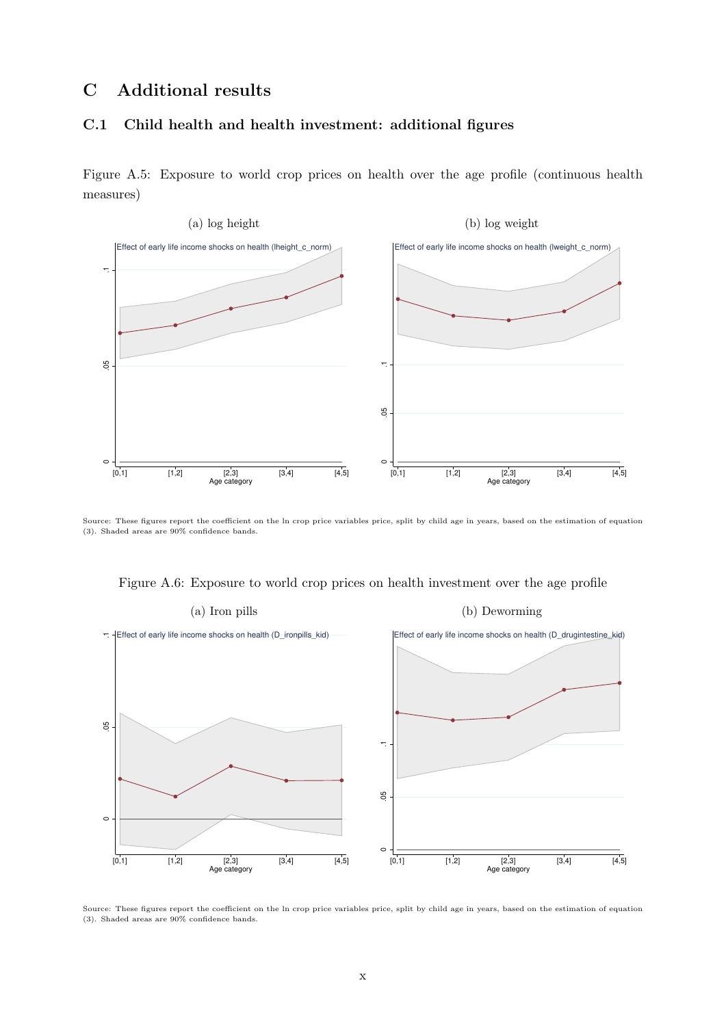## <span id="page-41-2"></span>C Additional results

#### <span id="page-41-0"></span>C.1 Child health and health investment: additional figures

Figure A.5: Exposure to world crop prices on health over the age profile (continuous health measures)



Source: These figures report the coefficient on the ln crop price variables price, split by child age in years, based on the estimation of equation [\(3\)](#page-13-0). Shaded areas are 90% confidence bands.

Figure A.6: Exposure to world crop prices on health investment over the age profile

<span id="page-41-1"></span>

Source: These figures report the coefficient on the ln crop price variables price, split by child age in years, based on the estimation of equation [\(3\)](#page-13-0). Shaded areas are 90% confidence bands.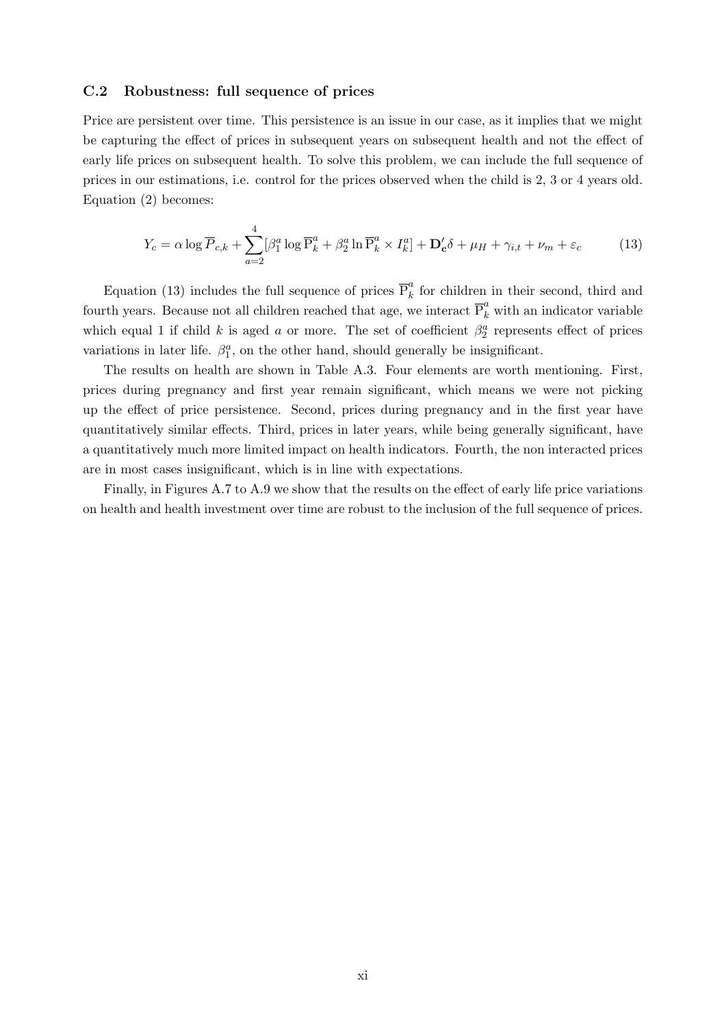#### <span id="page-42-0"></span>C.2 Robustness: full sequence of prices

Price are persistent over time. This persistence is an issue in our case, as it implies that we might be capturing the effect of prices in subsequent years on subsequent health and not the effect of early life prices on subsequent health. To solve this problem, we can include the full sequence of prices in our estimations, i.e. control for the prices observed when the child is 2, 3 or 4 years old. Equation [\(2\)](#page-12-0) becomes:

<span id="page-42-1"></span>
$$
Y_c = \alpha \log \overline{P}_{c,k} + \sum_{a=2}^{4} [\beta_1^a \log \overline{P}_k^a + \beta_2^a \ln \overline{P}_k^a \times I_k^a] + \mathbf{D}_c' \delta + \mu_H + \gamma_{i,t} + \nu_m + \varepsilon_c \tag{13}
$$

Equation [\(13\)](#page-42-1) includes the full sequence of prices  $\overline{P}_k^a$  $\frac{u}{k}$  for children in their second, third and fourth years. Because not all children reached that age, we interact  $\overline{P}_k^a$  with an indicator variable which equal 1 if child k is aged a or more. The set of coefficient  $\beta_2^a$  represents effect of prices variations in later life.  $\beta_1^a$ , on the other hand, should generally be insignificant.

The results on health are shown in Table [A.3.](#page-17-0) Four elements are worth mentioning. First, prices during pregnancy and first year remain significant, which means we were not picking up the effect of price persistence. Second, prices during pregnancy and in the first year have quantitatively similar effects. Third, prices in later years, while being generally significant, have a quantitatively much more limited impact on health indicators. Fourth, the non interacted prices are in most cases insignificant, which is in line with expectations.

Finally, in Figures [A.7](#page-44-0) to [A.9](#page-45-0) we show that the results on the effect of early life price variations on health and health investment over time are robust to the inclusion of the full sequence of prices.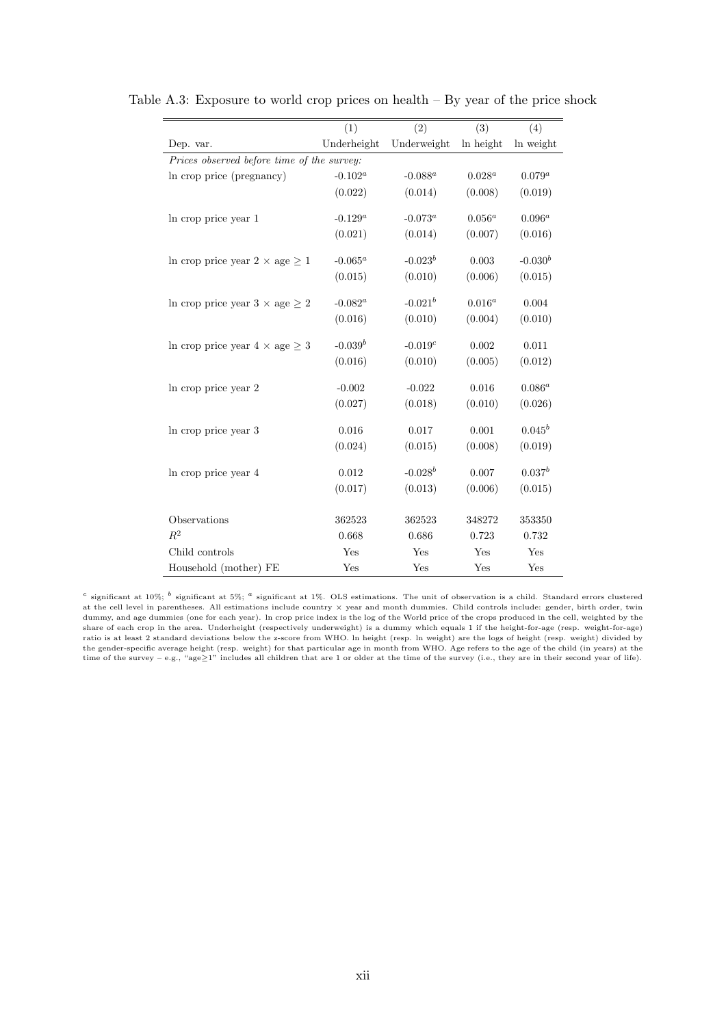|                                            | (1)          | (2)          | (3)       | (4)         |
|--------------------------------------------|--------------|--------------|-----------|-------------|
| Dep. var.                                  | Underheight  | Underweight  | In height | In weight   |
| Prices observed before time of the survey: |              |              |           |             |
| In crop price (pregnancy)                  | $-0.102^a$   | $-0.088^a$   | $0.028^a$ | $0.079^{a}$ |
|                                            | (0.022)      | (0.014)      | (0.008)   | (0.019)     |
| In crop price year 1                       | $-0.129^{a}$ | $-0.073^a$   | $0.056^a$ | $0.096^a$   |
|                                            | (0.021)      | (0.014)      | (0.007)   | (0.016)     |
|                                            |              |              |           |             |
| In crop price year $2 \times age \geq 1$   | $-0.065^a$   | $-0.023^b$   | 0.003     | $-0.030b$   |
|                                            | (0.015)      | (0.010)      | (0.006)   | (0.015)     |
| In crop price year $3 \times age \geq 2$   | $-0.082^a$   | $-0.021^{b}$ | $0.016^a$ | 0.004       |
|                                            | (0.016)      | (0.010)      | (0.004)   | (0.010)     |
|                                            | $-0.039^{b}$ | $-0.019c$    | 0.002     | 0.011       |
| In crop price year $4 \times age \geq 3$   |              |              |           |             |
|                                            | (0.016)      | (0.010)      | (0.005)   | (0.012)     |
| In crop price year 2                       | $-0.002$     | $-0.022$     | 0.016     | $0.086^a$   |
|                                            | (0.027)      | (0.018)      | (0.010)   | (0.026)     |
| In crop price year 3                       | 0.016        | 0.017        | 0.001     | $0.045^b$   |
|                                            | (0.024)      | (0.015)      | (0.008)   | (0.019)     |
|                                            |              |              |           |             |
| In crop price year 4                       | $\,0.012\,$  | $-0.028^b$   | 0.007     | $0.037^b$   |
|                                            | (0.017)      | (0.013)      | (0.006)   | (0.015)     |
| Observations                               | 362523       | 362523       | 348272    | 353350      |
| $R^2$                                      | 0.668        | 0.686        |           |             |
|                                            |              |              | 0.723     | 0.732       |
| Child controls                             | Yes          | Yes          | Yes       | Yes         |
| Household (mother) FE                      | Yes          | Yes          | Yes       | Yes         |

Table A.3: Exposure to world crop prices on health – By year of the price shock

<sup>c</sup> significant at 10%; <sup>b</sup> significant at 5%; <sup>a</sup> significant at 1%. OLS estimations. The unit of observation is a child. Standard errors clustered at the cell level in parentheses. All estimations include country × year and month dummies. Child controls include: gender, birth order, twin dummy, and age dummies (one for each year). ln crop price index is the log of the World price of the crops produced in the cell, weighted by the share of each crop in the area. Underheight (respectively underweight) is a dummy which equals 1 if the height-for-age (resp. weight-for-age) ratio is at least 2 standard deviations below the z-score from WHO. ln height (resp. ln weight) are the logs of height (resp. weight) divided by the gender-specific average height (resp. weight) for that particular age in month from WHO. Age refers to the age of the child (in years) at the time of the survey – e.g., "age≥1" includes all children that are 1 or older at the time of the survey (i.e., they are in their second year of life).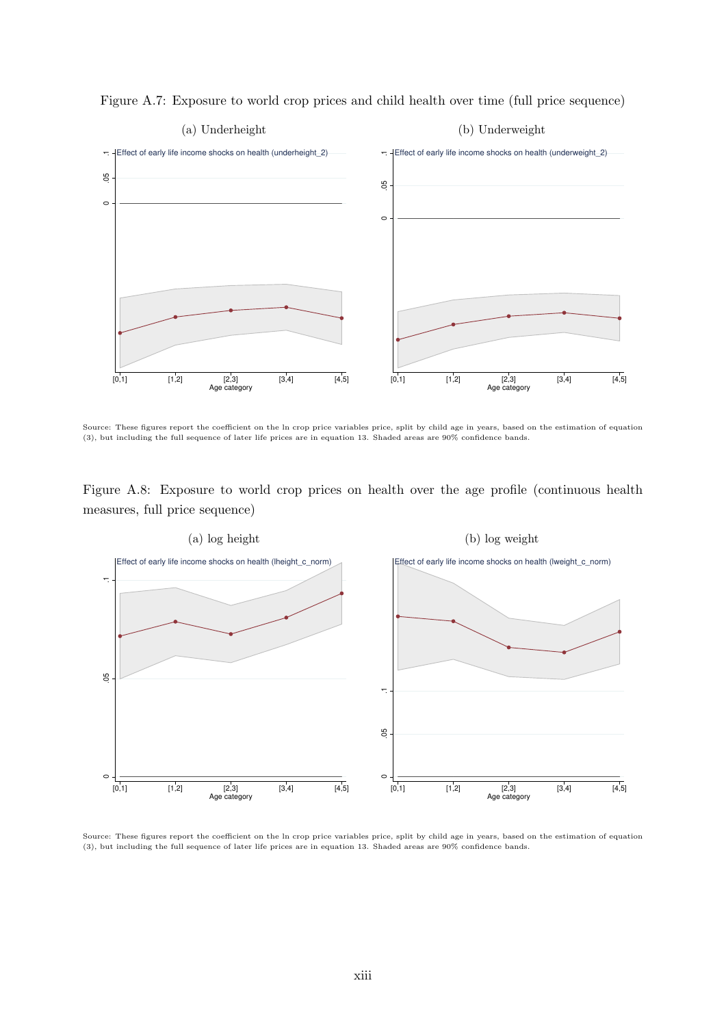

<span id="page-44-0"></span>Figure A.7: Exposure to world crop prices and child health over time (full price sequence)

Source: These figures report the coefficient on the ln crop price variables price, split by child age in years, based on the estimation of equation [\(3\)](#page-13-0), but including the full sequence of later life prices are in equation [13.](#page-42-1) Shaded areas are 90% confidence bands.





Source: These figures report the coefficient on the ln crop price variables price, split by child age in years, based on the estimation of equation [\(3\)](#page-13-0), but including the full sequence of later life prices are in equation [13.](#page-42-1) Shaded areas are 90% confidence bands.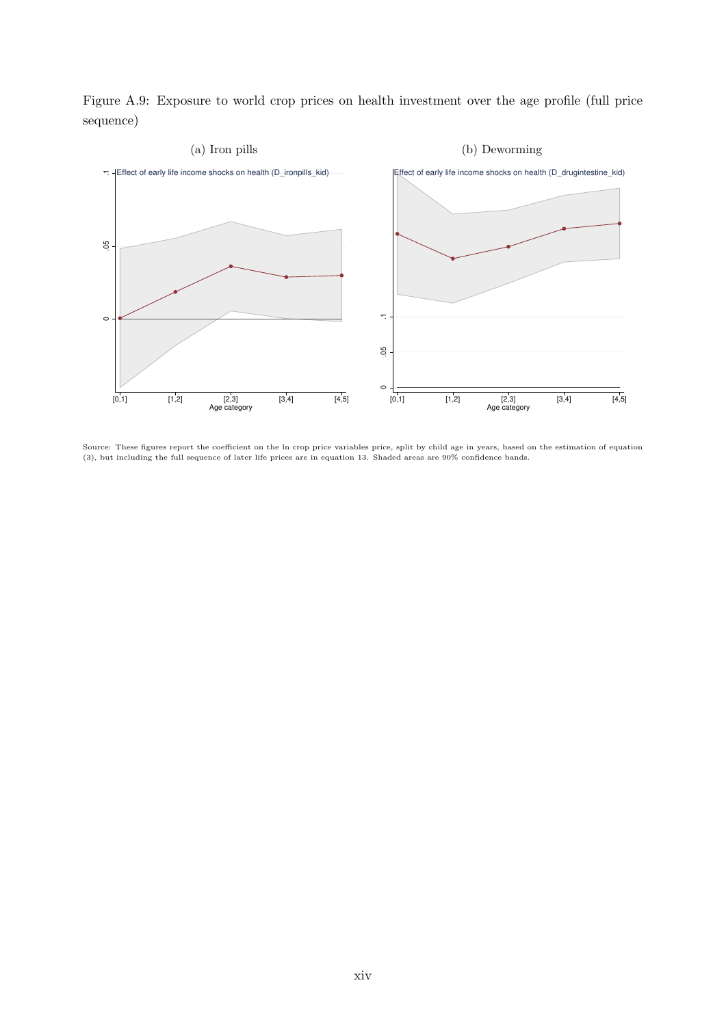<span id="page-45-0"></span>Figure A.9: Exposure to world crop prices on health investment over the age profile (full price sequence)



Source: These figures report the coefficient on the ln crop price variables price, split by child age in years, based on the estimation of equation [\(3\)](#page-13-0), but including the full sequence of later life prices are in equation [13.](#page-42-1) Shaded areas are 90% confidence bands.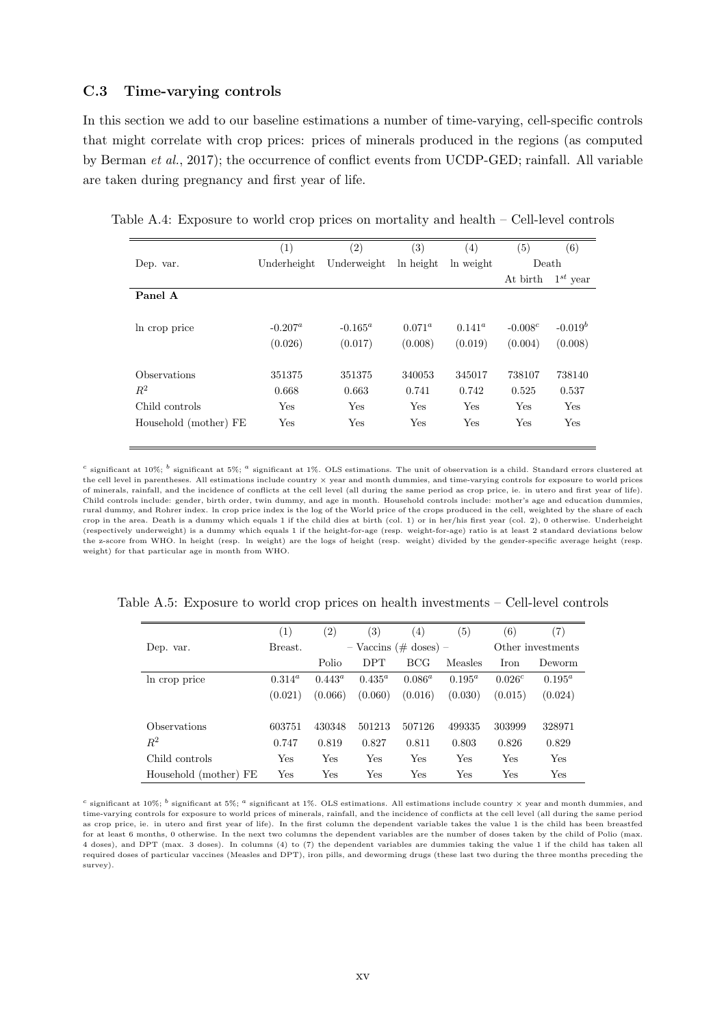#### <span id="page-46-0"></span>C.3 Time-varying controls

In this section we add to our baseline estimations a number of time-varying, cell-specific controls that might correlate with crop prices: prices of minerals produced in the regions (as computed by Berman et al., 2017); the occurrence of conflict events from UCDP-GED; rainfall. All variable are taken during pregnancy and first year of life.

|                       | (1)         | $\left( 2\right)$ | (3)             | $\left(4\right)$ | $\left( 5\right)$ | (6)           |
|-----------------------|-------------|-------------------|-----------------|------------------|-------------------|---------------|
| Dep. var.             | Underheight | Underweight       | ln height       | ln weight        | Death             |               |
|                       |             |                   |                 |                  | At birth          | $1^{st}$ year |
| Panel A               |             |                   |                 |                  |                   |               |
|                       |             |                   |                 |                  |                   |               |
| In crop price         | $-0.207^a$  | $-0.165^a$        | $0.071^{\circ}$ | $0.141^{\alpha}$ | $-0.008c$         | $-0.019^b$    |
|                       | (0.026)     | (0.017)           | (0.008)         | (0.019)          | (0.004)           | (0.008)       |
| Observations          | 351375      | 351375            | 340053          | 345017           | 738107            | 738140        |
| $R^2$                 | 0.668       | 0.663             | 0.741           | 0.742            | 0.525             | 0.537         |
|                       |             |                   |                 |                  |                   |               |
| Child controls        | Yes         | Yes               | Yes             | Yes              | Yes               | Yes           |
| Household (mother) FE | Yes         | Yes               | Yes             | <b>Yes</b>       | Yes               | Yes           |

Table A.4: Exposure to world crop prices on mortality and health – Cell-level controls

<sup>c</sup> significant at 10%;  $^b$  significant at 5%;  $^a$  significant at 1%. OLS estimations. The unit of observation is a child. Standard errors clustered at the cell level in parentheses. All estimations include country × year and month dummies, and time-varying controls for exposure to world prices of minerals, rainfall, and the incidence of conflicts at the cell level (all during the same period as crop price, ie. in utero and first year of life). Child controls include: gender, birth order, twin dummy, and age in month. Household controls include: mother's age and education dummies, rural dummy, and Rohrer index. ln crop price index is the log of the World price of the crops produced in the cell, weighted by the share of each crop in the area. Death is a dummy which equals 1 if the child dies at birth (col. 1) or in her/his first year (col. 2), 0 otherwise. Underheight (respectively underweight) is a dummy which equals 1 if the height-for-age (resp. weight-for-age) ratio is at least 2 standard deviations below the z-score from WHO. ln height (resp. ln weight) are the logs of height (resp. weight) divided by the gender-specific average height (resp. weight) for that particular age in month from WHO.

|                       | (1)       | $\left( 2\right)$ | (3)        | (4)                       | (5)       | (6)         | (7)               |
|-----------------------|-----------|-------------------|------------|---------------------------|-----------|-------------|-------------------|
| Dep. var.             | Breast.   |                   |            | $-$ Vaccins (# doses) $-$ |           |             | Other investments |
|                       |           | Polio             | <b>DPT</b> | BCG                       | Measles   | Iron        | Deworm            |
| In crop price         | $0.314^a$ | $0.443^a$         | $0.435^a$  | $0.086^a$                 | $0.195^a$ | $0.026^{c}$ | $0.195^a$         |
|                       | (0.021)   | (0.066)           | (0.060)    | (0.016)                   | (0.030)   | (0.015)     | (0.024)           |
|                       |           |                   |            |                           |           |             |                   |
| Observations          | 603751    | 430348            | 501213     | 507126                    | 499335    | 303999      | 328971            |
| $R^2$                 | 0.747     | 0.819             | 0.827      | 0.811                     | 0.803     | 0.826       | 0.829             |
| Child controls        | Yes       | Yes               | Yes        | Yes                       | Yes       | Yes         | Yes               |
| Household (mother) FE | Yes       | Yes               | Yes        | Yes                       | Yes       | Yes         | Yes               |

Table A.5: Exposure to world crop prices on health investments – Cell-level controls

<sup>c</sup> significant at 10%; <sup>b</sup> significant at 5%; <sup>a</sup> significant at 1%. OLS estimations. All estimations include country  $\times$  year and month dummies, and time-varying controls for exposure to world prices of minerals, rainfall, and the incidence of conflicts at the cell level (all during the same period as crop price, ie. in utero and first year of life). In the first column the dependent variable takes the value 1 is the child has been breastfed for at least 6 months, 0 otherwise. In the next two columns the dependent variables are the number of doses taken by the child of Polio (max. 4 doses), and DPT (max. 3 doses). In columns (4) to (7) the dependent variables are dummies taking the value 1 if the child has taken all required doses of particular vaccines (Measles and DPT), iron pills, and deworming drugs (these last two during the three months preceding the survey).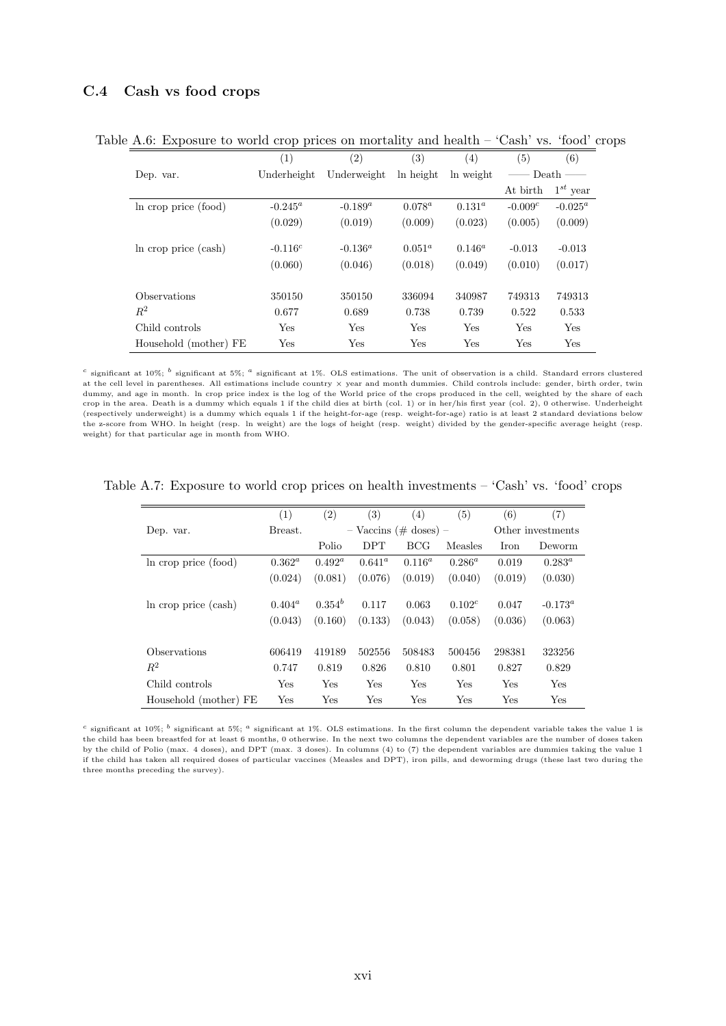### <span id="page-47-0"></span>C.4 Cash vs food crops

|                       | $\left( 1\right)$ | (2)         | (3)       | $\left( 4\right)$ | (5)        | (6)           |
|-----------------------|-------------------|-------------|-----------|-------------------|------------|---------------|
| Dep. var.             | Underheight       | Underweight | ln height | ln weight         |            | Death -       |
|                       |                   |             |           |                   | At birth   | $1^{st}$ year |
| In crop price (food)  | $-0.245^a$        | $-0.189^a$  | $0.078^a$ | $0.131^{a}$       | $-0.009c$  | $-0.025^a$    |
|                       | (0.029)           | (0.019)     | (0.009)   | (0.023)           | (0.005)    | (0.009)       |
| In crop price (cash)  | $-0.116c$         | $-0.136^a$  | $0.051^a$ | $0.146^a$         | $-0.013$   | $-0.013$      |
|                       | (0.060)           | (0.046)     | (0.018)   | (0.049)           | (0.010)    | (0.017)       |
| Observations          | 350150            | 350150      | 336094    | 340987            | 749313     | 749313        |
| $R^2$                 | 0.677             | 0.689       | 0.738     | 0.739             | 0.522      | 0.533         |
| Child controls        | Yes               | Yes         | Yes       | Yes               | <b>Yes</b> | Yes           |
| Household (mother) FE | Yes               | Yes         | Yes       | Yes               | Yes        | Yes           |

Table A.6: Exposure to world crop prices on mortality and health – 'Cash' vs. 'food' crops

<sup>c</sup> significant at 10%;  $^b$  significant at 5%;  $^a$  significant at 1%. OLS estimations. The unit of observation is a child. Standard errors clustered at the cell level in parentheses. All estimations include country × year and month dummies. Child controls include: gender, birth order, twin dummy, and age in month. In crop price index is the log of the World price of the crops produced in the cell, weighted by the share of each crop in the area. Death is a dummy which equals 1 if the child dies at birth (col. 1) or in her/his first year (col. 2), 0 otherwise. Underheight (respectively underweight) is a dummy which equals 1 if the height-for-age (resp. weight-for-age) ratio is at least 2 standard deviations below the z-score from WHO. ln height (resp. ln weight) are the logs of height (resp. weight) divided by the gender-specific average height (resp. weight) for that particular age in month from WHO.

|                       | (1)       | (2)         | $\left( 3\right)$ | $\left( 4\right)$         | (5)         | (6)     | (7)               |
|-----------------------|-----------|-------------|-------------------|---------------------------|-------------|---------|-------------------|
| Dep. var.             | Breast.   |             |                   | $-$ Vaccins (# doses) $-$ |             |         | Other investments |
|                       |           | Polio       | <b>DPT</b>        | <b>BCG</b>                | Measles     | Iron    | Deworm            |
| In crop price (food)  | $0.362^a$ | $0.492^a$   | $0.641^a$         | $0.116^a$                 | $0.286^a$   | 0.019   | $0.283^a$         |
|                       | (0.024)   | (0.081)     | (0.076)           | (0.019)                   | (0.040)     | (0.019) | (0.030)           |
|                       |           |             |                   |                           |             |         |                   |
| In crop price (cash)  | $0.404^a$ | $0.354^{b}$ | 0.117             | 0.063                     | $0.102^{c}$ | 0.047   | $-0.173^a$        |
|                       | (0.043)   | (0.160)     | (0.133)           | (0.043)                   | (0.058)     | (0.036) | (0.063)           |
|                       |           |             |                   |                           |             |         |                   |
| Observations          | 606419    | 419189      | 502556            | 508483                    | 500456      | 298381  | 323256            |
| $R^2$                 | 0.747     | 0.819       | 0.826             | 0.810                     | 0.801       | 0.827   | 0.829             |
| Child controls        | Yes       | Yes         | Yes               | Yes                       | Yes         | Yes     | <b>Yes</b>        |
| Household (mother) FE | Yes       | Yes         | Yes               | Yes                       | Yes         | Yes     | Yes               |

Table A.7: Exposure to world crop prices on health investments – 'Cash' vs. 'food' crops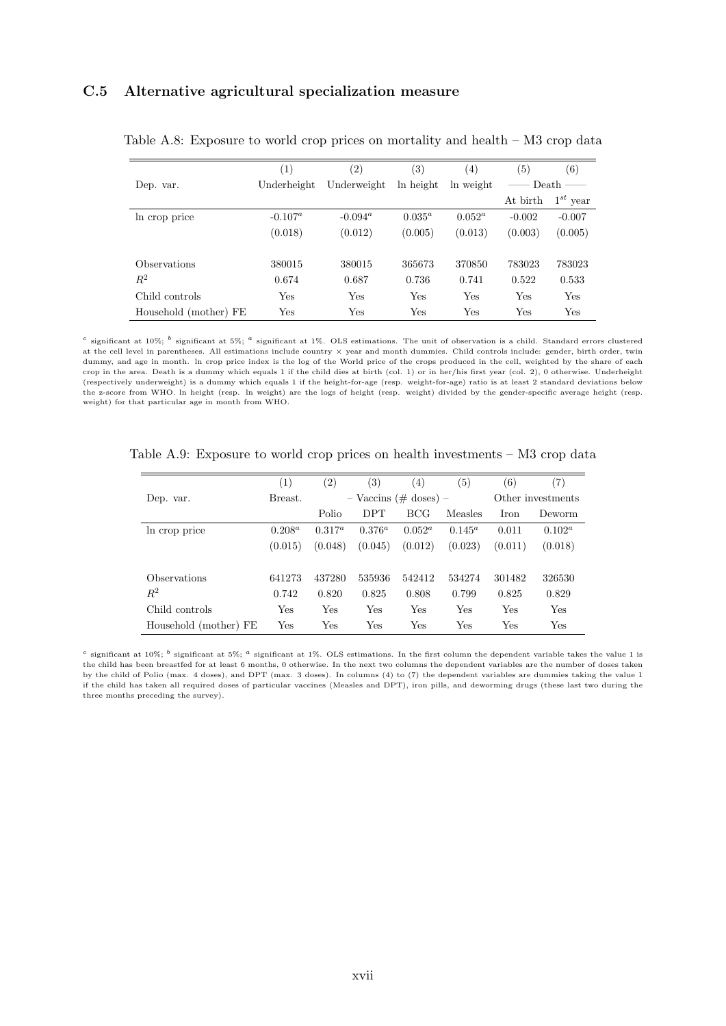## <span id="page-48-0"></span>C.5 Alternative agricultural specialization measure

|                            | (1)         | $\left( 2\right)$ | $\left( 3\right)$ | $\left( 4\right)$ | $\left( 5\right)$ | (6)                 |
|----------------------------|-------------|-------------------|-------------------|-------------------|-------------------|---------------------|
| Dep. var.                  | Underheight | Underweight       | ln height         | ln weight         |                   | Death $\frac{ }{ }$ |
|                            |             |                   |                   |                   | At birth          | $1^{st}$ year       |
| In crop price              | $-0.107^a$  | $-0.094^a$        | $0.035^a$         | $0.052^a$         | $-0.002$          | $-0.007$            |
|                            | (0.018)     | (0.012)           | (0.005)           | (0.013)           | (0.003)           | (0.005)             |
| <i><b>Observations</b></i> | 380015      | 380015            | 365673            | 370850            | 783023            | 783023              |
| $R^2$                      | 0.674       | 0.687             | 0.736             | 0.741             | 0.522             | 0.533               |
| Child controls             | Yes         | Yes               | Yes               | Yes               | Yes               | Yes                 |
| Household (mother) FE      | Yes         | Yes               | Yes               | Yes               | Yes               | Yes                 |

Table A.8: Exposure to world crop prices on mortality and health – M3 crop data

<sup>c</sup> significant at 10%;  $^b$  significant at 5%;  $^a$  significant at 1%. OLS estimations. The unit of observation is a child. Standard errors clustered at the cell level in parentheses. All estimations include country × year and month dummies. Child controls include: gender, birth order, twin dummy, and age in month. ln crop price index is the log of the World price of the crops produced in the cell, weighted by the share of each crop in the area. Death is a dummy which equals 1 if the child dies at birth (col. 1) or in her/his first year (col. 2), 0 otherwise. Underheight (respectively underweight) is a dummy which equals 1 if the height-for-age (resp. weight-for-age) ratio is at least 2 standard deviations below the z-score from WHO. ln height (resp. ln weight) are the logs of height (resp. weight) divided by the gender-specific average height (resp. weight) for that particular age in month from WHO.

|                       | (1)       | $\left( 2\right)$ | $\left(3\right)$ | (4)                       | 5)        | (6)         | (7)               |
|-----------------------|-----------|-------------------|------------------|---------------------------|-----------|-------------|-------------------|
| Dep. var.             | Breast.   |                   |                  | $-$ Vaccins (# doses) $-$ |           |             | Other investments |
|                       |           | Polio             | <b>DPT</b>       | <b>BCG</b>                | Measles   | <b>Iron</b> | Deworm            |
| In crop price         | $0.208^a$ | $0.317^a$         | $0.376^{a}$      | $0.052^a$                 | $0.145^a$ | 0.011       | $0.102^a$         |
|                       | (0.015)   | (0.048)           | (0.045)          | (0.012)                   | (0.023)   | (0.011)     | (0.018)           |
|                       |           |                   |                  |                           |           |             |                   |
| Observations          | 641273    | 437280            | 535936           | 542412                    | 534274    | 301482      | 326530            |
| $R^2$                 | 0.742     | 0.820             | 0.825            | 0.808                     | 0.799     | 0.825       | 0.829             |
| Child controls        | Yes       | Yes               | Yes              | Yes                       | Yes       | Yes         | <b>Yes</b>        |
| Household (mother) FE | Yes       | Yes               | Yes              | Yes                       | Yes       | Yes         | Yes               |

Table A.9: Exposure to world crop prices on health investments – M3 crop data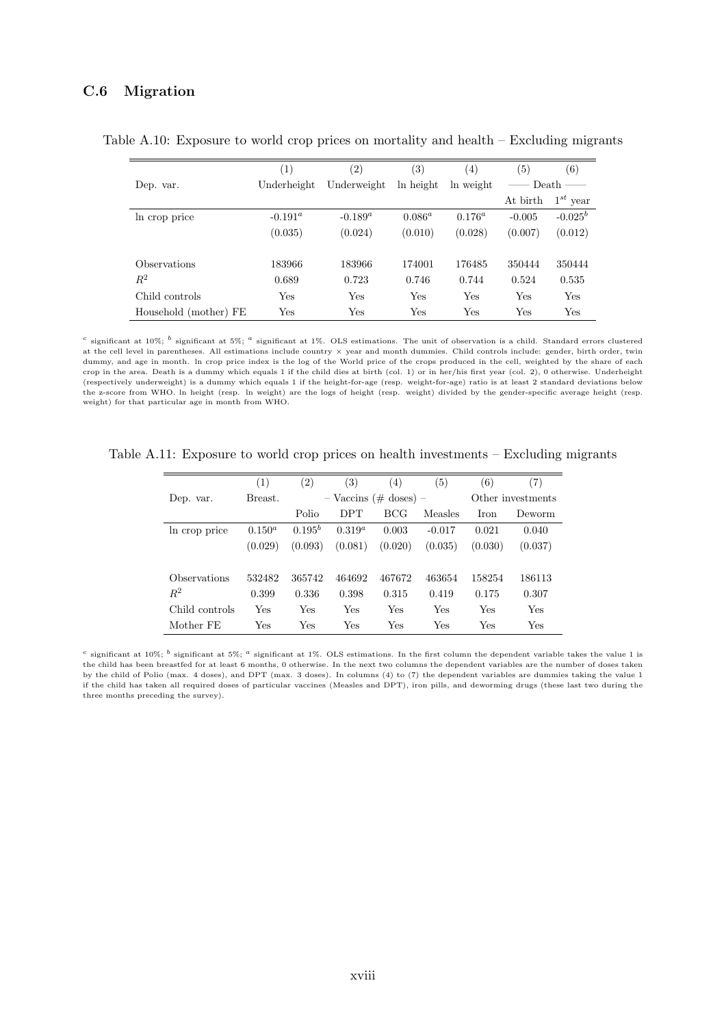## <span id="page-49-0"></span>C.6 Migration

|                       | $\left(1\right)$ | $\left( 2\right)$ | $\left( 3\right)$ | $^{(4)}$    | (5)      | (6)           |
|-----------------------|------------------|-------------------|-------------------|-------------|----------|---------------|
| Dep. var.             | Underheight      | Underweight       | ln height         | ln weight   |          | Death -       |
|                       |                  |                   |                   |             | At birth | $1^{st}$ year |
| In crop price         | $-0.191^a$       | $-0.189^a$        | $0.086^a$         | $0.176^{a}$ | $-0.005$ | $-0.025^b$    |
|                       | (0.035)          | (0.024)           | (0.010)           | (0.028)     | (0.007)  | (0.012)       |
| <b>Observations</b>   | 183966           | 183966            | 174001            | 176485      | 350444   | 350444        |
| $\,R^2$               | 0.689            | 0.723             | 0.746             | 0.744       | 0.524    | 0.535         |
| Child controls        | Yes              | Yes               | Yes               | Yes         | Yes      | Yes           |
| Household (mother) FE | Yes              | Yes               | Yes               | Yes         | Yes      | Yes           |

Table A.10: Exposure to world crop prices on mortality and health – Excluding migrants

<sup>c</sup> significant at 10%;  $^b$  significant at 5%;  $^a$  significant at 1%. OLS estimations. The unit of observation is a child. Standard errors clustered at the cell level in parentheses. All estimations include country × year and month dummies. Child controls include: gender, birth order, twin dummy, and age in month. ln crop price index is the log of the World price of the crops produced in the cell, weighted by the share of each crop in the area. Death is a dummy which equals 1 if the child dies at birth (col. 1) or in her/his first year (col. 2), 0 otherwise. Underheight (respectively underweight) is a dummy which equals 1 if the height-for-age (resp. weight-for-age) ratio is at least 2 standard deviations below the z-score from WHO. ln height (resp. ln weight) are the logs of height (resp. weight) divided by the gender-specific average height (resp. weight) for that particular age in month from WHO.

<span id="page-49-1"></span>Table A.11: Exposure to world crop prices on health investments – Excluding migrants

|                | (1)       | $\left( 2\right)$ | $\left( 3\right)$ | (4)                       | (5)      | (6)         | (7)               |
|----------------|-----------|-------------------|-------------------|---------------------------|----------|-------------|-------------------|
| Dep. var.      | Breast.   |                   |                   | $-$ Vaccins (# doses) $-$ |          |             | Other investments |
|                |           | Polio             | <b>DPT</b>        | BCG                       | Measles  | <b>Iron</b> | Deworm            |
| In crop price  | $0.150^a$ | $0.195^{b}$       | $0.319^a$         | 0.003                     | $-0.017$ | 0.021       | 0.040             |
|                | (0.029)   | (0.093)           | (0.081)           | (0.020)                   | (0.035)  | (0.030)     | (0.037)           |
|                |           |                   |                   |                           |          |             |                   |
| Observations   | 532482    | 365742            | 464692            | 467672                    | 463654   | 158254      | 186113            |
| $R^2$          | 0.399     | 0.336             | 0.398             | 0.315                     | 0.419    | 0.175       | 0.307             |
| Child controls | Yes       | Yes               | Yes               | Yes                       | Yes      | Yes         | Yes               |
| Mother FE      | Yes       | Yes               | Yes               | Yes                       | Yes      | Yes         | Yes               |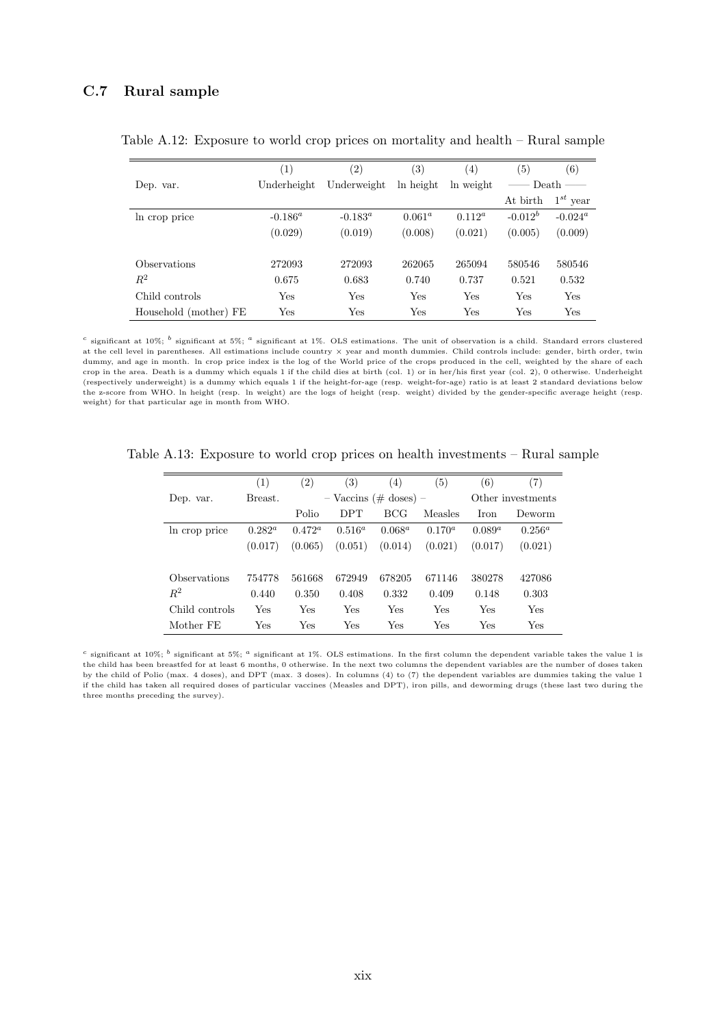## <span id="page-50-0"></span>C.7 Rural sample

|                            | (1)          | $\left( 2\right)$ | $^{(3)}$  | (4)       | $\left( 5\right)$ | (6)                 |
|----------------------------|--------------|-------------------|-----------|-----------|-------------------|---------------------|
| Dep. var.                  | Underheight  | Underweight       | ln height | ln weight |                   | Death $\frac{ }{ }$ |
|                            |              |                   |           |           | At birth          | $1^{st}$ year       |
| In crop price              | $-0.186^a$   | $-0.183^a$        | $0.061^a$ | $0.112^a$ | $-0.012^b$        | $-0.024^a$          |
|                            | (0.029)      | (0.019)           | (0.008)   | (0.021)   | (0.005)           | (0.009)             |
| <i><b>Observations</b></i> | 272093       | 272093            | 262065    | 265094    | 580546            | 580546              |
| $R^2$                      | 0.675        | 0.683             | 0.740     | 0.737     | 0.521             | 0.532               |
| Child controls             | $_{\rm Yes}$ | Yes               | Yes       | Yes       | Yes               | Yes                 |
| Household (mother) FE      | Yes          | Yes               | Yes       | Yes       | Yes               | Yes                 |

Table A.12: Exposure to world crop prices on mortality and health – Rural sample

<sup>c</sup> significant at 10%;  $^b$  significant at 5%;  $^a$  significant at 1%. OLS estimations. The unit of observation is a child. Standard errors clustered at the cell level in parentheses. All estimations include country × year and month dummies. Child controls include: gender, birth order, twin dummy, and age in month. ln crop price index is the log of the World price of the crops produced in the cell, weighted by the share of each crop in the area. Death is a dummy which equals 1 if the child dies at birth (col. 1) or in her/his first year (col. 2), 0 otherwise. Underheight (respectively underweight) is a dummy which equals 1 if the height-for-age (resp. weight-for-age) ratio is at least 2 standard deviations below the z-score from WHO. ln height (resp. ln weight) are the logs of height (resp. weight) divided by the gender-specific average height (resp. weight) for that particular age in month from WHO.

|                | (1)       | $\left( 2\right)$ | (3)        | (4)                       | $\left(5\right)$ | (6)          | (7)               |
|----------------|-----------|-------------------|------------|---------------------------|------------------|--------------|-------------------|
| Dep. var.      | Breast.   |                   |            | $-$ Vaccins (# doses) $-$ |                  |              | Other investments |
|                |           | Polio             | <b>DPT</b> | BCG                       | Measles          | <b>I</b> ron | Deworm            |
| In crop price  | $0.282^a$ | $0.472^a$         | $0.516^a$  | $0.068^a$                 | $0.170^{a}$      | $0.089^a$    | $0.256^a$         |
|                | (0.017)   | (0.065)           | (0.051)    | (0.014)                   | (0.021)          | (0.017)      | (0.021)           |
|                |           |                   |            |                           |                  |              |                   |
| Observations   | 754778    | 561668            | 672949     | 678205                    | 671146           | 380278       | 427086            |
| $R^2$          | 0.440     | 0.350             | 0.408      | 0.332                     | 0.409            | 0.148        | 0.303             |
| Child controls | Yes       | Yes               | Yes        | Yes                       | Yes              | Yes          | Yes               |
| Mother FE      | Yes       | Yes               | Yes        | Yes                       | Yes              | Yes          | Yes               |

Table A.13: Exposure to world crop prices on health investments – Rural sample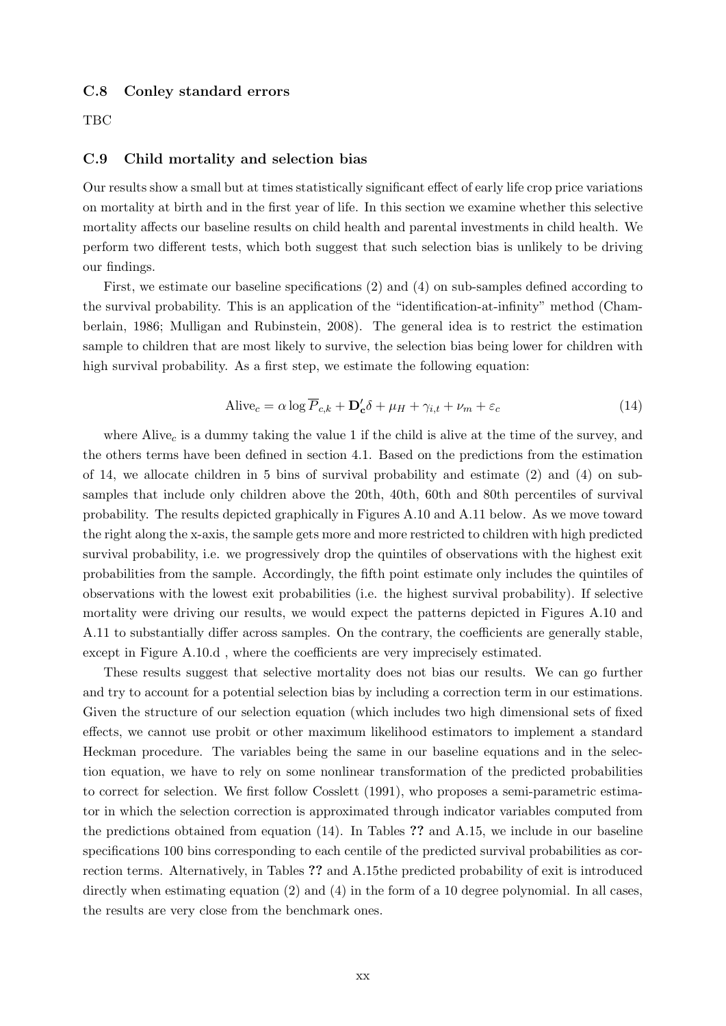#### <span id="page-51-0"></span>C.8 Conley standard errors

**TBC** 

### <span id="page-51-1"></span>C.9 Child mortality and selection bias

Our results show a small but at times statistically significant effect of early life crop price variations on mortality at birth and in the first year of life. In this section we examine whether this selective mortality affects our baseline results on child health and parental investments in child health. We perform two different tests, which both suggest that such selection bias is unlikely to be driving our findings.

First, we estimate our baseline specifications [\(2\)](#page-12-0) and [\(4\)](#page-13-1) on sub-samples defined according to the survival probability. This is an application of the "identification-at-infinity" method (Chamberlain, 1986; Mulligan and Rubinstein, 2008). The general idea is to restrict the estimation sample to children that are most likely to survive, the selection bias being lower for children with high survival probability. As a first step, we estimate the following equation:

$$
\text{Alive}_c = \alpha \log \overline{P}_{c,k} + \mathbf{D}_c' \delta + \mu_H + \gamma_{i,t} + \nu_m + \varepsilon_c \tag{14}
$$

<span id="page-51-2"></span>where Alive<sub>c</sub> is a dummy taking the value 1 if the child is alive at the time of the survey, and the others terms have been defined in section [4.1.](#page-11-0) Based on the predictions from the estimation of [14,](#page-51-2) we allocate children in 5 bins of survival probability and estimate [\(2\)](#page-12-0) and [\(4\)](#page-13-1) on subsamples that include only children above the 20th, 40th, 60th and 80th percentiles of survival probability. The results depicted graphically in Figures [A.10](#page-54-0) and [A.11](#page-55-0) below. As we move toward the right along the x-axis, the sample gets more and more restricted to children with high predicted survival probability, i.e. we progressively drop the quintiles of observations with the highest exit probabilities from the sample. Accordingly, the fifth point estimate only includes the quintiles of observations with the lowest exit probabilities (i.e. the highest survival probability). If selective mortality were driving our results, we would expect the patterns depicted in Figures [A.10](#page-54-0) and [A.11](#page-55-0) to substantially differ across samples. On the contrary, the coefficients are generally stable, except in Figure [A.10.](#page-54-0)d , where the coefficients are very imprecisely estimated.

These results suggest that selective mortality does not bias our results. We can go further and try to account for a potential selection bias by including a correction term in our estimations. Given the structure of our selection equation (which includes two high dimensional sets of fixed effects, we cannot use probit or other maximum likelihood estimators to implement a standard Heckman procedure. The variables being the same in our baseline equations and in the selection equation, we have to rely on some nonlinear transformation of the predicted probabilities to correct for selection. We first follow Cosslett (1991), who proposes a semi-parametric estimator in which the selection correction is approximated through indicator variables computed from the predictions obtained from equation [\(14\)](#page-51-2). In Tables ?? and [A.15,](#page-53-0) we include in our baseline specifications 100 bins corresponding to each centile of the predicted survival probabilities as correction terms. Alternatively, in Tables ?? and [A.15t](#page-53-0)he predicted probability of exit is introduced directly when estimating equation [\(2\)](#page-12-0) and [\(4\)](#page-13-1) in the form of a 10 degree polynomial. In all cases, the results are very close from the benchmark ones.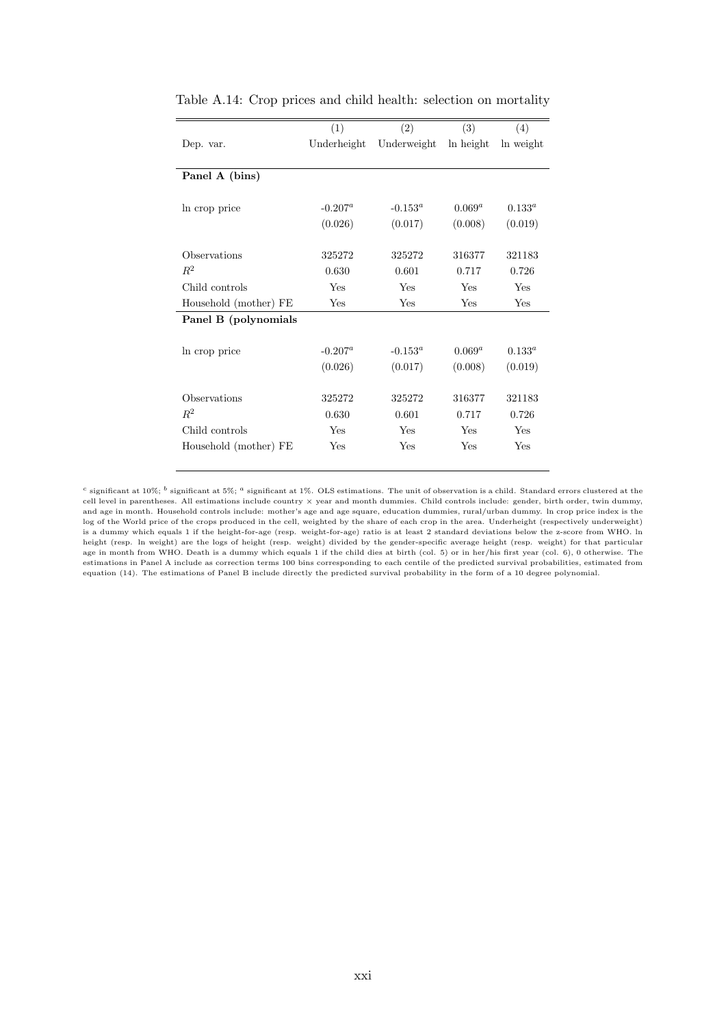|                       | (1)         | (2)         | (3)       | (4)       |
|-----------------------|-------------|-------------|-----------|-----------|
| Dep. var.             | Underheight | Underweight | ln height | ln weight |
|                       |             |             |           |           |
| Panel A (bins)        |             |             |           |           |
|                       |             |             |           |           |
| In crop price         | $-0.207^a$  | $-0.153^a$  | $0.069^a$ | $0.133^a$ |
|                       | (0.026)     | (0.017)     | (0.008)   | (0.019)   |
|                       |             |             |           |           |
| Observations          | 325272      | 325272      | 316377    | 321183    |
| $R^2$                 | 0.630       | 0.601       | 0.717     | 0.726     |
| Child controls        | Yes         | Yes         | Yes       | Yes       |
| Household (mother) FE | Yes         | Yes         | Yes       | Yes       |
| Panel B (polynomials  |             |             |           |           |
|                       |             |             |           |           |
| In crop price         | $-0.207^a$  | $-0.153^a$  | $0.069^a$ | $0.133^a$ |
|                       | (0.026)     | (0.017)     | (0.008)   | (0.019)   |
|                       |             |             |           |           |
| Observations          | 325272      | 325272      | 316377    | 321183    |
| $R^2$                 | 0.630       | 0.601       | 0.717     | 0.726     |
| Child controls        | Yes         | Yes         | Yes       | Yes       |
| Household (mother) FE | Yes         | Yes         | Yes       | Yes       |
|                       |             |             |           |           |

| Table A.14: Crop prices and child health: selection on mortality |  |  |  |  |
|------------------------------------------------------------------|--|--|--|--|
|                                                                  |  |  |  |  |

 $^c$  significant at 10%;  $^b$  significant at 5%;  $^a$  significant at 1%. OLS estimations. The unit of observation is a child. Standard errors clustered at the cell level in parentheses. All estimations include country × year and month dummies. Child controls include: gender, birth order, twin dummy, and age in month. Household controls include: mother's age and age square, education dummies, rural/urban dummy. ln crop price index is the log of the World price of the crops produced in the cell, weighted by the share of each crop in the area. Underheight (respectively underweight) is a dummy which equals 1 if the height-for-age (resp. weight-for-age) ratio is at least 2 standard deviations below the z-score from WHO. ln height (resp. ln weight) are the logs of height (resp. weight) divided by the gender-specific average height (resp. weight) for that particular age in month from WHO. Death is a dummy which equals 1 if the child dies at birth (col. 5) or in her/his first year (col. 6), 0 otherwise. The estimations in Panel A include as correction terms 100 bins corresponding to each centile of the predicted survival probabilities, estimated from equation [\(14\)](#page-51-2). The estimations of Panel B include directly the predicted survival probability in the form of a 10 degree polynomial.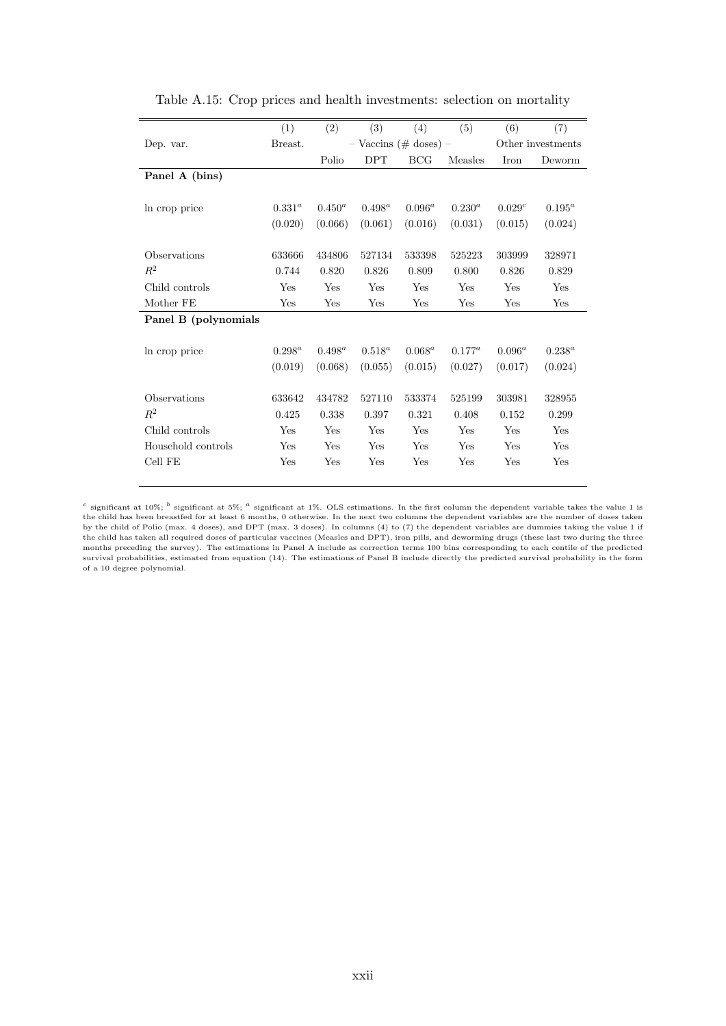<span id="page-53-0"></span>

|                      | (1)         | (2)                         | (3)        | (4)        | (5)         | (6)               | (7)         |
|----------------------|-------------|-----------------------------|------------|------------|-------------|-------------------|-------------|
| Dep. var.            | Breast.     | $-$ Vaccins ( $\#$ doses) – |            |            |             | Other investments |             |
|                      |             | Polio                       | <b>DPT</b> | <b>BCG</b> | Measles     | Iron              | Deworm      |
| Panel A (bins)       |             |                             |            |            |             |                   |             |
|                      |             |                             |            |            |             |                   |             |
| In crop price        | $0.331^{a}$ | $0.450^a$                   | $0.498^a$  | $0.096^a$  | $0.230^{a}$ | 0.029c            | $0.195^a$   |
|                      | (0.020)     | (0.066)                     | (0.061)    | (0.016)    | (0.031)     | (0.015)           | (0.024)     |
|                      |             |                             |            |            |             |                   |             |
| Observations         | 633666      | 434806                      | 527134     | 533398     | 525223      | 303999            | 328971      |
| $R^2$                | 0.744       | 0.820                       | 0.826      | 0.809      | 0.800       | 0.826             | 0.829       |
| Child controls       | Yes         | Yes                         | Yes        | Yes        | Yes         | Yes               | Yes         |
| Mother FE            | Yes         | Yes                         | Yes        | Yes        | Yes         | Yes               | Yes         |
| Panel B (polynomials |             |                             |            |            |             |                   |             |
|                      |             |                             |            |            |             |                   |             |
| In crop price        | $0.298^a$   | $0.498^a$                   | $0.518^a$  | $0.068^a$  | $0.177^a$   | $0.096^a$         | $0.238^{a}$ |
|                      | (0.019)     | (0.068)                     | (0.055)    | (0.015)    | (0.027)     | (0.017)           | (0.024)     |
|                      |             |                             |            |            |             |                   |             |
| Observations         | 633642      | 434782                      | 527110     | 533374     | 525199      | 303981            | 328955      |
| $R^2$                | 0.425       | 0.338                       | 0.397      | 0.321      | 0.408       | 0.152             | 0.299       |
| Child controls       | Yes         | Yes                         | Yes        | Yes        | Yes         | Yes               | Yes         |
| Household controls   | Yes         | Yes                         | Yes        | Yes        | Yes         | Yes               | Yes         |
| Cell FE              | Yes         | Yes                         | Yes        | Yes        | Yes         | Yes               | Yes         |
|                      |             |                             |            |            |             |                   |             |

Table A.15: Crop prices and health investments: selection on mortality

<sup>c</sup> significant at 10%; <sup>b</sup> significant at 5%; <sup>a</sup> significant at 1%. OLS estimations. In the first column the dependent variable takes the value 1 is the child has been breastfed for at least 6 months, 0 otherwise. In the next two columns the dependent variables are the number of doses taken by the child of Polio (max. 4 doses), and DPT (max. 3 doses). In columns (4) to (7) the dependent variables are dummies taking the value 1 if the child has taken all required doses of particular vaccines (Measles and DPT), iron pills, and deworming drugs (these last two during the three months preceding the survey). The estimations in Panel A include as correction terms 100 bins corresponding to each centile of the predicted survival probabilities, estimated from equation [\(14\)](#page-51-2). The estimations of Panel B include directly the predicted survival probability in the form of a 10 degree polynomial.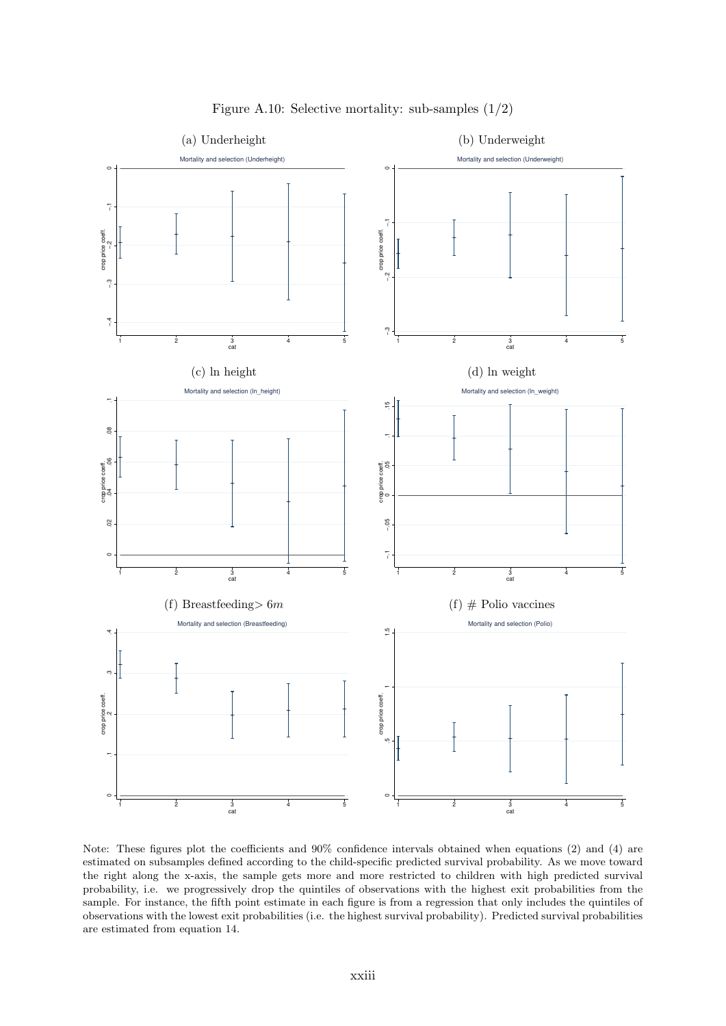<span id="page-54-0"></span>

Figure A.10: Selective mortality: sub-samples (1/2)

Note: These figures plot the coefficients and 90% confidence intervals obtained when equations [\(2\)](#page-12-0) and [\(4\)](#page-13-1) are estimated on subsamples defined according to the child-specific predicted survival probability. As we move toward the right along the x-axis, the sample gets more and more restricted to children with high predicted survival probability, i.e. we progressively drop the quintiles of observations with the highest exit probabilities from the sample. For instance, the fifth point estimate in each figure is from a regression that only includes the quintiles of observations with the lowest exit probabilities (i.e. the highest survival probability). Predicted survival probabilities are estimated from equation [14.](#page-51-2)